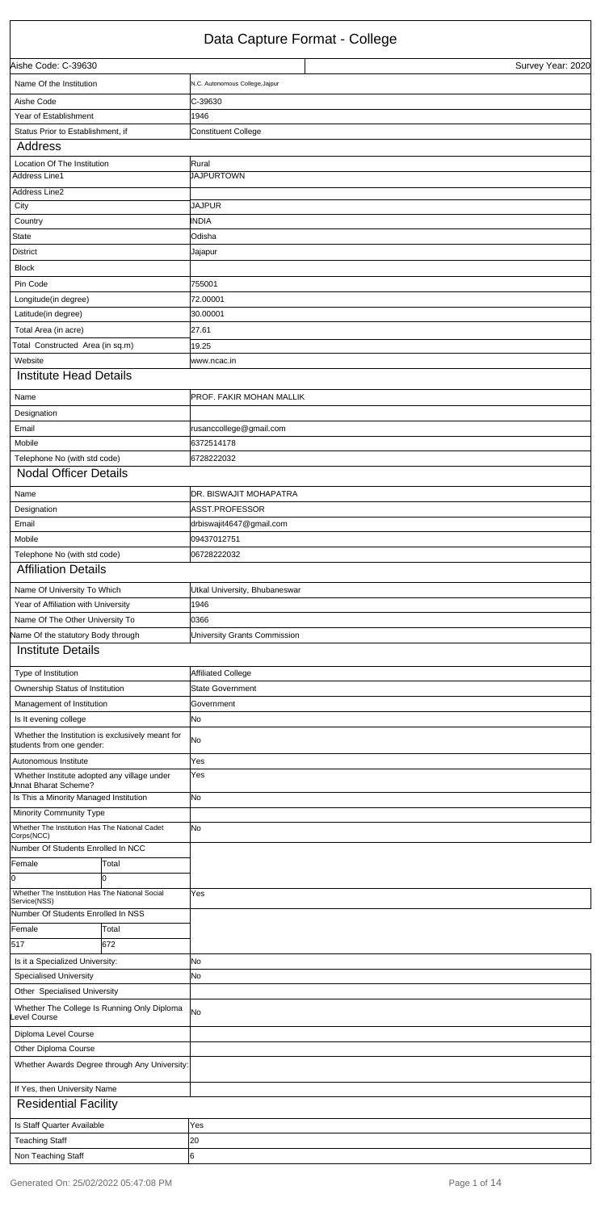## Data Capture Format - College

| Aishe Code: C-39630                                                           |       |                                 |  | Survey Year: 2020 |
|-------------------------------------------------------------------------------|-------|---------------------------------|--|-------------------|
| Name Of the Institution                                                       |       | N.C. Autonomous College, Jajpur |  |                   |
| Aishe Code                                                                    |       | C-39630                         |  |                   |
| Year of Establishment                                                         |       | 1946                            |  |                   |
| Status Prior to Establishment, if                                             |       | <b>Constituent College</b>      |  |                   |
| Address                                                                       |       |                                 |  |                   |
| Location Of The Institution                                                   |       | Rural                           |  |                   |
| <b>Address Line1</b>                                                          |       | <b>JAJPURTOWN</b>               |  |                   |
| Address Line2                                                                 |       |                                 |  |                   |
| City                                                                          |       | <b>JAJPUR</b>                   |  |                   |
| Country                                                                       |       | <b>INDIA</b>                    |  |                   |
| <b>State</b>                                                                  |       | Odisha                          |  |                   |
| <b>District</b>                                                               |       | Jajapur                         |  |                   |
| <b>Block</b>                                                                  |       |                                 |  |                   |
| Pin Code                                                                      |       | 755001                          |  |                   |
| Longitude(in degree)                                                          |       | 72.00001                        |  |                   |
| Latitude(in degree)                                                           |       | 30.00001                        |  |                   |
| Total Area (in acre)                                                          |       | 27.61                           |  |                   |
| Total Constructed Area (in sq.m)                                              |       | 19.25                           |  |                   |
| Website                                                                       |       | www.ncac.in                     |  |                   |
| <b>Institute Head Details</b>                                                 |       |                                 |  |                   |
| Name                                                                          |       | <b>PROF. FAKIR MOHAN MALLIK</b> |  |                   |
| Designation                                                                   |       |                                 |  |                   |
| Email                                                                         |       | rusanccollege@gmail.com         |  |                   |
| Mobile                                                                        |       | 6372514178                      |  |                   |
| Telephone No (with std code)                                                  |       | 6728222032                      |  |                   |
| <b>Nodal Officer Details</b>                                                  |       |                                 |  |                   |
| Name                                                                          |       | <b>IDR. BISWAJIT MOHAPATRA</b>  |  |                   |
| Designation                                                                   |       | ASST.PROFESSOR                  |  |                   |
| Email                                                                         |       | drbiswajit4647@gmail.com        |  |                   |
| Mobile                                                                        |       | 09437012751                     |  |                   |
| Telephone No (with std code)                                                  |       | 06728222032                     |  |                   |
| <b>Affiliation Details</b>                                                    |       |                                 |  |                   |
| Name Of University To Which                                                   |       | Utkal University, Bhubaneswar   |  |                   |
| Year of Affiliation with University                                           |       | 1946                            |  |                   |
| Name Of The Other University To                                               |       | 0366                            |  |                   |
| Vame Of the statutory Body through                                            |       | University Grants Commission    |  |                   |
| <b>Institute Details</b>                                                      |       |                                 |  |                   |
|                                                                               |       |                                 |  |                   |
| Type of Institution                                                           |       | <b>Affiliated College</b>       |  |                   |
| Ownership Status of Institution                                               |       | <b>State Government</b>         |  |                   |
| Management of Institution                                                     |       | Government                      |  |                   |
| Is It evening college                                                         |       | No                              |  |                   |
| Whether the Institution is exclusively meant for<br>students from one gender: |       | No                              |  |                   |
| Autonomous Institute                                                          |       | Yes                             |  |                   |
| Whether Institute adopted any village under<br>Unnat Bharat Scheme?           |       | Yes                             |  |                   |
| Is This a Minority Managed Institution                                        |       | No                              |  |                   |
| Minority Community Type                                                       |       |                                 |  |                   |
| Whether The Institution Has The National Cadet<br>Corps(NCC)                  |       | lNo                             |  |                   |
| Number Of Students Enrolled In NCC                                            |       |                                 |  |                   |
| Female                                                                        | Total |                                 |  |                   |
| 0                                                                             | Iо    |                                 |  |                   |
| Whether The Institution Has The National Social<br>Service(NSS)               |       | Yes                             |  |                   |

| Service(NSS)                       |                                               |           |
|------------------------------------|-----------------------------------------------|-----------|
| Number Of Students Enrolled In NSS |                                               |           |
| Female                             | Total                                         |           |
| 517                                | 672                                           |           |
| Is it a Specialized University:    |                                               | <b>No</b> |
| <b>Specialised University</b>      |                                               | <b>No</b> |
| Other Specialised University       |                                               |           |
| evel Course                        | Whether The College Is Running Only Diploma   | <b>No</b> |
| Diploma Level Course               |                                               |           |
| Other Diploma Course               |                                               |           |
|                                    | Whether Awards Degree through Any University: |           |
| If Yes, then University Name       |                                               |           |
| <b>Residential Facility</b>        |                                               |           |
| Is Staff Quarter Available         |                                               | Yes       |
| <b>Teaching Staff</b>              |                                               | 20        |
| Non Teaching Staff                 |                                               | l6        |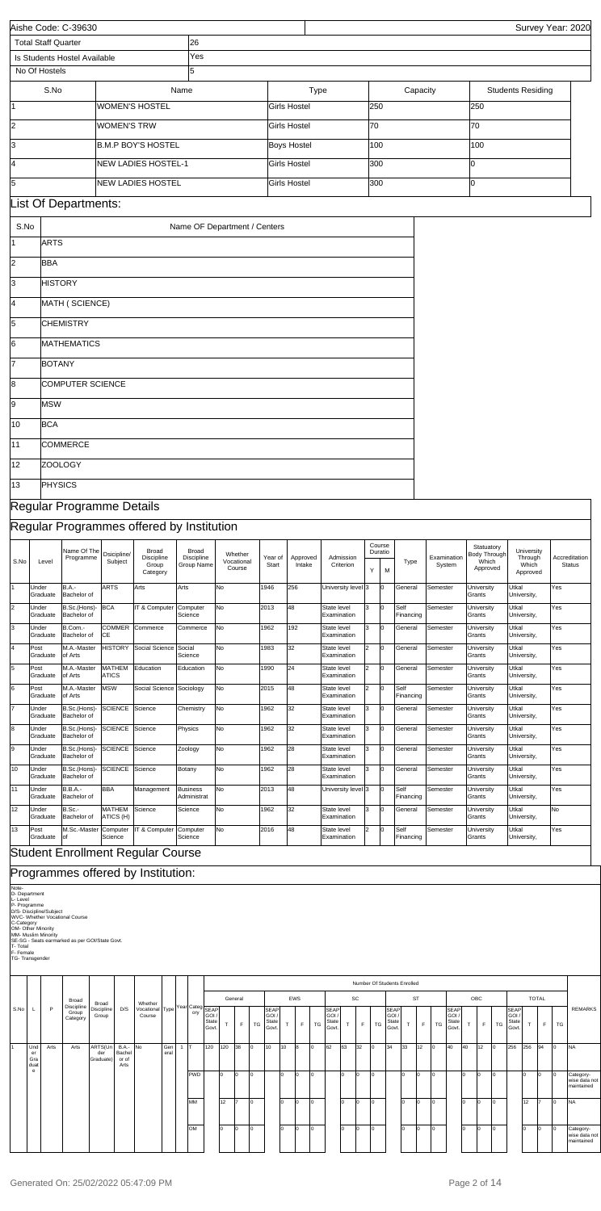| <b>Total Staff Quarter</b><br>26<br>Yes<br>Is Students Hostel Available<br>5<br>No Of Hostels<br>S.No<br>Name<br>Type<br>Capacity<br><b>Students Residing</b><br><b>WOMEN'S HOSTEL</b><br>250<br>250<br>11<br><b>Girls Hostel</b><br>$\overline{2}$<br>70<br>70<br><b>WOMEN'S TRW</b><br><b>Girls Hostel</b><br><b>B.M.P BOY'S HOSTEL</b><br><b>Boys Hostel</b><br>100<br>100<br>NEW LADIES HOSTEL-1<br><b>Girls Hostel</b><br>300<br>Iо<br><b>NEW LADIES HOSTEL</b><br>300<br><b>Girls Hostel</b><br>lо<br>List Of Departments:<br>S.No<br>Name OF Department / Centers<br><b>ARTS</b><br><b>BBA</b><br><b>HISTORY</b><br>l4<br>MATH (SCIENCE)<br><b>CHEMISTRY</b><br><b>MATHEMATICS</b><br><b>BOTANY</b><br>COMPUTER SCIENCE<br><b>MSW</b><br><b>BCA</b><br><b>COMMERCE</b><br>ZOOLOGY<br>12<br>PHYSICS<br>13<br>Regular Programme Details<br>Regular Programmes offered by Institution<br>Course<br>Statuatory<br>Name Of The<br><b>Broad</b><br>Broad<br>University<br>Duratio<br>Dsicipline/<br>Whether<br><b>Body Through</b><br>Programme<br>Discipline<br>Discipline<br>Year of<br>Examination<br>Through<br>Accreditation<br>Approved<br>Admission<br>Subject<br>Vocational<br>Which<br>Level<br>Type<br>Group<br>Group Name<br>Start<br>Intake<br>Criterion<br>System<br>Which<br><b>Status</b><br>Course<br>Approved<br>Υ<br>M<br>Category<br>Approved<br><b>ARTS</b><br>Arts<br><b>B.A.-</b><br>Arts<br>No<br>1946<br>256<br>University level 3<br>General<br>Semester<br>Utkal<br>Yes<br>Under<br>I٥<br>University<br>Bachelor of<br>Grants<br>University,<br>Graduate<br><b>BCA</b><br>IT & Computer<br>No<br>2013<br>48<br>Self<br>Under<br>B.Sc.(Hons)-<br>Computer<br>State level<br>Iз<br>Iо<br>Semester<br>Utkal<br>Yes<br>University<br>Graduate<br>Bachelor of<br>Science<br>Examination<br>Financing<br>Grants<br>University,<br>B.Com.-<br>COMMER<br>No<br>1962<br>192<br>Under<br>Commerce<br>State level<br>3<br>General<br>Semester<br>Utkal<br>Yes<br>Commerce<br>I٥<br>University<br>Graduate<br>Bachelor of<br>СE<br>University,<br>Examination<br>Grants<br><b>HISTORY</b><br>Social Science<br>No<br>32<br>M.A.-Master<br>Social<br>1983<br>2<br>General<br>Semester<br>Utkal<br>Yes<br>Post<br>State level<br>I٥<br>University<br>Graduate<br>of Arts<br>Science<br>Grants<br>Examination<br>University,<br>M.A.-Master<br><b>MATHEM</b><br>No<br>1990<br>24<br>Post<br>Education<br>State level<br>2<br>Iо<br>General<br>Semester<br>Utkal<br>Yes<br>Education<br>University<br>Graduate<br>of Arts<br><b>ATICS</b><br>Examination<br>Grants<br>University,<br>48<br>M.A.-Master<br><b>MSW</b><br>Social Science Sociology<br>No<br>2015<br>$\overline{2}$<br>Post<br>Self<br>Semester<br>Utkal<br>Yes<br>State level<br>University<br>of Arts<br>Financing<br>Grants<br>University,<br>Graduate<br>Examination<br><b>SCIENCE</b><br>No<br>1962<br>32<br>Under<br>B.Sc.(Hons)-<br>Science<br>Chemistry<br>3<br>General<br>Semester<br>Utkal<br>Yes<br>State level<br>I٥<br>University<br>Bachelor of<br>Grants<br>Graduate<br>Examination<br>University,<br><b>SCIENCE</b><br>No<br>1962<br>32<br>Under<br>B.Sc.(Hons)-<br>Science<br>Physics<br>State level<br>3<br>Iо<br>General<br>Semester<br>Utkal<br>Yes<br>University<br>Graduate<br>Bachelor of<br>Examination<br>Grants<br>University,<br><b>SCIENCE</b><br>B.Sc.(Hons)-<br>No<br>28<br>Utkal<br>Under<br>Science<br>1962<br>3<br>General<br>Semester<br>Yes<br>Zoology<br>State level<br>University<br>m<br>Graduate<br>Bachelor of<br>Examination<br>University,<br>Grants<br><b>SCIENCE</b><br>No<br>28<br>B.Sc.(Hons)-<br>Science<br>1962<br>lЗ<br>General<br>Semester<br>Utkal<br>Yes<br>Under<br>Botany<br>State level<br>l0<br>University<br>Bachelor of<br>Grants<br>Graduate<br>Examination<br>University,<br><b>B.B.A.-</b><br><b>BBA</b><br>No<br>2013<br>48<br>Self<br>Utkal<br>Under<br>Management<br><b>Business</b><br>University level 3<br>Iо<br>Semester<br>Yes<br>University<br>Bachelor of<br>Financing<br>Grants<br>University,<br>Graduate<br>Administrat<br>32<br>B.Sc.-<br><b>MATHEM</b><br>No<br>Utkal<br>No<br>Under<br>Science<br>1962<br>3<br>General<br>İSemester<br>Science<br>State level<br>University<br>Graduate<br>Bachelor of<br>ATICS (H)<br>Examination<br>University,<br>Grants<br>M.Sc.-Master<br>Computer<br>IT & Computer<br>No<br>2016<br>48<br>$\overline{2}$<br>Utkal<br>Yes<br>Post<br>Computer<br>State level<br>l0<br>Self<br>Semester<br>University<br>Graduate<br>lof<br>Science<br>Science<br>Examination<br>Financing<br>Grants<br>University,<br><b>Student Enrollment Regular Course</b><br>Programmes offered by Institution:<br>D- Department<br>P- Programme<br>D/S- Discipline/Subject<br>WVC- Whether Vocational Course<br>C-Category<br>OM- Other Minority<br>MM- Muslim Minority<br>SE-SG - Seats earmarked as per GOI/State Govt. |                       | Aishe Code: C-39630 |  |  |  |  |  |  | Survey Year: 2020 |
|-------------------------------------------------------------------------------------------------------------------------------------------------------------------------------------------------------------------------------------------------------------------------------------------------------------------------------------------------------------------------------------------------------------------------------------------------------------------------------------------------------------------------------------------------------------------------------------------------------------------------------------------------------------------------------------------------------------------------------------------------------------------------------------------------------------------------------------------------------------------------------------------------------------------------------------------------------------------------------------------------------------------------------------------------------------------------------------------------------------------------------------------------------------------------------------------------------------------------------------------------------------------------------------------------------------------------------------------------------------------------------------------------------------------------------------------------------------------------------------------------------------------------------------------------------------------------------------------------------------------------------------------------------------------------------------------------------------------------------------------------------------------------------------------------------------------------------------------------------------------------------------------------------------------------------------------------------------------------------------------------------------------------------------------------------------------------------------------------------------------------------------------------------------------------------------------------------------------------------------------------------------------------------------------------------------------------------------------------------------------------------------------------------------------------------------------------------------------------------------------------------------------------------------------------------------------------------------------------------------------------------------------------------------------------------------------------------------------------------------------------------------------------------------------------------------------------------------------------------------------------------------------------------------------------------------------------------------------------------------------------------------------------------------------------------------------------------------------------------------------------------------------------------------------------------------------------------------------------------------------------------------------------------------------------------------------------------------------------------------------------------------------------------------------------------------------------------------------------------------------------------------------------------------------------------------------------------------------------------------------------------------------------------------------------------------------------------------------------------------------------------------------------------------------------------------------------------------------------------------------------------------------------------------------------------------------------------------------------------------------------------------------------------------------------------------------------------------------------------------------------------------------------------------------------------------------------------------------------------------------------------------------------------------------------------------------------------------------------------------------------------------------------------------------------------------------------------------------------------------------------------------------------------------------------------------------------------------------------------------------------------------------------------------------------------------------------------------------------------------------------------------------------------------------------------------------------------------------------------------------------------------------|-----------------------|---------------------|--|--|--|--|--|--|-------------------|
|                                                                                                                                                                                                                                                                                                                                                                                                                                                                                                                                                                                                                                                                                                                                                                                                                                                                                                                                                                                                                                                                                                                                                                                                                                                                                                                                                                                                                                                                                                                                                                                                                                                                                                                                                                                                                                                                                                                                                                                                                                                                                                                                                                                                                                                                                                                                                                                                                                                                                                                                                                                                                                                                                                                                                                                                                                                                                                                                                                                                                                                                                                                                                                                                                                                                                                                                                                                                                                                                                                                                                                                                                                                                                                                                                                                                                                                                                                                                                                                                                                                                                                                                                                                                                                                                                                                                                                                                                                                                                                                                                                                                                                                                                                                                                                                                                                                                                           |                       |                     |  |  |  |  |  |  |                   |
|                                                                                                                                                                                                                                                                                                                                                                                                                                                                                                                                                                                                                                                                                                                                                                                                                                                                                                                                                                                                                                                                                                                                                                                                                                                                                                                                                                                                                                                                                                                                                                                                                                                                                                                                                                                                                                                                                                                                                                                                                                                                                                                                                                                                                                                                                                                                                                                                                                                                                                                                                                                                                                                                                                                                                                                                                                                                                                                                                                                                                                                                                                                                                                                                                                                                                                                                                                                                                                                                                                                                                                                                                                                                                                                                                                                                                                                                                                                                                                                                                                                                                                                                                                                                                                                                                                                                                                                                                                                                                                                                                                                                                                                                                                                                                                                                                                                                                           |                       |                     |  |  |  |  |  |  |                   |
|                                                                                                                                                                                                                                                                                                                                                                                                                                                                                                                                                                                                                                                                                                                                                                                                                                                                                                                                                                                                                                                                                                                                                                                                                                                                                                                                                                                                                                                                                                                                                                                                                                                                                                                                                                                                                                                                                                                                                                                                                                                                                                                                                                                                                                                                                                                                                                                                                                                                                                                                                                                                                                                                                                                                                                                                                                                                                                                                                                                                                                                                                                                                                                                                                                                                                                                                                                                                                                                                                                                                                                                                                                                                                                                                                                                                                                                                                                                                                                                                                                                                                                                                                                                                                                                                                                                                                                                                                                                                                                                                                                                                                                                                                                                                                                                                                                                                                           |                       |                     |  |  |  |  |  |  |                   |
|                                                                                                                                                                                                                                                                                                                                                                                                                                                                                                                                                                                                                                                                                                                                                                                                                                                                                                                                                                                                                                                                                                                                                                                                                                                                                                                                                                                                                                                                                                                                                                                                                                                                                                                                                                                                                                                                                                                                                                                                                                                                                                                                                                                                                                                                                                                                                                                                                                                                                                                                                                                                                                                                                                                                                                                                                                                                                                                                                                                                                                                                                                                                                                                                                                                                                                                                                                                                                                                                                                                                                                                                                                                                                                                                                                                                                                                                                                                                                                                                                                                                                                                                                                                                                                                                                                                                                                                                                                                                                                                                                                                                                                                                                                                                                                                                                                                                                           |                       |                     |  |  |  |  |  |  |                   |
|                                                                                                                                                                                                                                                                                                                                                                                                                                                                                                                                                                                                                                                                                                                                                                                                                                                                                                                                                                                                                                                                                                                                                                                                                                                                                                                                                                                                                                                                                                                                                                                                                                                                                                                                                                                                                                                                                                                                                                                                                                                                                                                                                                                                                                                                                                                                                                                                                                                                                                                                                                                                                                                                                                                                                                                                                                                                                                                                                                                                                                                                                                                                                                                                                                                                                                                                                                                                                                                                                                                                                                                                                                                                                                                                                                                                                                                                                                                                                                                                                                                                                                                                                                                                                                                                                                                                                                                                                                                                                                                                                                                                                                                                                                                                                                                                                                                                                           |                       |                     |  |  |  |  |  |  |                   |
|                                                                                                                                                                                                                                                                                                                                                                                                                                                                                                                                                                                                                                                                                                                                                                                                                                                                                                                                                                                                                                                                                                                                                                                                                                                                                                                                                                                                                                                                                                                                                                                                                                                                                                                                                                                                                                                                                                                                                                                                                                                                                                                                                                                                                                                                                                                                                                                                                                                                                                                                                                                                                                                                                                                                                                                                                                                                                                                                                                                                                                                                                                                                                                                                                                                                                                                                                                                                                                                                                                                                                                                                                                                                                                                                                                                                                                                                                                                                                                                                                                                                                                                                                                                                                                                                                                                                                                                                                                                                                                                                                                                                                                                                                                                                                                                                                                                                                           |                       |                     |  |  |  |  |  |  |                   |
|                                                                                                                                                                                                                                                                                                                                                                                                                                                                                                                                                                                                                                                                                                                                                                                                                                                                                                                                                                                                                                                                                                                                                                                                                                                                                                                                                                                                                                                                                                                                                                                                                                                                                                                                                                                                                                                                                                                                                                                                                                                                                                                                                                                                                                                                                                                                                                                                                                                                                                                                                                                                                                                                                                                                                                                                                                                                                                                                                                                                                                                                                                                                                                                                                                                                                                                                                                                                                                                                                                                                                                                                                                                                                                                                                                                                                                                                                                                                                                                                                                                                                                                                                                                                                                                                                                                                                                                                                                                                                                                                                                                                                                                                                                                                                                                                                                                                                           | 3                     |                     |  |  |  |  |  |  |                   |
|                                                                                                                                                                                                                                                                                                                                                                                                                                                                                                                                                                                                                                                                                                                                                                                                                                                                                                                                                                                                                                                                                                                                                                                                                                                                                                                                                                                                                                                                                                                                                                                                                                                                                                                                                                                                                                                                                                                                                                                                                                                                                                                                                                                                                                                                                                                                                                                                                                                                                                                                                                                                                                                                                                                                                                                                                                                                                                                                                                                                                                                                                                                                                                                                                                                                                                                                                                                                                                                                                                                                                                                                                                                                                                                                                                                                                                                                                                                                                                                                                                                                                                                                                                                                                                                                                                                                                                                                                                                                                                                                                                                                                                                                                                                                                                                                                                                                                           | 14                    |                     |  |  |  |  |  |  |                   |
|                                                                                                                                                                                                                                                                                                                                                                                                                                                                                                                                                                                                                                                                                                                                                                                                                                                                                                                                                                                                                                                                                                                                                                                                                                                                                                                                                                                                                                                                                                                                                                                                                                                                                                                                                                                                                                                                                                                                                                                                                                                                                                                                                                                                                                                                                                                                                                                                                                                                                                                                                                                                                                                                                                                                                                                                                                                                                                                                                                                                                                                                                                                                                                                                                                                                                                                                                                                                                                                                                                                                                                                                                                                                                                                                                                                                                                                                                                                                                                                                                                                                                                                                                                                                                                                                                                                                                                                                                                                                                                                                                                                                                                                                                                                                                                                                                                                                                           | 5                     |                     |  |  |  |  |  |  |                   |
|                                                                                                                                                                                                                                                                                                                                                                                                                                                                                                                                                                                                                                                                                                                                                                                                                                                                                                                                                                                                                                                                                                                                                                                                                                                                                                                                                                                                                                                                                                                                                                                                                                                                                                                                                                                                                                                                                                                                                                                                                                                                                                                                                                                                                                                                                                                                                                                                                                                                                                                                                                                                                                                                                                                                                                                                                                                                                                                                                                                                                                                                                                                                                                                                                                                                                                                                                                                                                                                                                                                                                                                                                                                                                                                                                                                                                                                                                                                                                                                                                                                                                                                                                                                                                                                                                                                                                                                                                                                                                                                                                                                                                                                                                                                                                                                                                                                                                           |                       |                     |  |  |  |  |  |  |                   |
|                                                                                                                                                                                                                                                                                                                                                                                                                                                                                                                                                                                                                                                                                                                                                                                                                                                                                                                                                                                                                                                                                                                                                                                                                                                                                                                                                                                                                                                                                                                                                                                                                                                                                                                                                                                                                                                                                                                                                                                                                                                                                                                                                                                                                                                                                                                                                                                                                                                                                                                                                                                                                                                                                                                                                                                                                                                                                                                                                                                                                                                                                                                                                                                                                                                                                                                                                                                                                                                                                                                                                                                                                                                                                                                                                                                                                                                                                                                                                                                                                                                                                                                                                                                                                                                                                                                                                                                                                                                                                                                                                                                                                                                                                                                                                                                                                                                                                           |                       |                     |  |  |  |  |  |  |                   |
|                                                                                                                                                                                                                                                                                                                                                                                                                                                                                                                                                                                                                                                                                                                                                                                                                                                                                                                                                                                                                                                                                                                                                                                                                                                                                                                                                                                                                                                                                                                                                                                                                                                                                                                                                                                                                                                                                                                                                                                                                                                                                                                                                                                                                                                                                                                                                                                                                                                                                                                                                                                                                                                                                                                                                                                                                                                                                                                                                                                                                                                                                                                                                                                                                                                                                                                                                                                                                                                                                                                                                                                                                                                                                                                                                                                                                                                                                                                                                                                                                                                                                                                                                                                                                                                                                                                                                                                                                                                                                                                                                                                                                                                                                                                                                                                                                                                                                           | 11                    |                     |  |  |  |  |  |  |                   |
|                                                                                                                                                                                                                                                                                                                                                                                                                                                                                                                                                                                                                                                                                                                                                                                                                                                                                                                                                                                                                                                                                                                                                                                                                                                                                                                                                                                                                                                                                                                                                                                                                                                                                                                                                                                                                                                                                                                                                                                                                                                                                                                                                                                                                                                                                                                                                                                                                                                                                                                                                                                                                                                                                                                                                                                                                                                                                                                                                                                                                                                                                                                                                                                                                                                                                                                                                                                                                                                                                                                                                                                                                                                                                                                                                                                                                                                                                                                                                                                                                                                                                                                                                                                                                                                                                                                                                                                                                                                                                                                                                                                                                                                                                                                                                                                                                                                                                           | 2                     |                     |  |  |  |  |  |  |                   |
|                                                                                                                                                                                                                                                                                                                                                                                                                                                                                                                                                                                                                                                                                                                                                                                                                                                                                                                                                                                                                                                                                                                                                                                                                                                                                                                                                                                                                                                                                                                                                                                                                                                                                                                                                                                                                                                                                                                                                                                                                                                                                                                                                                                                                                                                                                                                                                                                                                                                                                                                                                                                                                                                                                                                                                                                                                                                                                                                                                                                                                                                                                                                                                                                                                                                                                                                                                                                                                                                                                                                                                                                                                                                                                                                                                                                                                                                                                                                                                                                                                                                                                                                                                                                                                                                                                                                                                                                                                                                                                                                                                                                                                                                                                                                                                                                                                                                                           | 3                     |                     |  |  |  |  |  |  |                   |
|                                                                                                                                                                                                                                                                                                                                                                                                                                                                                                                                                                                                                                                                                                                                                                                                                                                                                                                                                                                                                                                                                                                                                                                                                                                                                                                                                                                                                                                                                                                                                                                                                                                                                                                                                                                                                                                                                                                                                                                                                                                                                                                                                                                                                                                                                                                                                                                                                                                                                                                                                                                                                                                                                                                                                                                                                                                                                                                                                                                                                                                                                                                                                                                                                                                                                                                                                                                                                                                                                                                                                                                                                                                                                                                                                                                                                                                                                                                                                                                                                                                                                                                                                                                                                                                                                                                                                                                                                                                                                                                                                                                                                                                                                                                                                                                                                                                                                           |                       |                     |  |  |  |  |  |  |                   |
|                                                                                                                                                                                                                                                                                                                                                                                                                                                                                                                                                                                                                                                                                                                                                                                                                                                                                                                                                                                                                                                                                                                                                                                                                                                                                                                                                                                                                                                                                                                                                                                                                                                                                                                                                                                                                                                                                                                                                                                                                                                                                                                                                                                                                                                                                                                                                                                                                                                                                                                                                                                                                                                                                                                                                                                                                                                                                                                                                                                                                                                                                                                                                                                                                                                                                                                                                                                                                                                                                                                                                                                                                                                                                                                                                                                                                                                                                                                                                                                                                                                                                                                                                                                                                                                                                                                                                                                                                                                                                                                                                                                                                                                                                                                                                                                                                                                                                           |                       |                     |  |  |  |  |  |  |                   |
|                                                                                                                                                                                                                                                                                                                                                                                                                                                                                                                                                                                                                                                                                                                                                                                                                                                                                                                                                                                                                                                                                                                                                                                                                                                                                                                                                                                                                                                                                                                                                                                                                                                                                                                                                                                                                                                                                                                                                                                                                                                                                                                                                                                                                                                                                                                                                                                                                                                                                                                                                                                                                                                                                                                                                                                                                                                                                                                                                                                                                                                                                                                                                                                                                                                                                                                                                                                                                                                                                                                                                                                                                                                                                                                                                                                                                                                                                                                                                                                                                                                                                                                                                                                                                                                                                                                                                                                                                                                                                                                                                                                                                                                                                                                                                                                                                                                                                           | 5                     |                     |  |  |  |  |  |  |                   |
|                                                                                                                                                                                                                                                                                                                                                                                                                                                                                                                                                                                                                                                                                                                                                                                                                                                                                                                                                                                                                                                                                                                                                                                                                                                                                                                                                                                                                                                                                                                                                                                                                                                                                                                                                                                                                                                                                                                                                                                                                                                                                                                                                                                                                                                                                                                                                                                                                                                                                                                                                                                                                                                                                                                                                                                                                                                                                                                                                                                                                                                                                                                                                                                                                                                                                                                                                                                                                                                                                                                                                                                                                                                                                                                                                                                                                                                                                                                                                                                                                                                                                                                                                                                                                                                                                                                                                                                                                                                                                                                                                                                                                                                                                                                                                                                                                                                                                           | l6                    |                     |  |  |  |  |  |  |                   |
|                                                                                                                                                                                                                                                                                                                                                                                                                                                                                                                                                                                                                                                                                                                                                                                                                                                                                                                                                                                                                                                                                                                                                                                                                                                                                                                                                                                                                                                                                                                                                                                                                                                                                                                                                                                                                                                                                                                                                                                                                                                                                                                                                                                                                                                                                                                                                                                                                                                                                                                                                                                                                                                                                                                                                                                                                                                                                                                                                                                                                                                                                                                                                                                                                                                                                                                                                                                                                                                                                                                                                                                                                                                                                                                                                                                                                                                                                                                                                                                                                                                                                                                                                                                                                                                                                                                                                                                                                                                                                                                                                                                                                                                                                                                                                                                                                                                                                           | 17                    |                     |  |  |  |  |  |  |                   |
|                                                                                                                                                                                                                                                                                                                                                                                                                                                                                                                                                                                                                                                                                                                                                                                                                                                                                                                                                                                                                                                                                                                                                                                                                                                                                                                                                                                                                                                                                                                                                                                                                                                                                                                                                                                                                                                                                                                                                                                                                                                                                                                                                                                                                                                                                                                                                                                                                                                                                                                                                                                                                                                                                                                                                                                                                                                                                                                                                                                                                                                                                                                                                                                                                                                                                                                                                                                                                                                                                                                                                                                                                                                                                                                                                                                                                                                                                                                                                                                                                                                                                                                                                                                                                                                                                                                                                                                                                                                                                                                                                                                                                                                                                                                                                                                                                                                                                           | 18                    |                     |  |  |  |  |  |  |                   |
|                                                                                                                                                                                                                                                                                                                                                                                                                                                                                                                                                                                                                                                                                                                                                                                                                                                                                                                                                                                                                                                                                                                                                                                                                                                                                                                                                                                                                                                                                                                                                                                                                                                                                                                                                                                                                                                                                                                                                                                                                                                                                                                                                                                                                                                                                                                                                                                                                                                                                                                                                                                                                                                                                                                                                                                                                                                                                                                                                                                                                                                                                                                                                                                                                                                                                                                                                                                                                                                                                                                                                                                                                                                                                                                                                                                                                                                                                                                                                                                                                                                                                                                                                                                                                                                                                                                                                                                                                                                                                                                                                                                                                                                                                                                                                                                                                                                                                           | 9                     |                     |  |  |  |  |  |  |                   |
|                                                                                                                                                                                                                                                                                                                                                                                                                                                                                                                                                                                                                                                                                                                                                                                                                                                                                                                                                                                                                                                                                                                                                                                                                                                                                                                                                                                                                                                                                                                                                                                                                                                                                                                                                                                                                                                                                                                                                                                                                                                                                                                                                                                                                                                                                                                                                                                                                                                                                                                                                                                                                                                                                                                                                                                                                                                                                                                                                                                                                                                                                                                                                                                                                                                                                                                                                                                                                                                                                                                                                                                                                                                                                                                                                                                                                                                                                                                                                                                                                                                                                                                                                                                                                                                                                                                                                                                                                                                                                                                                                                                                                                                                                                                                                                                                                                                                                           | 10                    |                     |  |  |  |  |  |  |                   |
|                                                                                                                                                                                                                                                                                                                                                                                                                                                                                                                                                                                                                                                                                                                                                                                                                                                                                                                                                                                                                                                                                                                                                                                                                                                                                                                                                                                                                                                                                                                                                                                                                                                                                                                                                                                                                                                                                                                                                                                                                                                                                                                                                                                                                                                                                                                                                                                                                                                                                                                                                                                                                                                                                                                                                                                                                                                                                                                                                                                                                                                                                                                                                                                                                                                                                                                                                                                                                                                                                                                                                                                                                                                                                                                                                                                                                                                                                                                                                                                                                                                                                                                                                                                                                                                                                                                                                                                                                                                                                                                                                                                                                                                                                                                                                                                                                                                                                           | 11                    |                     |  |  |  |  |  |  |                   |
|                                                                                                                                                                                                                                                                                                                                                                                                                                                                                                                                                                                                                                                                                                                                                                                                                                                                                                                                                                                                                                                                                                                                                                                                                                                                                                                                                                                                                                                                                                                                                                                                                                                                                                                                                                                                                                                                                                                                                                                                                                                                                                                                                                                                                                                                                                                                                                                                                                                                                                                                                                                                                                                                                                                                                                                                                                                                                                                                                                                                                                                                                                                                                                                                                                                                                                                                                                                                                                                                                                                                                                                                                                                                                                                                                                                                                                                                                                                                                                                                                                                                                                                                                                                                                                                                                                                                                                                                                                                                                                                                                                                                                                                                                                                                                                                                                                                                                           |                       |                     |  |  |  |  |  |  |                   |
|                                                                                                                                                                                                                                                                                                                                                                                                                                                                                                                                                                                                                                                                                                                                                                                                                                                                                                                                                                                                                                                                                                                                                                                                                                                                                                                                                                                                                                                                                                                                                                                                                                                                                                                                                                                                                                                                                                                                                                                                                                                                                                                                                                                                                                                                                                                                                                                                                                                                                                                                                                                                                                                                                                                                                                                                                                                                                                                                                                                                                                                                                                                                                                                                                                                                                                                                                                                                                                                                                                                                                                                                                                                                                                                                                                                                                                                                                                                                                                                                                                                                                                                                                                                                                                                                                                                                                                                                                                                                                                                                                                                                                                                                                                                                                                                                                                                                                           |                       |                     |  |  |  |  |  |  |                   |
|                                                                                                                                                                                                                                                                                                                                                                                                                                                                                                                                                                                                                                                                                                                                                                                                                                                                                                                                                                                                                                                                                                                                                                                                                                                                                                                                                                                                                                                                                                                                                                                                                                                                                                                                                                                                                                                                                                                                                                                                                                                                                                                                                                                                                                                                                                                                                                                                                                                                                                                                                                                                                                                                                                                                                                                                                                                                                                                                                                                                                                                                                                                                                                                                                                                                                                                                                                                                                                                                                                                                                                                                                                                                                                                                                                                                                                                                                                                                                                                                                                                                                                                                                                                                                                                                                                                                                                                                                                                                                                                                                                                                                                                                                                                                                                                                                                                                                           |                       |                     |  |  |  |  |  |  |                   |
|                                                                                                                                                                                                                                                                                                                                                                                                                                                                                                                                                                                                                                                                                                                                                                                                                                                                                                                                                                                                                                                                                                                                                                                                                                                                                                                                                                                                                                                                                                                                                                                                                                                                                                                                                                                                                                                                                                                                                                                                                                                                                                                                                                                                                                                                                                                                                                                                                                                                                                                                                                                                                                                                                                                                                                                                                                                                                                                                                                                                                                                                                                                                                                                                                                                                                                                                                                                                                                                                                                                                                                                                                                                                                                                                                                                                                                                                                                                                                                                                                                                                                                                                                                                                                                                                                                                                                                                                                                                                                                                                                                                                                                                                                                                                                                                                                                                                                           |                       |                     |  |  |  |  |  |  |                   |
|                                                                                                                                                                                                                                                                                                                                                                                                                                                                                                                                                                                                                                                                                                                                                                                                                                                                                                                                                                                                                                                                                                                                                                                                                                                                                                                                                                                                                                                                                                                                                                                                                                                                                                                                                                                                                                                                                                                                                                                                                                                                                                                                                                                                                                                                                                                                                                                                                                                                                                                                                                                                                                                                                                                                                                                                                                                                                                                                                                                                                                                                                                                                                                                                                                                                                                                                                                                                                                                                                                                                                                                                                                                                                                                                                                                                                                                                                                                                                                                                                                                                                                                                                                                                                                                                                                                                                                                                                                                                                                                                                                                                                                                                                                                                                                                                                                                                                           |                       |                     |  |  |  |  |  |  |                   |
|                                                                                                                                                                                                                                                                                                                                                                                                                                                                                                                                                                                                                                                                                                                                                                                                                                                                                                                                                                                                                                                                                                                                                                                                                                                                                                                                                                                                                                                                                                                                                                                                                                                                                                                                                                                                                                                                                                                                                                                                                                                                                                                                                                                                                                                                                                                                                                                                                                                                                                                                                                                                                                                                                                                                                                                                                                                                                                                                                                                                                                                                                                                                                                                                                                                                                                                                                                                                                                                                                                                                                                                                                                                                                                                                                                                                                                                                                                                                                                                                                                                                                                                                                                                                                                                                                                                                                                                                                                                                                                                                                                                                                                                                                                                                                                                                                                                                                           | S.No                  |                     |  |  |  |  |  |  |                   |
|                                                                                                                                                                                                                                                                                                                                                                                                                                                                                                                                                                                                                                                                                                                                                                                                                                                                                                                                                                                                                                                                                                                                                                                                                                                                                                                                                                                                                                                                                                                                                                                                                                                                                                                                                                                                                                                                                                                                                                                                                                                                                                                                                                                                                                                                                                                                                                                                                                                                                                                                                                                                                                                                                                                                                                                                                                                                                                                                                                                                                                                                                                                                                                                                                                                                                                                                                                                                                                                                                                                                                                                                                                                                                                                                                                                                                                                                                                                                                                                                                                                                                                                                                                                                                                                                                                                                                                                                                                                                                                                                                                                                                                                                                                                                                                                                                                                                                           |                       |                     |  |  |  |  |  |  |                   |
|                                                                                                                                                                                                                                                                                                                                                                                                                                                                                                                                                                                                                                                                                                                                                                                                                                                                                                                                                                                                                                                                                                                                                                                                                                                                                                                                                                                                                                                                                                                                                                                                                                                                                                                                                                                                                                                                                                                                                                                                                                                                                                                                                                                                                                                                                                                                                                                                                                                                                                                                                                                                                                                                                                                                                                                                                                                                                                                                                                                                                                                                                                                                                                                                                                                                                                                                                                                                                                                                                                                                                                                                                                                                                                                                                                                                                                                                                                                                                                                                                                                                                                                                                                                                                                                                                                                                                                                                                                                                                                                                                                                                                                                                                                                                                                                                                                                                                           | 2                     |                     |  |  |  |  |  |  |                   |
|                                                                                                                                                                                                                                                                                                                                                                                                                                                                                                                                                                                                                                                                                                                                                                                                                                                                                                                                                                                                                                                                                                                                                                                                                                                                                                                                                                                                                                                                                                                                                                                                                                                                                                                                                                                                                                                                                                                                                                                                                                                                                                                                                                                                                                                                                                                                                                                                                                                                                                                                                                                                                                                                                                                                                                                                                                                                                                                                                                                                                                                                                                                                                                                                                                                                                                                                                                                                                                                                                                                                                                                                                                                                                                                                                                                                                                                                                                                                                                                                                                                                                                                                                                                                                                                                                                                                                                                                                                                                                                                                                                                                                                                                                                                                                                                                                                                                                           | 3                     |                     |  |  |  |  |  |  |                   |
|                                                                                                                                                                                                                                                                                                                                                                                                                                                                                                                                                                                                                                                                                                                                                                                                                                                                                                                                                                                                                                                                                                                                                                                                                                                                                                                                                                                                                                                                                                                                                                                                                                                                                                                                                                                                                                                                                                                                                                                                                                                                                                                                                                                                                                                                                                                                                                                                                                                                                                                                                                                                                                                                                                                                                                                                                                                                                                                                                                                                                                                                                                                                                                                                                                                                                                                                                                                                                                                                                                                                                                                                                                                                                                                                                                                                                                                                                                                                                                                                                                                                                                                                                                                                                                                                                                                                                                                                                                                                                                                                                                                                                                                                                                                                                                                                                                                                                           | 4                     |                     |  |  |  |  |  |  |                   |
|                                                                                                                                                                                                                                                                                                                                                                                                                                                                                                                                                                                                                                                                                                                                                                                                                                                                                                                                                                                                                                                                                                                                                                                                                                                                                                                                                                                                                                                                                                                                                                                                                                                                                                                                                                                                                                                                                                                                                                                                                                                                                                                                                                                                                                                                                                                                                                                                                                                                                                                                                                                                                                                                                                                                                                                                                                                                                                                                                                                                                                                                                                                                                                                                                                                                                                                                                                                                                                                                                                                                                                                                                                                                                                                                                                                                                                                                                                                                                                                                                                                                                                                                                                                                                                                                                                                                                                                                                                                                                                                                                                                                                                                                                                                                                                                                                                                                                           | 5                     |                     |  |  |  |  |  |  |                   |
|                                                                                                                                                                                                                                                                                                                                                                                                                                                                                                                                                                                                                                                                                                                                                                                                                                                                                                                                                                                                                                                                                                                                                                                                                                                                                                                                                                                                                                                                                                                                                                                                                                                                                                                                                                                                                                                                                                                                                                                                                                                                                                                                                                                                                                                                                                                                                                                                                                                                                                                                                                                                                                                                                                                                                                                                                                                                                                                                                                                                                                                                                                                                                                                                                                                                                                                                                                                                                                                                                                                                                                                                                                                                                                                                                                                                                                                                                                                                                                                                                                                                                                                                                                                                                                                                                                                                                                                                                                                                                                                                                                                                                                                                                                                                                                                                                                                                                           |                       |                     |  |  |  |  |  |  |                   |
|                                                                                                                                                                                                                                                                                                                                                                                                                                                                                                                                                                                                                                                                                                                                                                                                                                                                                                                                                                                                                                                                                                                                                                                                                                                                                                                                                                                                                                                                                                                                                                                                                                                                                                                                                                                                                                                                                                                                                                                                                                                                                                                                                                                                                                                                                                                                                                                                                                                                                                                                                                                                                                                                                                                                                                                                                                                                                                                                                                                                                                                                                                                                                                                                                                                                                                                                                                                                                                                                                                                                                                                                                                                                                                                                                                                                                                                                                                                                                                                                                                                                                                                                                                                                                                                                                                                                                                                                                                                                                                                                                                                                                                                                                                                                                                                                                                                                                           | 6                     |                     |  |  |  |  |  |  |                   |
|                                                                                                                                                                                                                                                                                                                                                                                                                                                                                                                                                                                                                                                                                                                                                                                                                                                                                                                                                                                                                                                                                                                                                                                                                                                                                                                                                                                                                                                                                                                                                                                                                                                                                                                                                                                                                                                                                                                                                                                                                                                                                                                                                                                                                                                                                                                                                                                                                                                                                                                                                                                                                                                                                                                                                                                                                                                                                                                                                                                                                                                                                                                                                                                                                                                                                                                                                                                                                                                                                                                                                                                                                                                                                                                                                                                                                                                                                                                                                                                                                                                                                                                                                                                                                                                                                                                                                                                                                                                                                                                                                                                                                                                                                                                                                                                                                                                                                           | 17                    |                     |  |  |  |  |  |  |                   |
|                                                                                                                                                                                                                                                                                                                                                                                                                                                                                                                                                                                                                                                                                                                                                                                                                                                                                                                                                                                                                                                                                                                                                                                                                                                                                                                                                                                                                                                                                                                                                                                                                                                                                                                                                                                                                                                                                                                                                                                                                                                                                                                                                                                                                                                                                                                                                                                                                                                                                                                                                                                                                                                                                                                                                                                                                                                                                                                                                                                                                                                                                                                                                                                                                                                                                                                                                                                                                                                                                                                                                                                                                                                                                                                                                                                                                                                                                                                                                                                                                                                                                                                                                                                                                                                                                                                                                                                                                                                                                                                                                                                                                                                                                                                                                                                                                                                                                           | 8                     |                     |  |  |  |  |  |  |                   |
|                                                                                                                                                                                                                                                                                                                                                                                                                                                                                                                                                                                                                                                                                                                                                                                                                                                                                                                                                                                                                                                                                                                                                                                                                                                                                                                                                                                                                                                                                                                                                                                                                                                                                                                                                                                                                                                                                                                                                                                                                                                                                                                                                                                                                                                                                                                                                                                                                                                                                                                                                                                                                                                                                                                                                                                                                                                                                                                                                                                                                                                                                                                                                                                                                                                                                                                                                                                                                                                                                                                                                                                                                                                                                                                                                                                                                                                                                                                                                                                                                                                                                                                                                                                                                                                                                                                                                                                                                                                                                                                                                                                                                                                                                                                                                                                                                                                                                           | 19                    |                     |  |  |  |  |  |  |                   |
|                                                                                                                                                                                                                                                                                                                                                                                                                                                                                                                                                                                                                                                                                                                                                                                                                                                                                                                                                                                                                                                                                                                                                                                                                                                                                                                                                                                                                                                                                                                                                                                                                                                                                                                                                                                                                                                                                                                                                                                                                                                                                                                                                                                                                                                                                                                                                                                                                                                                                                                                                                                                                                                                                                                                                                                                                                                                                                                                                                                                                                                                                                                                                                                                                                                                                                                                                                                                                                                                                                                                                                                                                                                                                                                                                                                                                                                                                                                                                                                                                                                                                                                                                                                                                                                                                                                                                                                                                                                                                                                                                                                                                                                                                                                                                                                                                                                                                           | 10                    |                     |  |  |  |  |  |  |                   |
|                                                                                                                                                                                                                                                                                                                                                                                                                                                                                                                                                                                                                                                                                                                                                                                                                                                                                                                                                                                                                                                                                                                                                                                                                                                                                                                                                                                                                                                                                                                                                                                                                                                                                                                                                                                                                                                                                                                                                                                                                                                                                                                                                                                                                                                                                                                                                                                                                                                                                                                                                                                                                                                                                                                                                                                                                                                                                                                                                                                                                                                                                                                                                                                                                                                                                                                                                                                                                                                                                                                                                                                                                                                                                                                                                                                                                                                                                                                                                                                                                                                                                                                                                                                                                                                                                                                                                                                                                                                                                                                                                                                                                                                                                                                                                                                                                                                                                           | 11                    |                     |  |  |  |  |  |  |                   |
|                                                                                                                                                                                                                                                                                                                                                                                                                                                                                                                                                                                                                                                                                                                                                                                                                                                                                                                                                                                                                                                                                                                                                                                                                                                                                                                                                                                                                                                                                                                                                                                                                                                                                                                                                                                                                                                                                                                                                                                                                                                                                                                                                                                                                                                                                                                                                                                                                                                                                                                                                                                                                                                                                                                                                                                                                                                                                                                                                                                                                                                                                                                                                                                                                                                                                                                                                                                                                                                                                                                                                                                                                                                                                                                                                                                                                                                                                                                                                                                                                                                                                                                                                                                                                                                                                                                                                                                                                                                                                                                                                                                                                                                                                                                                                                                                                                                                                           | 12                    |                     |  |  |  |  |  |  |                   |
|                                                                                                                                                                                                                                                                                                                                                                                                                                                                                                                                                                                                                                                                                                                                                                                                                                                                                                                                                                                                                                                                                                                                                                                                                                                                                                                                                                                                                                                                                                                                                                                                                                                                                                                                                                                                                                                                                                                                                                                                                                                                                                                                                                                                                                                                                                                                                                                                                                                                                                                                                                                                                                                                                                                                                                                                                                                                                                                                                                                                                                                                                                                                                                                                                                                                                                                                                                                                                                                                                                                                                                                                                                                                                                                                                                                                                                                                                                                                                                                                                                                                                                                                                                                                                                                                                                                                                                                                                                                                                                                                                                                                                                                                                                                                                                                                                                                                                           | 13                    |                     |  |  |  |  |  |  |                   |
|                                                                                                                                                                                                                                                                                                                                                                                                                                                                                                                                                                                                                                                                                                                                                                                                                                                                                                                                                                                                                                                                                                                                                                                                                                                                                                                                                                                                                                                                                                                                                                                                                                                                                                                                                                                                                                                                                                                                                                                                                                                                                                                                                                                                                                                                                                                                                                                                                                                                                                                                                                                                                                                                                                                                                                                                                                                                                                                                                                                                                                                                                                                                                                                                                                                                                                                                                                                                                                                                                                                                                                                                                                                                                                                                                                                                                                                                                                                                                                                                                                                                                                                                                                                                                                                                                                                                                                                                                                                                                                                                                                                                                                                                                                                                                                                                                                                                                           |                       |                     |  |  |  |  |  |  |                   |
|                                                                                                                                                                                                                                                                                                                                                                                                                                                                                                                                                                                                                                                                                                                                                                                                                                                                                                                                                                                                                                                                                                                                                                                                                                                                                                                                                                                                                                                                                                                                                                                                                                                                                                                                                                                                                                                                                                                                                                                                                                                                                                                                                                                                                                                                                                                                                                                                                                                                                                                                                                                                                                                                                                                                                                                                                                                                                                                                                                                                                                                                                                                                                                                                                                                                                                                                                                                                                                                                                                                                                                                                                                                                                                                                                                                                                                                                                                                                                                                                                                                                                                                                                                                                                                                                                                                                                                                                                                                                                                                                                                                                                                                                                                                                                                                                                                                                                           |                       |                     |  |  |  |  |  |  |                   |
|                                                                                                                                                                                                                                                                                                                                                                                                                                                                                                                                                                                                                                                                                                                                                                                                                                                                                                                                                                                                                                                                                                                                                                                                                                                                                                                                                                                                                                                                                                                                                                                                                                                                                                                                                                                                                                                                                                                                                                                                                                                                                                                                                                                                                                                                                                                                                                                                                                                                                                                                                                                                                                                                                                                                                                                                                                                                                                                                                                                                                                                                                                                                                                                                                                                                                                                                                                                                                                                                                                                                                                                                                                                                                                                                                                                                                                                                                                                                                                                                                                                                                                                                                                                                                                                                                                                                                                                                                                                                                                                                                                                                                                                                                                                                                                                                                                                                                           |                       |                     |  |  |  |  |  |  |                   |
|                                                                                                                                                                                                                                                                                                                                                                                                                                                                                                                                                                                                                                                                                                                                                                                                                                                                                                                                                                                                                                                                                                                                                                                                                                                                                                                                                                                                                                                                                                                                                                                                                                                                                                                                                                                                                                                                                                                                                                                                                                                                                                                                                                                                                                                                                                                                                                                                                                                                                                                                                                                                                                                                                                                                                                                                                                                                                                                                                                                                                                                                                                                                                                                                                                                                                                                                                                                                                                                                                                                                                                                                                                                                                                                                                                                                                                                                                                                                                                                                                                                                                                                                                                                                                                                                                                                                                                                                                                                                                                                                                                                                                                                                                                                                                                                                                                                                                           | Note-<br>L-Level      |                     |  |  |  |  |  |  |                   |
|                                                                                                                                                                                                                                                                                                                                                                                                                                                                                                                                                                                                                                                                                                                                                                                                                                                                                                                                                                                                                                                                                                                                                                                                                                                                                                                                                                                                                                                                                                                                                                                                                                                                                                                                                                                                                                                                                                                                                                                                                                                                                                                                                                                                                                                                                                                                                                                                                                                                                                                                                                                                                                                                                                                                                                                                                                                                                                                                                                                                                                                                                                                                                                                                                                                                                                                                                                                                                                                                                                                                                                                                                                                                                                                                                                                                                                                                                                                                                                                                                                                                                                                                                                                                                                                                                                                                                                                                                                                                                                                                                                                                                                                                                                                                                                                                                                                                                           |                       |                     |  |  |  |  |  |  |                   |
|                                                                                                                                                                                                                                                                                                                                                                                                                                                                                                                                                                                                                                                                                                                                                                                                                                                                                                                                                                                                                                                                                                                                                                                                                                                                                                                                                                                                                                                                                                                                                                                                                                                                                                                                                                                                                                                                                                                                                                                                                                                                                                                                                                                                                                                                                                                                                                                                                                                                                                                                                                                                                                                                                                                                                                                                                                                                                                                                                                                                                                                                                                                                                                                                                                                                                                                                                                                                                                                                                                                                                                                                                                                                                                                                                                                                                                                                                                                                                                                                                                                                                                                                                                                                                                                                                                                                                                                                                                                                                                                                                                                                                                                                                                                                                                                                                                                                                           |                       |                     |  |  |  |  |  |  |                   |
| TG-Transgender                                                                                                                                                                                                                                                                                                                                                                                                                                                                                                                                                                                                                                                                                                                                                                                                                                                                                                                                                                                                                                                                                                                                                                                                                                                                                                                                                                                                                                                                                                                                                                                                                                                                                                                                                                                                                                                                                                                                                                                                                                                                                                                                                                                                                                                                                                                                                                                                                                                                                                                                                                                                                                                                                                                                                                                                                                                                                                                                                                                                                                                                                                                                                                                                                                                                                                                                                                                                                                                                                                                                                                                                                                                                                                                                                                                                                                                                                                                                                                                                                                                                                                                                                                                                                                                                                                                                                                                                                                                                                                                                                                                                                                                                                                                                                                                                                                                                            | T- Total<br>F- Female |                     |  |  |  |  |  |  |                   |

 $\mathbf{L}$ 

|      |                                 |      |                                 |                             |                                         |                           |             |                |            |                                                                                                                                                                                    |     |         |    |                                     |              |     |           |                                       |        |     | Number Of Students Enrolled |                                                    |        |           |     |                                        |    |     |    |                                             |     |              |     |                                          |
|------|---------------------------------|------|---------------------------------|-----------------------------|-----------------------------------------|---------------------------|-------------|----------------|------------|------------------------------------------------------------------------------------------------------------------------------------------------------------------------------------|-----|---------|----|-------------------------------------|--------------|-----|-----------|---------------------------------------|--------|-----|-----------------------------|----------------------------------------------------|--------|-----------|-----|----------------------------------------|----|-----|----|---------------------------------------------|-----|--------------|-----|------------------------------------------|
|      |                                 |      | Broad                           | Broad                       |                                         | Whether                   |             |                |            |                                                                                                                                                                                    |     | General |    |                                     |              | EWS |           |                                       |        | SC  |                             |                                                    |        | <b>ST</b> |     |                                        |    | OBC |    |                                             |     | <b>TOTAL</b> |     |                                          |
| S.No |                                 | P    | Discipline<br>Group<br>Category | <b>Discipline</b><br>Group  | D/S                                     | Vocational Type<br>Course |             |                |            | $\begin{array}{c c}\n\text{1} \text{Year} & \text{Categ} & \text{SEAP} \\ \hline\n\text{0} & \text{0} & \text{0} \\ \text{0} & \text{0} & \text{0}\n\end{array}$<br>State<br>Govt. |     | F       | TG | <b>SEAP</b><br>GOI<br>State<br>Govt | $\mathsf{T}$ | F.  | <b>TG</b> | <b>SEAP</b><br>GOI,<br>State<br>Govt. | $\tau$ | F.  | TG                          | <b>SEAP</b><br><b>GOI</b><br><b>State</b><br>Govt. | $\tau$ | E         | TG  | <b>SEAP</b><br>GOI /<br>State<br>Govt. | T  | E   | TG | <b>SEAP</b><br><b>GOI</b><br>State<br>Govt. | T.  | F.           | TG  | <b>REMARKS</b>                           |
|      | <b>Und</b><br>er<br>Gra<br>duat | Arts | Arts                            | ARTS(Un<br>der<br>Graduate) | <b>B.A.-</b><br>Bachel<br>or of<br>Arts | No                        | Gen<br>eral | $\overline{1}$ | <b>IT</b>  | 120                                                                                                                                                                                | 120 | 38      | I0 | 10                                  | 10           | l8  | I0.       | 62                                    | 63     | 32  |                             | 34                                                 | 33     | 12        | l0. | 40                                     | 40 | 12  | I٥ | 256                                         | 256 | 94           | I0. | <b>NA</b>                                |
|      | e                               |      |                                 |                             |                                         |                           |             |                | <b>PWD</b> |                                                                                                                                                                                    |     | ÍО      | Iо |                                     |              | I٥  |           |                                       | l٥     | I0. |                             |                                                    |        |           | I٥  |                                        |    |     |    |                                             |     | Iо           | Iо  | Category-<br>wise data not<br>maintained |
|      |                                 |      |                                 |                             |                                         |                           |             |                | <b>MM</b>  |                                                                                                                                                                                    | 12  |         | l0 |                                     |              | I٥  | 0         |                                       | I٥     | 0   |                             |                                                    | ın.    | Iо        | 0   |                                        |    | I٥  | I٥ |                                             | 12  | ь.           | Iо  | <b>NA</b>                                |
|      |                                 |      |                                 |                             |                                         |                           |             |                | <b>OM</b>  |                                                                                                                                                                                    |     | l0.     | Iо |                                     | l٥           | I٥  | l0        |                                       | l٥     | I0. |                             |                                                    | ın.    |           | I٥  |                                        |    |     | I٥ |                                             | l٥  | ю            | l0. | Category-<br>wise data not<br>maintained |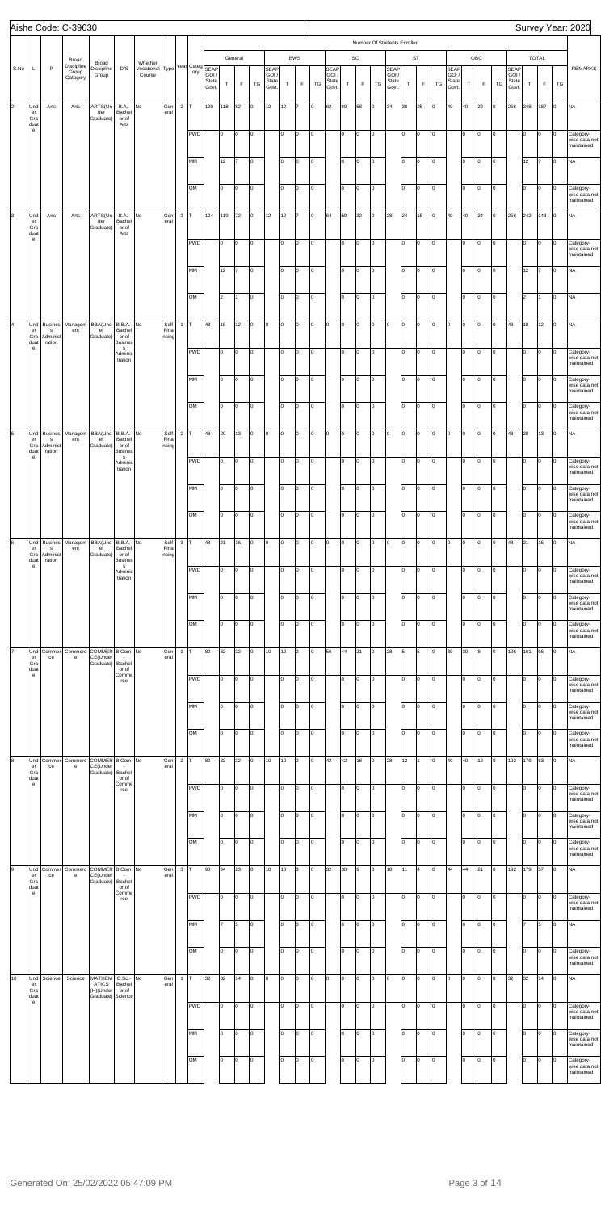|                      |                                                                 |                                                      | Aishe Code: C-39630                      |                                                          |                                                      |                                                      |                       |                |            |                         |           |                        |         |                                        |             |                    |        |                                        |          |                                             |                |                                                                     |          |                   |          |                                 |             |                    |          |                                        |             |                             |                | Survey Year: 2020                                     |
|----------------------|-----------------------------------------------------------------|------------------------------------------------------|------------------------------------------|----------------------------------------------------------|------------------------------------------------------|------------------------------------------------------|-----------------------|----------------|------------|-------------------------|-----------|------------------------|---------|----------------------------------------|-------------|--------------------|--------|----------------------------------------|----------|---------------------------------------------|----------------|---------------------------------------------------------------------|----------|-------------------|----------|---------------------------------|-------------|--------------------|----------|----------------------------------------|-------------|-----------------------------|----------------|-------------------------------------------------------|
| S.No                 | L                                                               | $\mathsf{P}$                                         | Broad<br>Discipline<br>Group<br>Category | Broad<br>Discipline<br>Group                             | D/S                                                  | Whether<br>Vocational Type Year Categ SEAP<br>Course |                       |                | ory        | GOI /<br>State<br>Govt. | $\top$    | General<br>$\mathsf F$ | TG      | <b>SEAP</b><br>GOI /<br>State<br>Govt. | $\mathsf T$ | EWS<br>$\mathsf F$ | TG     | <b>SEAP</b><br>GOI /<br>State<br>Govt. | $\top$   | $\operatorname{\textsf{SC}}$<br>$\mathsf F$ | TG             | Number Of Students Enrolled<br><b>SEAP</b><br>GOI/<br>State<br>Govt | $\top$   | ST<br>$\mathsf F$ | TG       | SEAP<br>GOI /<br>State<br>Govt. | $\mathsf T$ | OBC<br>$\mathsf F$ | TG       | <b>SEAP</b><br>GOI /<br>State<br>Govt. | $\mathsf T$ | <b>TOTAL</b><br>$\mathsf F$ | TG             | <b>REMARKS</b>                                        |
| $\vert$ <sub>2</sub> | Und<br>er<br>Gra<br>duat                                        | Arts                                                 | Arts                                     | ARTS(Un<br>der<br>Graduate)                              | <b>B.A.-</b><br>Bachel<br>or of<br>Arts              | No                                                   | Gen<br>eral           | $\overline{2}$ |            | 120                     | 118       | 82                     | lо      | 12                                     | 12          |                    | o      | 62                                     | 60       | 58                                          | lо             | 34                                                                  | 30       | 25                | lо       | 40                              | 40          | 22                 | lo.      | 256                                    | 248         | 187                         | $\circ$        | <b>NA</b>                                             |
|                      | $\mathsf{e}% _{0}\left( \mathsf{e}\right)$                      |                                                      |                                          |                                                          |                                                      |                                                      |                       |                | <b>PWD</b> |                         | lо        | o                      | O       |                                        | I٥          | lo.                | O      |                                        | lо       | O                                           | lо             |                                                                     | I٥       | Iо                | Iо       |                                 | lо          | Iо                 | o        |                                        | I٥          | Iо                          | O              | Category-<br>wise data not<br>maintained              |
|                      |                                                                 |                                                      |                                          |                                                          |                                                      |                                                      |                       |                | MM         |                         | 12        | 17                     | O       |                                        | Iо          | lo.                | O      |                                        | lo.      | O                                           | lо             |                                                                     | I٥       | Iо                | lо       |                                 | Iо          | lо                 | o        |                                        | 12          | 17                          | lo.            | <b>NA</b>                                             |
| 3                    | Und                                                             | Arts                                                 | Arts                                     | ARTS(Un                                                  | <b>B.A.-</b>                                         | No                                                   | Gen                   | $\mathbf{3}$   | OM         | 124                     | I٥<br>119 | O.<br>72               | O<br>Iо | 12                                     | lо<br>12    | lo.                | O<br>o | 64                                     | lо<br>59 | O<br>32                                     | lо<br>lо       | 28                                                                  | I٥<br>24 | Iо<br>15          | Iо<br>lо | 40                              | Iо<br>40    | Iо<br>24           | O<br>lo. | 256                                    | lo.<br>242  | 0<br>143                    | 0<br>$\vert$ 0 | Category-<br>wise data not<br>maintained<br><b>NA</b> |
|                      | er<br>Gra<br>duat<br>$\mathsf{e}% _{0}\left( \mathsf{e}\right)$ |                                                      |                                          | der<br>Graduate)                                         | Bachel<br>or of<br>Arts                              |                                                      | eral                  |                |            |                         |           |                        |         |                                        |             |                    |        |                                        |          |                                             |                |                                                                     |          |                   |          |                                 |             |                    |          |                                        |             |                             |                |                                                       |
|                      |                                                                 |                                                      |                                          |                                                          |                                                      |                                                      |                       |                | <b>PWD</b> |                         | lо        | o                      | O       |                                        | I٥          | lo.                | O      |                                        | lо       | O                                           | lо             |                                                                     | I٥       | Iо                | Iо       |                                 | lо          | Iо                 | o        |                                        | lo.         | Iо                          | O              | Category-<br>wise data not<br>maintained              |
|                      |                                                                 |                                                      |                                          |                                                          |                                                      |                                                      |                       |                | MM         |                         | 12        | 17                     | O       |                                        | Iо          | lo.                | O      |                                        | lo.      | O                                           | lо             |                                                                     | I٥       | Iо                | lо       |                                 | Iо          | Iо                 | o        |                                        | 12          | 17                          | O              | <b>NA</b>                                             |
|                      |                                                                 |                                                      |                                          |                                                          |                                                      |                                                      |                       |                | OM         |                         | 2         | 1                      | O       |                                        | lo          | lo.                | o      |                                        | lо       | O                                           | lо             |                                                                     | I٥       | Iо                | Iо       |                                 | Iо          | Iо                 | o        |                                        | 2           |                             | O              | <b>NA</b>                                             |
|                      | Und<br>$\mathsf{er}\,$<br>Gra<br>duat                           | <b>Busines</b><br>$\mathbf{s}$<br>Administ<br>ration | Managem<br>ent                           | BBA(Und<br>er<br>Graduate)                               | B.B.A.- No<br>Bachel<br>or of<br>Busines             |                                                      | Self<br>Fina<br>ncing | $\mathbf{1}$   | т          | 48                      | 18        | 12                     | Iо      | lо                                     | lo.         | O                  | O      | O                                      | o        | O                                           | lо             | ю                                                                   | O        | Iо                | Iо       | o                               | lo.         | lо                 | lo.      | 48                                     | 18          | 12                          | O              | <b>NA</b>                                             |
|                      | e                                                               |                                                      |                                          |                                                          | $\mathbf{s}$<br>Adminis<br>tration                   |                                                      |                       |                | <b>PWD</b> |                         | lо        | o                      | O       |                                        | I٥          | lo.                | O      |                                        | lо       | O                                           | lо             |                                                                     | I٥       | Iо                | Iо       |                                 | Iо          | Iо                 | o        |                                        | I٥          | Iо                          | O              | Category-<br>wise data not<br>maintained              |
|                      |                                                                 |                                                      |                                          |                                                          |                                                      |                                                      |                       |                | MM         |                         | I٥        | O.                     | O       |                                        | Iо          | lo.                | o      |                                        | lo.      | O                                           | lо             |                                                                     | lo       | Iо                | lо       |                                 | Iо          | Iо                 | o        |                                        | I٥          | Iо                          | l0             | Category-<br>wise data not<br>maintained              |
|                      |                                                                 |                                                      |                                          |                                                          |                                                      |                                                      |                       |                | OM         |                         | I٥        | o                      | O       |                                        | lo          | lo.                | o      |                                        | lо       | O                                           | lо             |                                                                     | I٥       | Iо                | Iо       |                                 | Iо          | Iо                 | o        |                                        | I٥          | Iо                          | o              | Category-<br>wise data not<br>maintained              |
| 5                    | Und<br>er<br>Gra                                                | <b>Busines</b><br>$\mathbf{s}$<br>Administ           | Managem<br>ent                           | BBA(Und   B.B.A.- No<br>er<br>Graduate)                  | Bachel<br>or of                                      |                                                      | Self<br>Fina<br>ncing | $\overline{2}$ | т          | 48                      | 20        | 13                     | Iо      | O                                      | o           | O                  | O      | O                                      | Iо       | O                                           | lо             | ю                                                                   | O        | Iо                | lо       | O                               | Iо          | lо                 | o        | 48                                     | 20          | 13                          | lо             | <b>NA</b>                                             |
|                      | duat<br>$\mathbf{e}$                                            | ration                                               |                                          |                                                          | <b>Busines</b><br><b>S</b><br>Adminis<br>tration     |                                                      |                       |                | <b>PWD</b> |                         | 10        | O                      | O       |                                        | I٥          | O                  | O      |                                        | lо       | o                                           | lо             |                                                                     | I٥       | Iо                | Iо       |                                 | Iо          | Iо                 | o        |                                        | lo.         | 0                           | 0              | Category-<br>wise data not<br>harictnicm              |
|                      |                                                                 |                                                      |                                          |                                                          |                                                      |                                                      |                       |                | MM         |                         | lо        | lo.                    | lo      |                                        | lo.         | $\Omega$           | lо     |                                        | I٥       | O                                           | I۵             |                                                                     | l٥       | O                 | Iо       |                                 | Iо          | Iо                 | o        |                                        | lо          | l0                          | 0              | Category-<br>wise data not<br>maintained              |
|                      |                                                                 |                                                      |                                          |                                                          |                                                      |                                                      |                       |                | OM         |                         | Iо        | lo.                    | O       |                                        | Iо          | $\Omega$           | I٥     |                                        | lо       | O                                           | ln.            |                                                                     | lo       | o                 | Iо       |                                 | Iо          | I٥                 | lo.      |                                        | lo.         | l0                          | O              | Category-<br>wise data not<br>maintained              |
| 6                    | Und<br>er<br>Gra                                                | <b>Busines</b><br>$\mathbf{s}$<br>Administ           | Managem<br>ent                           | BBA(Und<br>er<br>Graduate)                               | B.B.A.- No<br>Bachel<br>or of                        |                                                      | Self<br>Fina<br>ncing | $\mathbf{3}$   |            | 48                      | 21        | 16                     | O       | O                                      | l0          | $\Omega$           | I٥     | O                                      | O        | O                                           | l0             | Iо                                                                  | lo.      | O                 | Iо       | lо                              | l0          | I٥                 | I٥       | 48                                     | 21          | 16                          | O              | <b>NA</b>                                             |
|                      | duat<br>e                                                       | ration                                               |                                          |                                                          | <b>Busines</b><br>$\mathbf{s}$<br>Adminis<br>tration |                                                      |                       |                | PWD        |                         | lо        | l0                     | O       |                                        | lo.         | $\Omega$           | O      |                                        | I٥       | O                                           | l0             |                                                                     | I٥       | O                 | Iо       |                                 | l٥          | I٥                 | I٥       |                                        | lo.         | I٥                          | o              | Category-<br>wise data not<br>maintained              |
|                      |                                                                 |                                                      |                                          |                                                          |                                                      |                                                      |                       |                | MM         |                         | I٥        | l0                     | O       |                                        | lo.         | $\Omega$           | I٥     |                                        | I٥       | O                                           | In.            |                                                                     | l٥       | lo.               | Iо       |                                 | Iо          | I٥                 | lo.      |                                        | I٥          | I٥                          | 0              | Category-<br>wise data not<br>maintained              |
|                      |                                                                 |                                                      |                                          |                                                          |                                                      |                                                      |                       |                | OM         |                         | Iо        | lo.                    | O       |                                        | lо          | $\Omega$           | lo.    |                                        | lо       | O                                           | ln.            |                                                                     | lo       | o                 | Iо       |                                 | Iо          | I٥                 | lo.      |                                        | lo.         | O                           | O              | Category-<br>wise data not<br>maintained              |
|                      | Und<br>$\mathop{\mathsf{er}}$<br>Gra<br>duat                    | Commer<br>ce                                         | Commerc<br>e                             | COMMER B.Com. No<br>CE(Under<br>Graduate)                | Bachel<br>or of                                      |                                                      | Gen<br>eral           | $\mathbf{1}$   |            | 82                      | 82        | 32                     | lo.     | 10                                     | 10          | $\overline{c}$     | I٥     | 56                                     | 44       | 21                                          | lo.            | 28                                                                  | 5        | 5                 | Iо       | 30                              | 30          | 8                  | I٥       | 196                                    | 161         | 66                          | O              | <b>NA</b>                                             |
|                      | $\mathsf{e}% _{0}\left( \mathsf{e}\right)$                      |                                                      |                                          |                                                          | Comme<br>rce                                         |                                                      |                       |                | <b>PWD</b> |                         | lо        | lo.                    | O       |                                        | I٥          | $\Omega$           | O      |                                        | I٥       | O                                           | l0.            |                                                                     | lo       | O                 | Iо       |                                 | l٥          | I٥                 | I٥       |                                        | lo.         | 0                           | l0             | Category-<br>wise data not<br>maintained              |
|                      |                                                                 |                                                      |                                          |                                                          |                                                      |                                                      |                       |                | MM         |                         | I٥        | l0                     | O       |                                        | lo.         | $\Omega$           | I٥     |                                        | I٥       | O                                           | I۵             |                                                                     | ln.      | lo.               | Iо       |                                 | Iо          | I٥                 | lo.      |                                        | I٥          | I٥                          | 0              | Category-<br>wise data not<br>maintained              |
|                      |                                                                 |                                                      |                                          |                                                          |                                                      |                                                      |                       |                | OM         |                         | Iо        | lo.                    | O       |                                        | lо          | $\Omega$           | l0     |                                        | lо       | O                                           | ln.            |                                                                     | lo       | o                 | Iо       |                                 | Iо          | I٥                 | lo.      |                                        | lo.         | O                           | Iо             | Category-<br>wise data not<br>maintained              |
| 8                    | Und<br>er<br>Gra                                                | Commer<br>ce                                         | Commerc<br>e                             | COMMER B.Com. No<br>CE(Under<br>Graduate)                | Bachel                                               |                                                      | Gen<br>eral           | $\overline{2}$ |            | 82                      | 82        | 32                     | lo.     | 10                                     | 10          | $\overline{2}$     | I٥     | 42                                     | 42       | 18                                          | l0             | 28                                                                  | 12       |                   | Iо       | 40                              | 40          | 12                 | I٥       | 192                                    | 176         | 63                          | O              | <b>NA</b>                                             |
|                      | duat<br>$\mathsf{e}% _{0}\left( \mathsf{e}\right)$              |                                                      |                                          |                                                          | or of<br>Comme<br>rce                                |                                                      |                       |                | <b>PWD</b> |                         | Iо        | I۵                     | O       |                                        | lo.         | $\Omega$           | O      |                                        | I٥       | O                                           | I٥             |                                                                     | lo       | o                 | Iо       |                                 | l٥          | I٥                 | I٥       |                                        | lo.         | 0                           | l0             | Category-<br>wise data not<br>maintained              |
|                      |                                                                 |                                                      |                                          |                                                          |                                                      |                                                      |                       |                | MM         |                         | I٥        | l0                     | lo      |                                        | lo.         | $\Omega$           | I٥     |                                        | I٥       | 0                                           | In.            |                                                                     | ln.      | lo.               | Iо       |                                 | Iо          | I٥                 | lo.      |                                        | I٥          | I٥                          | 0              | Category-<br>wise data not<br>maintained              |
|                      |                                                                 |                                                      |                                          |                                                          |                                                      |                                                      |                       |                | OM         |                         | Iо        | lo.                    | O       |                                        | lо          | $\Omega$           | I٥     |                                        | I٥       | O                                           | ln.            |                                                                     | lo       | o                 | Iо       |                                 | Iо          | I٥                 | lo.      |                                        | lo.         | O                           | O              | Category-<br>wise data not<br>maintained              |
| l9                   | Und<br>er<br>Gra                                                | Commer<br>ce                                         | Commerc<br>e                             | COMMER B.Com. No<br>CE(Under<br>Graduate)                | Bachel                                               |                                                      | Gen<br>eral           | $\mathbf{3}$   |            | 98                      | 94        | 23                     | lo.     | 10                                     | 10          | 3                  | I٥     | 32                                     | 30       | 9                                           | lo.            | 18                                                                  | 11       | $\overline{4}$    | Iо       | 44                              | 44          | 21                 | I٥       | 192                                    | 179         | 57                          | O              | <b>NA</b>                                             |
|                      | duat<br>$\mathsf{e}% _{0}\left( \mathsf{e}\right)$              |                                                      |                                          |                                                          | or of<br>Comme<br>rce                                |                                                      |                       |                | <b>PWD</b> |                         | I٥        | lo.                    | O       |                                        | I٥          | $\Omega$           | lо     |                                        | I٥       | O                                           | I٥             |                                                                     | lo       | o                 | Iо       |                                 | l٥          | I٥                 | I٥       |                                        | lo.         | 0                           | l0             | Category-<br>wise data not<br>maintained              |
|                      |                                                                 |                                                      |                                          |                                                          |                                                      |                                                      |                       |                | MM         |                         | 7         | 5                      | lо      |                                        | lo          | $\Omega$           | o      |                                        | lo.      | O                                           | $\overline{0}$ |                                                                     | I٥       | Iо                | Iо       |                                 | lо          | O                  | lо       |                                        | 17          | 5                           | lо             | <b>NA</b>                                             |
|                      |                                                                 |                                                      |                                          |                                                          |                                                      |                                                      |                       |                | OM         |                         | lо        | lo.                    | lo.     |                                        | lo          | lo.                | O      |                                        | lо       | O                                           | I0.            |                                                                     | I٥       | Iо                | Iо       |                                 | lo.         | Iо                 | o        |                                        | I٥          | Iо                          | l0             | Category-<br>wise data not<br>maintained              |
| 10                   | Und<br>er<br>Gra<br>duat                                        | Science                                              | Science                                  | MATHEM<br><b>ATICS</b><br>(H)(Under<br>Graduate) Science | B.Sc.-<br>Bachel<br>or of                            | No                                                   | Gen<br>eral           | 1              |            | 32                      | 32        | 14                     | O       | O                                      | I٥          | ŋ                  | I٥     | 0                                      | o        | 0                                           | In.            | Iо                                                                  | lo.      | O                 | Iо       | I٥                              | I٥          | I٥                 | I٥       | 32                                     | 32          | 14                          | O              | <b>NA</b>                                             |
|                      | $\mathbf{e}$                                                    |                                                      |                                          |                                                          |                                                      |                                                      |                       |                | PWD        |                         | l٥        | ln.                    | O       |                                        | lo.         | $\Omega$           | lо     |                                        | I٥       | 0                                           | I٥             |                                                                     | lo       | O                 | Iо       |                                 | l٥          | I٥                 | I٥       |                                        | lo.         | 0                           | O              | Category-<br>wise data not<br>maintained              |
|                      |                                                                 |                                                      |                                          |                                                          |                                                      |                                                      |                       |                | MM         |                         | Iо        | l0                     | l0      |                                        | lo.         | $\Omega$           | lо     |                                        | I٥       | 0                                           | I٥             |                                                                     | lo       | O                 | Iо       |                                 | Iо          | O                  | I٥       |                                        | I٥          | I٥                          | 0              | Category-<br>wise data not<br>maintained              |
|                      |                                                                 |                                                      |                                          |                                                          |                                                      |                                                      |                       |                | OM         |                         | lо        | lo.                    | lo      |                                        | lo          | $\Omega$           | O      |                                        | lо       | 0                                           | I٥             |                                                                     | lo       | O                 | Iо       |                                 | Iо          | I٥                 | lo.      |                                        | I٥          | 0                           | 0              | Category-<br>wise data not<br>maintained              |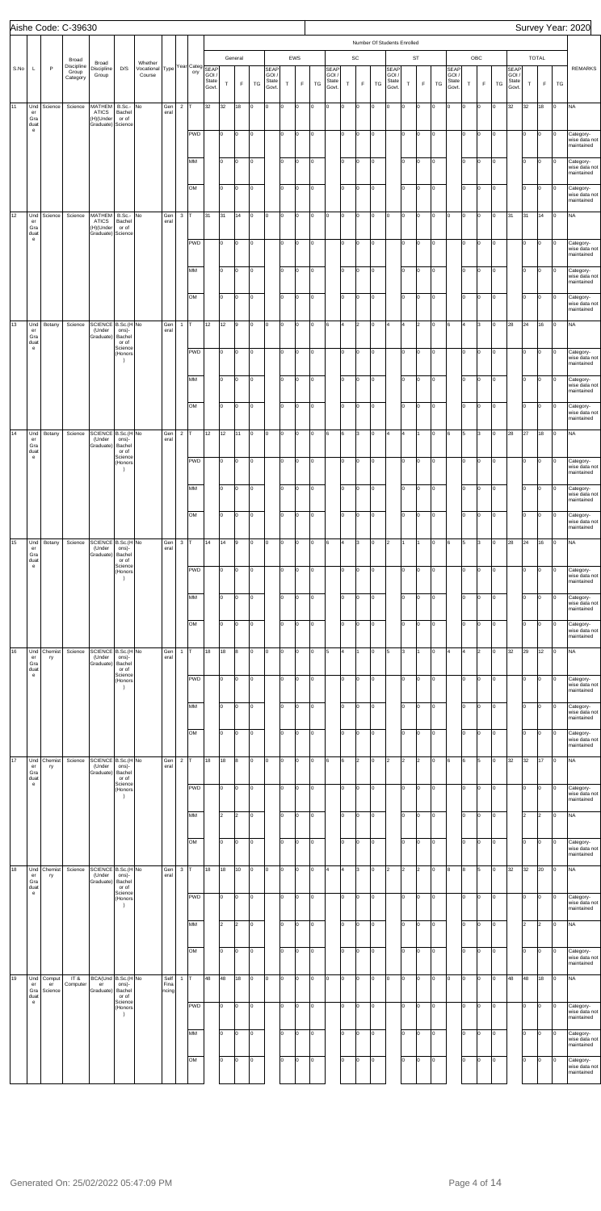|      |                                                                        |                         | Aishe Code: C-39630                      |                                                   |                                        |                                                      |                       |                |            |                         |             |                        |         |                                        |             |                      |        |                                        |         |                                             |                |                                                                     |                |                          |          |                                 |          |                    |         |                                        |             |                             |        | Survey Year: 2020                                     |
|------|------------------------------------------------------------------------|-------------------------|------------------------------------------|---------------------------------------------------|----------------------------------------|------------------------------------------------------|-----------------------|----------------|------------|-------------------------|-------------|------------------------|---------|----------------------------------------|-------------|----------------------|--------|----------------------------------------|---------|---------------------------------------------|----------------|---------------------------------------------------------------------|----------------|--------------------------|----------|---------------------------------|----------|--------------------|---------|----------------------------------------|-------------|-----------------------------|--------|-------------------------------------------------------|
| S.No | L                                                                      | $\mathsf{P}$            | Broad<br>Discipline<br>Group<br>Category | Broad<br>Discipline<br>Group                      | D/S                                    | Whether<br>Vocational Type Year Categ SEAP<br>Course |                       |                | ory        | GOI /<br>State<br>Govt. | $\mathsf T$ | General<br>$\mathsf F$ | TG      | <b>SEAP</b><br>GOI /<br>State<br>Govt. | $\mathsf T$ | EWS<br>$\mathsf F$   | TG     | <b>SEAP</b><br>GOI /<br>State<br>Govt. | $\top$  | $\operatorname{\textsf{SC}}$<br>$\mathsf F$ | TG             | Number Of Students Enrolled<br><b>SEAP</b><br>GOI/<br>State<br>Govt | $\top$         | <b>ST</b><br>$\mathsf F$ | TG       | SEAP<br>GOI /<br>State<br>Govt. | $\sf T$  | OBC<br>$\mathsf F$ | TG      | <b>SEAP</b><br>GOI /<br>State<br>Govt. | $\mathsf T$ | <b>TOTAL</b><br>$\mathsf F$ | TG     | <b>REMARKS</b>                                        |
| 11   | Und<br>er<br>Gra<br>duat<br>$\mathbf{e}$                               | Science                 | Science                                  | MATHEM<br>ATICS<br>(H)(Under<br>Graduate) Science | B.Sc.-<br>Bachel<br>or of              | No                                                   | Gen<br>eral           | $\overline{2}$ | <b>PWD</b> | 32                      | 32<br>lо    | 18<br>o                | Iо<br>O | O                                      | l0<br>I٥    | $\Omega$<br>$\Omega$ | O<br>O | O                                      | O<br>lо | o<br>O                                      | lо<br>lо       | O                                                                   | o<br>I٥        | O<br>O                   | lо<br>Iо | O                               | l0<br>Iо | Iо<br>O            | I٥<br>o | 32                                     | 32<br>I٥    | 18<br>Iо                    | O<br>O | <b>NA</b>                                             |
|      |                                                                        |                         |                                          |                                                   |                                        |                                                      |                       |                | MM         |                         | lо          | o                      | O       |                                        | Iо          | $\Omega$             | O      |                                        | I٥      | O                                           | lо             |                                                                     | I٥             | Iо                       | Iо       |                                 | Iо       | Iо                 | O       |                                        | I٥          | Iо                          | l0     | Category-<br>wise data not<br>maintained<br>Category- |
|      |                                                                        |                         |                                          |                                                   |                                        |                                                      |                       |                | OM         |                         | lо          | o                      | O       |                                        | lo          | $\Omega$             | o      |                                        | lо      | O                                           | lо             |                                                                     | I٥             | Iо                       | Iо       |                                 | Iо       | Iо                 | O       |                                        | lo.         | Iо                          | Iо     | wise data not<br>maintained<br>Category-              |
| 12   | Und                                                                    | Science                 | Science                                  |                                                   | B.Sc.-                                 | No                                                   | Gen                   | $\mathbf{3}$   |            | 31                      | 31          | 14                     | Iо      | O                                      | lo.         | O                    | O      | O                                      | O       | O                                           | lо             | Iо                                                                  | O              | O                        | Iо       | lо                              | l0       | O                  | O       | 31                                     | 31          | 14                          | O      | wise data not<br>maintained<br><b>NA</b>              |
|      | er<br>Gra<br>duat<br>$\mathbf{e}$                                      |                         |                                          | MATHEM<br>ATICS<br>(H)(Under<br>Graduate) Science | Bachel<br>or of                        |                                                      | eral                  |                | <b>PWD</b> |                         | lо          | o                      | O       |                                        | I٥          | $\Omega$             | O      |                                        | I٥      | O                                           | lо             |                                                                     | I٥             | Iо                       | Iо       |                                 | Iо       | Iо                 | lo.     |                                        | I٥          | Iо                          | O      | Category-                                             |
|      |                                                                        |                         |                                          |                                                   |                                        |                                                      |                       |                | MM         |                         | lо          | o                      | O       |                                        | Iо          | $\Omega$             | O      |                                        | I٥      | O                                           | lо             |                                                                     | I٥             | Iо                       | Iо       |                                 | Iо       | Iо                 | O       |                                        | I٥          | Iо                          | l0     | wise data not<br>maintained<br>Category-              |
|      |                                                                        |                         |                                          |                                                   |                                        |                                                      |                       |                | OM         |                         | lо          | o                      | O       |                                        | lo          | lo.                  | o      |                                        | lо      | O                                           | lо             |                                                                     | I٥             | Iо                       | Iо       |                                 | Iо       | Iо                 | o       |                                        | I٥          | Iо                          | o      | wise data not<br>maintained<br>Category-              |
| 13   | Und                                                                    | Botany                  | Science                                  | SCIENCE B.Sc.(H No                                |                                        |                                                      | Gen                   | $\overline{1}$ |            | 12                      | 12          | 9                      | O       | O                                      | l0          | lo.                  | O      | 6                                      | 4       | 2                                           | lo.            | 4                                                                   | 4              | $\overline{2}$           | Iо       | 6                               | 4        | 3                  | lo.     | 28                                     | 24          | 16                          | O      | wise data not<br>maintained<br><b>NA</b>              |
|      | er<br>Gra<br>duat<br>$\mathbf{e}$                                      |                         |                                          | (Under<br>Graduate)                               | ons)-<br>Bachel<br>or of<br>Science    |                                                      | eral                  |                | <b>PWD</b> |                         | lо          | o                      | O       |                                        | I٥          | $\Omega$             | O      |                                        | lо      | O                                           | lо             |                                                                     | I٥             | Iо                       | Iо       |                                 | Iо       | Iо                 | lo.     |                                        | I٥          | Iо                          | O      | Category-                                             |
|      |                                                                        |                         |                                          |                                                   | (Honors<br>$\rightarrow$               |                                                      |                       |                | MM         |                         | lо          | o                      | O       |                                        | Iо          | $\Omega$             | O      |                                        | I٥      | O                                           | Iо             |                                                                     | lo             | Iо                       | Iо       |                                 | Iо       | Iо                 | O       |                                        | I٥          | Iо                          | l0     | wise data not<br>maintained                           |
|      |                                                                        |                         |                                          |                                                   |                                        |                                                      |                       |                | OM         |                         | I٥          | o                      |         |                                        | lo          | lo.                  |        |                                        |         |                                             |                |                                                                     | I٥             |                          |          |                                 | Iо       |                    | o       |                                        |             |                             |        | Category-<br>wise data not<br>maintained              |
|      |                                                                        |                         |                                          |                                                   |                                        |                                                      |                       |                |            |                         |             |                        | O       |                                        |             |                      | O      |                                        | lо      | O                                           | Iо             |                                                                     | 4              | Iо<br>11                 | Iо       |                                 |          | Iо                 |         |                                        | I٥          | Iо                          | Iо     | Category-<br>wise data not<br>maintained              |
| 14   | Und<br>er<br>Gra<br>duat<br>$\mathbf{e}$                               | Botany                  | Science                                  | SCIENCE B.Sc.(H No<br>(Under<br>Graduate)         | ons)-<br>Bachel<br>or of<br>Science    |                                                      | Gen<br>eral           | $\overline{2}$ |            | 12                      | 12          | 11                     | Iо      | O                                      | o           | O                    | O      | 6                                      | 6       | 3                                           | lo.            | 4                                                                   |                |                          | Iо       | 6                               | 5        | 3                  | o       | 28                                     | 27          | 18                          | O      | <b>NA</b>                                             |
|      |                                                                        |                         |                                          |                                                   | (Honors<br>$\rightarrow$               |                                                      |                       |                | <b>PWD</b> |                         | 10          | O.                     | O       |                                        | I٥          | lo                   | O      |                                        | lо      | o                                           | Iо<br>I۵       |                                                                     | I٥             | Iо                       | Iо       |                                 | lо       | Iо                 | o       |                                        | I٥          | 0                           | 0      | Category-<br>wise data not<br>maintained              |
|      |                                                                        |                         |                                          |                                                   |                                        |                                                      |                       |                | MM         |                         | lо          | lo.                    | lo      |                                        | lo.         | $\Omega$             | lо     |                                        | I٥      | O                                           |                |                                                                     | l٥             | O                        | Iо       |                                 | Iо       | Iо                 | lo.     |                                        | I٥          | l0                          | 0      | Category-<br>wise data not<br>maintained              |
|      |                                                                        |                         |                                          |                                                   |                                        |                                                      |                       |                | OM         |                         | Iо          | lo.                    | O       |                                        | lо          | $\Omega$             | l0     |                                        | lо      | O                                           | ln.            |                                                                     | lo             | o                        | Iо       |                                 | Iо       | I٥                 | lo.     |                                        | lo.         | l0                          | O      | Category-<br>wise data not<br>maintained              |
| 15   | Und<br>er<br>Gra<br>duat<br>$\mathbf{e}$                               | Botany                  | Science                                  | SCIENCE B.Sc.(H No<br>(Under<br>Graduate)         | ons)-<br>Bachel<br>or of<br>Science    |                                                      | Gen<br>eral           | $\mathbf{3}$   |            | 14                      | 14          | l9                     | 0       | O                                      | l0          | $\Omega$<br>$\Omega$ | I٥     | 6                                      | 4       | 3                                           | l0             | 2                                                                   |                |                          | Iо       | 6                               | 5        | Iз                 | I٥      | 28                                     | 24          | 16                          | O      | <b>NA</b>                                             |
|      |                                                                        |                         |                                          |                                                   | (Honors<br>$\lambda$                   |                                                      |                       |                | <b>PWD</b> |                         | lо          | l0                     | O       |                                        | I٥          |                      | O      |                                        | I٥      | 0                                           | I٥             |                                                                     | I٥<br>l٥       | O                        | Iо       |                                 | l٥       | I٥                 | I٥      |                                        | lo.         | I٥<br>l٥                    | l0     | Category-<br>wise data not<br>maintained              |
|      |                                                                        |                         |                                          |                                                   |                                        |                                                      |                       |                | MM         |                         | I٥          | l0                     | O       |                                        | lo.         | $\Omega$             | I٥     |                                        | I٥      | O                                           | ln.            |                                                                     |                | lo.                      | Iо       |                                 | Iо       | I٥                 | lo.     |                                        | I٥          |                             | 0      | Category-<br>wise data not<br>maintained              |
|      |                                                                        |                         |                                          |                                                   |                                        |                                                      |                       |                | OM         |                         | Iо          | lo.                    | O       |                                        | lо          | $\Omega$             | lo.    |                                        | lо      | O                                           | I۵             |                                                                     | lo             | o                        | Iо       |                                 | Iо       | I٥                 | lo.     |                                        | lo.         | l0                          | O      | Category-<br>wise data not<br>maintained              |
| 16   | Und<br>er<br>Gra<br>duat<br>$\mathbf{e}$                               | Chemist<br>ry           | Science                                  | SCIENCE B.Sc.(H No<br>(Under<br>Graduate)         | ons)-<br>Bachel<br>or of<br>Science    |                                                      | Gen<br>eral           | $\mathbf{1}$   |            | 18                      | 18          | 8                      | lo.     | O                                      | I٥          | $\Omega$             | I٥     | 5                                      | 4       |                                             | lo.            | 5                                                                   | 3              |                          | Iо       | l4                              | 4        | l2                 | I٥      | 32                                     | 29          | 12                          | O      | <b>NA</b>                                             |
|      |                                                                        |                         |                                          |                                                   | (Honors<br>$\lambda$                   |                                                      |                       |                | <b>PWD</b> |                         | lо          | lo.                    | O       |                                        | lo.         | $\Omega$             | O      |                                        | I٥      | O                                           | I٥             |                                                                     | lo             | O                        | Iо       |                                 | l٥       | I٥                 | I٥      |                                        | lo.         | I٥                          | l0     | Category-<br>wise data not<br>maintained              |
|      |                                                                        |                         |                                          |                                                   |                                        |                                                      |                       |                | MM         |                         | I٥          | l0                     | O       |                                        | lo.         | $\Omega$             | I٥     |                                        | I٥      | 0                                           | ln.            |                                                                     | ln.            | lo.                      | Iо       |                                 | Iо       | I٥                 | lo.     |                                        | I٥          | I٥                          | 0      | Category-<br>wise data not<br>maintained              |
|      |                                                                        |                         |                                          |                                                   |                                        |                                                      |                       |                | OM         |                         | Iо          | lo.                    | O       |                                        | lо          | $\Omega$             | l0     |                                        | lо      | O                                           | I۵             |                                                                     | lo             | o                        | Iо       |                                 | Iо       | I٥                 | lo.     |                                        | lo.         | O                           | Iо     | Category-<br>wise data not<br>maintained              |
| 17   | Und<br>er<br>Gra<br>duat<br>$\mathsf{e}% _{0}\left( \mathsf{e}\right)$ | Chemist<br>ry           | Science                                  | SCIENCE B.Sc.(H No<br>(Under<br>Graduate)         | ons)-<br>Bachel<br>or of<br>Science    |                                                      | Gen<br>eral           | $\overline{c}$ |            | 18                      | 18          | 8                      | lo.     | O                                      | I٥          | $\Omega$             | I٥     | 6                                      | 6       | 2                                           | l0             | 2                                                                   | $\overline{2}$ | $\overline{2}$           | lо       | 6                               | 6        | l5                 | I٥      | 32                                     | 32          | 17                          | O      | <b>NA</b>                                             |
|      |                                                                        |                         |                                          |                                                   | (Honors<br>$\lambda$                   |                                                      |                       |                | <b>PWD</b> |                         | Iо          | l0                     | O       |                                        | lo.         | $\Omega$             | I٥     |                                        | I٥      | O                                           | I٥             |                                                                     | lo             | o                        | Iо       |                                 | l٥       | I٥                 | I٥      |                                        | lo.         | 0                           | l0     | Category-<br>wise data not<br>maintained              |
|      |                                                                        |                         |                                          |                                                   |                                        |                                                      |                       |                | MM         |                         | 2           | 2                      | O       |                                        | lo.         | $\Omega$             | I٥     |                                        | I٥      | 0                                           | ln.            |                                                                     | ln.            | lo.                      | Iо       |                                 | Iо       | I٥                 | lo.     |                                        | 2           | $\overline{2}$              | 0      | <b>NA</b>                                             |
|      |                                                                        |                         |                                          |                                                   |                                        |                                                      |                       |                | OM         |                         | Iо          | lo.                    | O       |                                        | lo          | $\Omega$             | I٥     |                                        | lо      | O                                           | ln.            |                                                                     | lo             | o                        | Iо       |                                 | Iо       | I٥                 | lo.     |                                        | lo.         | I٥                          | l0     | Category-<br>wise data not<br>maintained              |
| 18   | Und<br>er<br>Gra<br>duat<br>$\mathsf{e}% _{0}\left( \mathsf{e}\right)$ | Chemist<br>ry           | Science                                  | SCIENCE B.Sc.(H No<br>(Under<br>Graduate)         | ons)-<br>Bachel<br>or of<br>Science    |                                                      | Gen<br>eral           | $\mathbf{3}$   |            | 18                      | 18          | 10                     | lo.     | O                                      | I٥          | $\Omega$             | I٥     | 4                                      | 4       | 3                                           | I٥             | 2                                                                   | $\overline{2}$ | 2                        | Iо       | 8                               | 8        | l5                 | I٥      | 32                                     | 32          | 20                          | O      | <b>NA</b>                                             |
|      |                                                                        |                         |                                          |                                                   | (Honors<br>$\lambda$                   |                                                      |                       |                | <b>PWD</b> |                         | I٥          | lo.                    | O       |                                        | I٥          | $\Omega$             | lо     |                                        | I٥      | O                                           | I٥             |                                                                     | lo             | o                        | Iо       |                                 | l٥       | I٥                 | I٥      |                                        | lo.         | 0                           | l0     | Category-<br>wise data not<br>maintained              |
|      |                                                                        |                         |                                          |                                                   |                                        |                                                      |                       |                | MM         |                         | 2           | $\overline{2}$         | lо      |                                        | lо          | 0                    | o      |                                        | lо      | o                                           | $\overline{0}$ |                                                                     | I٥             | Iо                       | Iо       |                                 | lо       | Iо                 | lо      |                                        | 2           | $\vert$ <sub>2</sub>        | lо     | <b>NA</b>                                             |
|      |                                                                        |                         |                                          |                                                   |                                        |                                                      |                       |                | OM         |                         | lо          | lo.                    | lo.     |                                        | lo          | lo.                  | o      |                                        | lо      | O                                           | I0.            |                                                                     | I٥             | Iо                       | Iо       |                                 | lo.      | Iо                 | o       |                                        | I٥          | Iо                          | l0     | Category-<br>wise data not<br>maintained              |
| 19   | Und<br>er<br>Gra<br>duat                                               | Comput<br>er<br>Science | IT&<br>Computer                          | BCA(Und<br>er<br>Graduate)                        | B.Sc.(H No<br>ons)-<br>Bachel<br>or of |                                                      | Self<br>Fina<br>ncing | $\mathbf{1}$   |            | 48                      | 48          | 18                     | O       | O                                      | I٥          | $\Omega$             | I٥     | 0                                      | o       | 0                                           | In.            | Iо                                                                  | lo.            | O                        | Iо       | Iо                              | I٥       | I٥                 | I٥      | 48                                     | 48          | 18                          | 0      | <b>NA</b>                                             |
|      | $\mathbf{e}$                                                           |                         |                                          |                                                   | Science<br>(Honors<br>$\rightarrow$    |                                                      |                       |                | PWD        |                         | I٥          | ln.                    | O       |                                        | lo.         | $\Omega$             | lо     |                                        | I٥      | O                                           | I٥             |                                                                     | lo             | O                        | Iо       |                                 | l٥       | Iо                 | I٥      |                                        | lo.         | Iо                          | O      | Category-<br>wise data not<br>maintained              |
|      |                                                                        |                         |                                          |                                                   |                                        |                                                      |                       |                | MM         |                         | lо          | l0                     | O       |                                        | Iо          | $\Omega$             | lо     |                                        | I٥      | 0                                           | I٥             |                                                                     | lo             | 0                        | Iо       |                                 | Iо       | 0                  | lo.     |                                        | I٥          | l0                          | 0      | Category-<br>wise data not<br>maintained              |
|      |                                                                        |                         |                                          |                                                   |                                        |                                                      |                       |                | OM         |                         | lо          | lo.                    | O       |                                        | lo          | $\Omega$             | O      |                                        | lо      | O                                           | I٥             |                                                                     | lo             | O                        | Iо       |                                 | Iо       | I٥                 | lo.     |                                        | I٥          | O                           | l0     | Category-<br>wise data not<br>maintained              |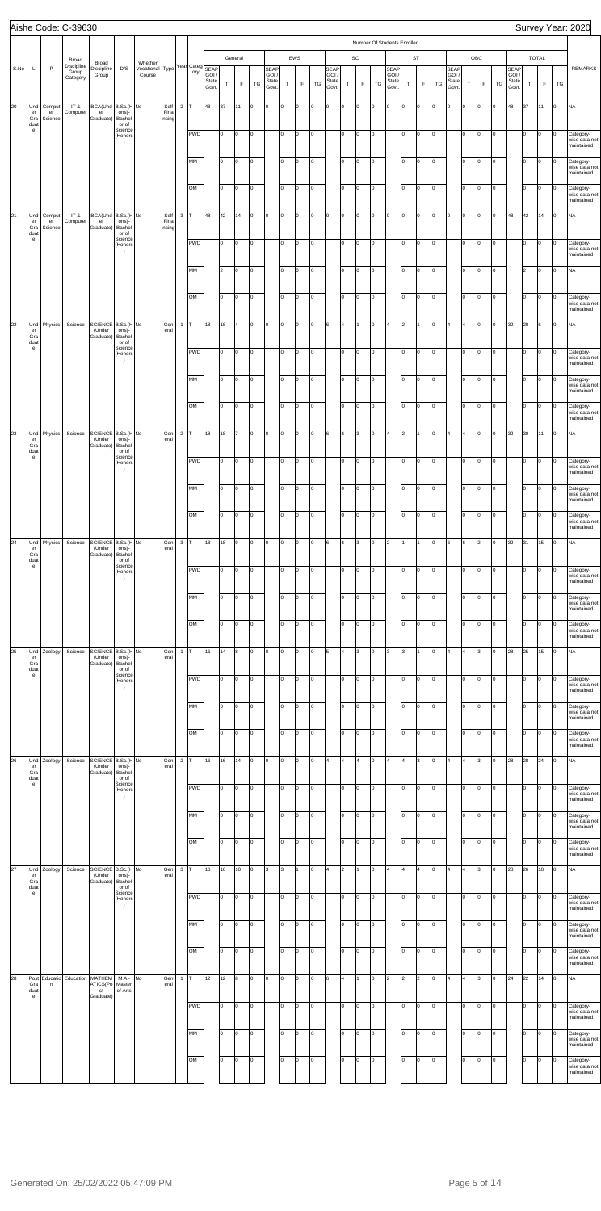|      |                                                                 |                         | Aishe Code: C-39630                      |                                              |                                              |                                                                 |                       |                         |           |                |          |                        |        |                                        |             |            |          |                               |                         |                   |        |                                                             |                |                          |          |                              |             |                    |        |                               |          |                      |                | Survey Year: 2020                                      |
|------|-----------------------------------------------------------------|-------------------------|------------------------------------------|----------------------------------------------|----------------------------------------------|-----------------------------------------------------------------|-----------------------|-------------------------|-----------|----------------|----------|------------------------|--------|----------------------------------------|-------------|------------|----------|-------------------------------|-------------------------|-------------------|--------|-------------------------------------------------------------|----------------|--------------------------|----------|------------------------------|-------------|--------------------|--------|-------------------------------|----------|----------------------|----------------|--------------------------------------------------------|
| S.No | L                                                               | $\mathsf{P}$            | Broad<br>Discipline<br>Group<br>Category | Broad<br>Discipline<br>Group                 | D/S                                          | Whether<br>Whether<br>Vocational Type Year Categ SEAP<br>Course |                       |                         | ory       | GOI /<br>State | $\top$   | General<br>$\mathsf F$ | TG     | <b>SEAP</b><br>GOI /<br>State<br>Govt. | $\mathsf T$ | EWS<br>F   | TG       | <b>SEAP</b><br>GOI /<br>State | $\top$                  | SC<br>$\mathsf F$ | TG     | Number Of Students Enrolled<br><b>SEAP</b><br>GOI/<br>State | $\top$         | <b>ST</b><br>$\mathsf F$ | TG       | <b>SEAP</b><br>GOI/<br>State | $\mathsf T$ | OBC<br>$\mathsf F$ | TG     | <b>SEAP</b><br>GOI /<br>State | $\top$   | TOTAL<br>$\mathsf F$ | TG             | <b>REMARKS</b>                                         |
| 20   | Und<br>er<br>Gra<br>duat                                        | Comput<br>er<br>Science | IT&<br>Computer                          | BCA(Und B.Sc.(H No<br>er<br>Graduate)        | ons)-<br>Bachel<br>or of                     |                                                                 | Self<br>Fina<br>ncing | $\overline{2}$          |           | Govt.<br>48    | 37       | 11                     | 0      | Iо                                     | O           | lo.        | Iо       | Govt.<br>l0                   | o                       | Iо                | o      | Govt.<br>O                                                  | O              | lо                       | O        | Govt.<br>O                   | I٥          | O                  | O      | Govt.<br>48                   | 37       | 11                   | O              | <b>NA</b>                                              |
|      | $\mathbf{e}$                                                    |                         |                                          |                                              | Science<br>(Honors<br>$\rightarrow$          |                                                                 |                       |                         | PWD       |                | lo.      | o                      | 0      |                                        | lo.         | l0.        | Iо       |                               | lо                      | O                 | O      |                                                             | lo.            | o                        | lо       |                              | 10          | O                  | O      |                               | Iо       | O                    | Iо             | Category-<br>wise data not<br>maintained               |
|      |                                                                 |                         |                                          |                                              |                                              |                                                                 |                       |                         | MM        |                | lo.      | O                      | 0      |                                        | I٥          | l0.        | Iо       |                               | I٥                      | Iо                | o      |                                                             | I٥             | $\vert$ 0                | lо       |                              | Iо          | 0                  | O      |                               | Iо       | O                    | l0             | Category-<br>wise data not<br>maintained               |
| 21   | Und                                                             | Comput                  | IT&                                      | BCA(Und B.Sc.(H No                           |                                              |                                                                 | Self                  | $\mathbf{3}$            | OM        | 48             | lo<br>42 | o<br>14                | 0<br>0 | $\overline{0}$                         | I٥<br>o     | l0.<br>lo. | Iо<br>Iо | lo.                           | lo.<br>o                | Iо<br>Iо          | O<br>o | lо                                                          | I٥<br>O        | Iо<br>Iо                 | lо<br>lо | O                            | Iо<br>l0.   | 0<br>O             | O<br>O | 48                            | Iо<br>42 | O<br>14              | O<br>o         | Category-<br>wise data not<br>maintained<br><b>NA</b>  |
|      | er<br>Gra<br>duat<br>$\mathsf{e}% _{0}\left( \mathsf{e}\right)$ | er<br>Science           | Computer                                 | er<br>Graduate)                              | ons)-<br>Bachel<br>or of<br>Science          |                                                                 | Fina<br>ncing         |                         |           |                |          |                        |        |                                        |             |            |          |                               |                         |                   |        |                                                             |                |                          |          |                              |             |                    |        |                               |          |                      |                |                                                        |
|      |                                                                 |                         |                                          |                                              | (Honors<br>$\rightarrow$                     |                                                                 |                       |                         | PWD       |                | lo.      | o                      | 0      |                                        | lo.         | l0.        | Iо       |                               | lо                      | O                 | o      |                                                             | I٥             | lо                       | lо       |                              | I٥          | O                  | O      |                               | Iо       | O                    | Iо             | Category-<br>wise data not<br>maintained               |
|      |                                                                 |                         |                                          |                                              |                                              |                                                                 |                       |                         | MM        |                | 2        | o                      | 0      |                                        | I٥          | l0.        | Iо       |                               | I٥                      | Iо                | o      |                                                             | I٥             | $\vert$ 0                | Iо       |                              | Iо          | 0                  | O      |                               | 2        | O                    | Iо             | <b>NA</b>                                              |
|      |                                                                 |                         |                                          |                                              |                                              |                                                                 |                       |                         | OM        |                | lo       | o                      | O      |                                        | I٥          | l0         | Iо       |                               | lo.                     | Iо                | O      |                                                             | I٥             | Iо                       | lо       |                              | Iо          | O                  | O      |                               | Iо       | O                    | Iо             | Category-<br>wise data not<br>maintained               |
| 22   | Und<br>er<br>Gra<br>duat                                        | Physics                 | Science                                  | SCIENCE B.Sc.(H No<br>(Under<br>Graduate)    | ons)-<br>Bachel<br>or of                     |                                                                 | Gen<br>eral           | $\mathbf{1}$            |           | 18             | 18       | $\overline{4}$         | 0      | $\overline{0}$                         | O           | lo.        | Iо       | 6                             | l4                      | I1.               | o      | 4                                                           | $\overline{2}$ |                          | O        | $\overline{4}$               |             | lо                 | O      | 32                            | 28       | l6                   | o              | <b>NA</b>                                              |
|      | $\mathbf{e}$                                                    |                         |                                          |                                              | Science<br>(Honors<br>$\rightarrow$          |                                                                 |                       |                         | PWD       |                | lo.      | o                      | 0      |                                        | lo.         | l0         | Iо       |                               | lо                      | O                 | o      |                                                             | I٥             | lо                       | lо       |                              | I٥          | o                  | O      |                               | Iо       | O                    | O              | Category-<br>wise data not<br>maintained               |
|      |                                                                 |                         |                                          |                                              |                                              |                                                                 |                       |                         | MM        |                | lo.      | o                      | 0      |                                        | I٥          | l0         | Iо       |                               | I٥                      | Iо                | o      |                                                             | I٥             | $\vert$ 0                | Iо       |                              | Iо          | 0                  | O      |                               | Iо       | O                    | l0             | Category-<br>wise data not<br>maintained               |
|      |                                                                 |                         |                                          |                                              |                                              |                                                                 |                       |                         | OM        |                | lo       | o                      | O      |                                        | I٥          | l0         | Iо       |                               | lo.                     | Iо                | o      |                                                             | I٥             | $\overline{0}$           | lо       |                              | lо          | O                  | O      |                               | Iо       | O                    | O              | Category-<br>wise data not<br>maintained               |
| 23   | Und<br>er<br>Gra                                                | Physics                 | Science                                  | SCIENCE B.Sc.(H No<br>(Under<br>Graduate)    | ons)-<br>Bachel                              |                                                                 | Gen<br>eral           | $\overline{\mathbf{c}}$ |           | 18             | 18       | 17                     | 0      | Iо                                     | O           | l0         | Iо       | 6                             | 6                       | Iз                | o      | 4                                                           | $\overline{2}$ |                          | O        | $\overline{4}$               |             | O                  | O      | 32                            | 30       | 11                   | Iо             | <b>NA</b>                                              |
|      | duat<br>$\mathbf{e}$                                            |                         |                                          |                                              | or of<br>Science<br>(Honors<br>$\rightarrow$ |                                                                 |                       |                         | PWD       |                | lo.      | o                      | 0      |                                        | lo.         | 0          | O        |                               | lо                      | O                 | O      |                                                             | lo.            | lо                       | Iо       |                              | Iо          | O                  | O      |                               | lо       | o                    | 0              | Category-<br>wise data not<br>maintained               |
|      |                                                                 |                         |                                          |                                              |                                              |                                                                 |                       |                         | MM        |                | I٥       | o                      | Iо     |                                        | I٥          | ln.        | O        |                               | I٥                      | Iо                | o      |                                                             | l٥             | Iо                       | O        |                              | Iо          | lо                 | O      |                               | Iо       | o                    | l0             | Category-<br>wise data not                             |
|      |                                                                 |                         |                                          |                                              |                                              |                                                                 |                       |                         | OM        |                | I٥       | o                      | l0     |                                        | I٥          | ln.        | Iо       |                               | I٥                      | O                 | lo.    |                                                             | Ιo             | lo.                      | lo.      |                              | lо          | Iо                 | l0     |                               | Iо       | O                    | l0             | maintained<br>Category-<br>wise data not               |
| 24   | Und<br>er                                                       | Physics                 | Science                                  | SCIENCE B.Sc.(H No<br>(Under                 | ons)-                                        |                                                                 | Gen<br>eral           | $\mathbf{3}$            |           | 18             | 18       | 9                      | O      | $\overline{0}$                         | O           |            | O        | l6                            | 6                       | Iз                | o      | 2                                                           |                |                          | O        | 6                            | l6          | l2                 | lo     | 32                            | 31       | 15                   | Iо             | maintained<br><b>NA</b>                                |
|      | Gra<br>duat<br>$\mathbf{e}$                                     |                         |                                          | Graduate)                                    | Bachel<br>or of<br>Science<br>(Honors        |                                                                 |                       |                         | PWD       |                | I٥       | o                      | Iо     |                                        | l0          | ln.        | Iо       |                               | lo.                     | O                 | o      |                                                             | I٥             | O                        | O        |                              | I٥          | lо                 | O      |                               | Iо       | o                    | O              | Category-<br>wise data not                             |
|      |                                                                 |                         |                                          |                                              | $\rightarrow$                                |                                                                 |                       |                         | MM        |                | I٥       | O                      | 0      |                                        | I٥          |            | Iо       |                               | I٥                      | Iо                | lo.    |                                                             | Ιo             | Iо                       | O        |                              | Iо          | Iо                 | O      |                               | Iо       | O                    | I٥             | maintained<br>Category-                                |
|      |                                                                 |                         |                                          |                                              |                                              |                                                                 |                       |                         | <b>OM</b> |                | I٥       | o                      | l0     |                                        | I٥          | ln.        | Iо       |                               | I٥                      | Iо                | lo.    |                                                             | I٥             | o                        | o        |                              | Iо          | lо                 | O      |                               | Iо       | O                    | lo.            | wise data not<br>maintained<br>Category-               |
| 25   | Und                                                             | Zoology                 | Science                                  | SCIENCE B.Sc.(H No                           |                                              |                                                                 | Gen                   | $\mathbf{1}$            |           | 16             | 14       | 8                      | O      | $\overline{0}$                         | O           |            | O        | 5                             | $\overline{\mathbf{4}}$ | 3                 | o      | Iз                                                          | 3              |                          | O        | $\overline{4}$               |             | 3                  | lo     | 28                            | 25       | 15                   | lo.            | wise data not<br>maintained<br><b>NA</b>               |
|      | er<br>Gra<br>duat<br>$\mathbf{e}$                               |                         |                                          | (Under<br>Graduate)                          | ons)-<br>Bachel<br>or of<br>Science          |                                                                 | eral                  |                         | PWD       |                | I٥       | o                      | Iо     |                                        | I٥          | ln.        | Iо       |                               | lo.                     | O                 | o      |                                                             | I٥             | o                        | O        |                              | I٥          | lо                 | O      |                               | Iо       | o                    | O              |                                                        |
|      |                                                                 |                         |                                          |                                              | (Honors<br>$\rightarrow$                     |                                                                 |                       |                         |           |                |          |                        |        |                                        |             |            |          |                               |                         |                   |        |                                                             |                |                          |          |                              |             |                    |        |                               |          |                      |                | Category-<br>wise data not<br>maintained               |
|      |                                                                 |                         |                                          |                                              |                                              |                                                                 |                       |                         | MM        |                | I٥       | O                      | I٥     |                                        | I٥          |            | Iо       |                               | I٥                      | Iо                | o      |                                                             | l٥             | Iо                       | o        |                              | Iо          | Iо                 | O      |                               | Iо       | O                    | I٥             | Category-<br>wise data not<br>maintained               |
|      |                                                                 |                         |                                          |                                              |                                              |                                                                 |                       |                         | OM        |                | lo.      | o                      | l0     |                                        | I٥          | ln.        | Iо       |                               | I٥                      | Iо                | lo.    |                                                             | Ιo             | o                        | o        |                              | Iо          | Iо                 | l0     |                               | Iо       | O                    | l0             | Category-<br>wise data not<br>maintained               |
| 26   | Und<br>er<br>Gra<br>duat                                        | Zoology                 | Science                                  | SCIENCE B.Sc.(H No<br>(Under<br>Graduate)    | ons)-<br>Bachel<br>or of                     |                                                                 | Gen<br>eral           | $\overline{\mathbf{c}}$ |           | 16             | 16       | 14                     | O      | $\overline{0}$                         | O           |            | l0       |                               | 4                       | 4                 | o      | ١4                                                          | 14             | 3                        | O        | 4                            |             | l3.                | lo     | 28                            | 28       | 24                   | lo.            | <b>NA</b>                                              |
|      | $\mathbf{e}$                                                    |                         |                                          |                                              | Science<br>(Honors<br>$\rightarrow$          |                                                                 |                       |                         | PWD       |                | I٥       | o                      | o      |                                        | I٥          | ln.        | Iо       |                               | lo.                     | O                 | o      |                                                             | I٥             | l0                       | O        |                              | I٥          | Iо                 | O      |                               | Iо       | o                    | O              | Category-<br>wise data not<br>maintained               |
|      |                                                                 |                         |                                          |                                              |                                              |                                                                 |                       |                         | MM        |                | I٥       | O                      | I٥     |                                        | I٥          |            | Iо       |                               | I٥                      | O                 | o      |                                                             | l٥             | O                        | o        |                              | Iо          | lo                 | O      |                               | Iо       | O                    |                | Category-<br>wise data not<br>maintained               |
|      |                                                                 |                         |                                          |                                              |                                              |                                                                 |                       |                         | OM        |                | lo.      | o                      | l0     |                                        | I٥          | ln.        | Iо       |                               | I٥                      | Iо                | lo.    |                                                             | I٥             | o                        | o        |                              | lо          | Iо                 | l0     |                               | Iо       | O                    | l0             | Category-<br>wise data not<br>maintained               |
| 27   | Und<br>er<br>Gra                                                | Zoology                 | Science                                  | SCIENCE B.Sc.(H No<br>(Under<br>Graduate)    | ons)-<br>Bachel                              |                                                                 | Gen<br>eral           | $\mathbf{3}$            |           | 16             | 16       | 10                     | O      | 3                                      | 3           |            | l0       |                               | 2                       |                   | o      | 4                                                           | 14             | l4                       | O        | 4                            |             | l3                 | lo     | 28                            | 26       | 18                   | lo.            | <b>NA</b>                                              |
|      | duat<br>$\mathbf{e}$                                            |                         |                                          |                                              | or of<br>Science<br>(Honors<br>$\rightarrow$ |                                                                 |                       |                         | PWD       |                | I٥       | o                      | o      |                                        | l0          | ln.        | Iо       |                               | lo.                     | O                 | o      |                                                             | I٥             | o                        | O        |                              | I٥          | Iо                 | O      |                               | Iо       | o                    | O              | Category-<br>wise data not<br>maintained               |
|      |                                                                 |                         |                                          |                                              |                                              |                                                                 |                       |                         | MM        |                | lo.      | o                      | lо     |                                        | lо          | O          | lо       |                               | lo.                     | Iо                | o      |                                                             | I٥             | $\vert$ 0                | Iо       |                              | lо          | o                  | O      |                               | lо       | O                    | $\overline{0}$ | Category-<br>wise data not                             |
|      |                                                                 |                         |                                          |                                              |                                              |                                                                 |                       |                         | OM        |                | lo       | o                      | O      |                                        | lо          | l0.        | Iо       |                               | lo.                     | Iо                | o      |                                                             | I٥             | Iо                       | lо       |                              | Iо          | 0                  | o      |                               | lо       | O                    | l0             | maintained<br>Category-<br>wise data not<br>maintained |
| 28   | Post<br>Gra<br>duat<br>$\mathbf{e}$                             | Educatio<br>n           | Education                                | <b>MATHEM</b><br>ATICS(Po<br>st<br>Graduate) | M.A.-<br>Master<br>of Arts                   | No                                                              | Gen<br>eral           | $\overline{1}$          |           | 12             | 12       | 8                      | 0      | $\overline{0}$                         | O           | ln.        | Iо       | l6.                           | 4                       | I1                | o      | $\overline{2}$                                              | 2              | 2                        | O        | 4                            |             | l3.                | l٥     | 24                            | 22       | 14                   | I٥             | <b>NA</b>                                              |
|      |                                                                 |                         |                                          |                                              |                                              |                                                                 |                       |                         | PWD       |                | I٥       | O                      | 0      |                                        | I٥          | l0.        | Iо       |                               | lo.                     | Iо                | o      |                                                             | I٥             | O                        | O        |                              | I٥          | lо                 | O      |                               | Iо       | O                    | O              | Category-<br>wise data not<br>maintained               |
|      |                                                                 |                         |                                          |                                              |                                              |                                                                 |                       |                         | MM        |                | I٥       | O                      | 0      |                                        | I٥          | ln.        | Iо       |                               | I٥                      | O                 | o      |                                                             | I٥             | Iо                       | Iо       |                              | lо          | lо                 | O      |                               | Iо       | o                    | I٥             | Category-<br>wise data not<br>maintained               |
|      |                                                                 |                         |                                          |                                              |                                              |                                                                 |                       |                         | OM        |                | lo.      | o                      | o      |                                        | I٥          | ln.        | Iо       |                               | I٥                      | Iо                | o      |                                                             | I٥             | l0                       | O        |                              | Iо          | Iо                 | O      |                               | Iо       | O                    | l0             | Category-<br>wise data not<br>maintained               |
|      |                                                                 |                         |                                          |                                              |                                              |                                                                 |                       |                         |           |                |          |                        |        |                                        |             |            |          |                               |                         |                   |        |                                                             |                |                          |          |                              |             |                    |        |                               |          |                      |                |                                                        |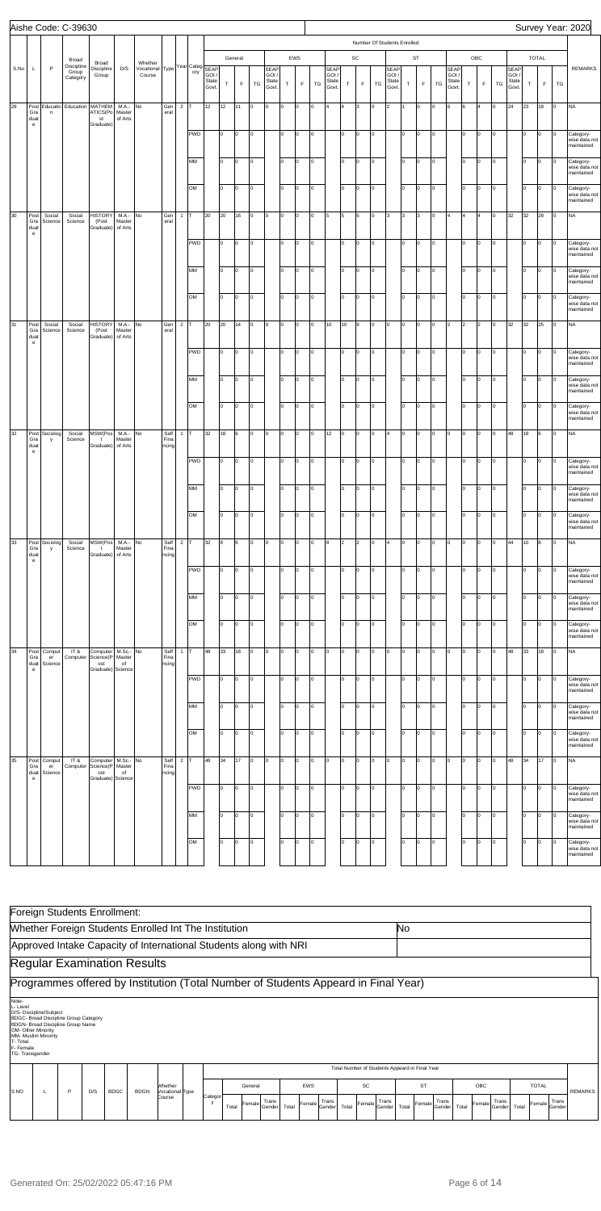|      |                                     |                               | Aishe Code: C-39630             |                                      |                               |                                                      |                       |                |                   |                        |           |             |          |                               |          |        |         |                                        |                |                |                             |                                       |            |                    |                |                                            |          |             |        |                                        |          |              |    | Survey Year: 2020                                         |
|------|-------------------------------------|-------------------------------|---------------------------------|--------------------------------------|-------------------------------|------------------------------------------------------|-----------------------|----------------|-------------------|------------------------|-----------|-------------|----------|-------------------------------|----------|--------|---------|----------------------------------------|----------------|----------------|-----------------------------|---------------------------------------|------------|--------------------|----------------|--------------------------------------------|----------|-------------|--------|----------------------------------------|----------|--------------|----|-----------------------------------------------------------|
|      |                                     |                               |                                 |                                      |                               |                                                      |                       |                |                   |                        |           |             |          |                               |          |        |         |                                        |                |                | Number Of Students Enrolled |                                       |            |                    |                |                                            |          |             |        |                                        |          |              |    |                                                           |
|      |                                     |                               | Broad                           | Broad                                |                               | Whether                                              |                       |                |                   |                        |           | General     |          |                               |          | EWS    |         |                                        |                | SC             |                             |                                       |            | ST                 |                |                                            |          | ${\sf OBC}$ |        |                                        |          | <b>TOTAL</b> |    |                                                           |
| S.No | L                                   | $\mathsf P$                   | Discipline<br>Group<br>Category | Discipline<br>Group                  | D/S                           | Whether<br>Vocational Type Year Categ SEAP<br>Course |                       |                | ory               | GOI,<br>State<br>Govt. | T         | $\mathsf F$ | TG       | SEAP<br>GOI<br>State<br>Govt. | T        | F      | TG      | <b>SEAP</b><br>GOI /<br>State<br>Govt. | $\mathsf T$    | F              | TG                          | <b>SEAP</b><br>GOI.<br>State<br>Govt. | T          | F                  | TG             | <b>SEAP</b><br><b>GOI</b><br>State<br>Govt | $\top$   | $\mathsf F$ | TG     | <b>SEAP</b><br>GOI /<br>State<br>Govt. | $\top$   | F            | TG | <b>REMARKS</b>                                            |
| 29   | Gra<br>duat                         | Post Educatio<br>$\mathsf{n}$ | Education                       | MATHEM<br>ATICS(Po<br>st             | M.A.-<br>Master<br>of Arts    | No                                                   | Gen<br>eral           | $2$ T          |                   | 12                     | 12        | 11          | 0        | I٥                            | o        | o      | O       | 4                                      |                | 3              | O                           | 2                                     |            | 0                  | 0              | 6                                          | 6        |             | lо     | 24                                     | 23       | 18           | o  | <b>NA</b>                                                 |
|      | $\mathbf{e}$                        |                               |                                 | Graduate)                            |                               |                                                      |                       |                | <b>PWD</b>        |                        | I٥        | O           | 0        |                               | I٥       | 0      | O       |                                        | lo.            | l0             | O                           |                                       | lo         | $\circ$            | lo.            |                                            | Iо       | lо          | 0      |                                        | I٥       | 0            | 0  | Category-<br>wise data not<br>maintained                  |
|      |                                     |                               |                                 |                                      |                               |                                                      |                       |                | МM                |                        | lo.       | O           |          |                               | I٥       | O      | O       |                                        | lo             | <b>lo</b>      | O                           |                                       | lo.        | $\overline{0}$     | lo.            |                                            | Iо       | lо          | 0      |                                        | I٥       | Iо           |    | Category-<br>wise data not<br>maintained                  |
|      |                                     |                               |                                 |                                      |                               |                                                      |                       |                | <b>OM</b>         |                        | lo.       | O           | 0        |                               | I٥       | 0      | O       |                                        | lo             | $\overline{0}$ | O                           |                                       | lo.        | $\circ$            | lo.            |                                            | Iо       | lо          | 0      |                                        | I٥       | Iо           | 0  | Category-<br>wise data not<br>maintained                  |
| 30   | Post<br>Gra<br>duat<br>$\mathbf{e}$ | Social<br>Science             | Social<br>Science               | <b>HISTORY</b><br>(Post<br>Graduate) | M.A.-<br>Master<br>of Arts    | No                                                   | Gen<br>eral           | 1              | lΤ                | 20                     | 20        | 16          | 0        | I٥                            | o        | O      | O       | 5                                      | 5              | 5              | O                           | 3                                     | 3          | 3                  | 0              |                                            | l4       |             | lо     | 32                                     | 32       | 28           | 0  | <b>NA</b>                                                 |
|      |                                     |                               |                                 |                                      |                               |                                                      |                       |                | PWD               |                        | I٥        | O           | $\Omega$ |                               | I٥       | 0      | O       |                                        | lo.            | <b>lo</b>      | O                           |                                       | lo         | $\circ$            | lo.            |                                            | Iо       | lо          | 0      |                                        | I٥       | 0            | 0  | Category-<br>wise data not<br>maintained                  |
|      |                                     |                               |                                 |                                      |                               |                                                      |                       |                | МM                |                        | lo.       | O           | 0        |                               | I٥       | O      | O       |                                        | lo             | $\overline{0}$ | lо                          |                                       | lo.        | $\overline{0}$     | $\overline{0}$ |                                            | Iо       | lо          | 0      |                                        | I٥       | 0            | 0  | Category-<br>wise data not<br>maintained                  |
|      |                                     |                               |                                 |                                      |                               |                                                      |                       |                | <b>OM</b>         |                        | lo.       | O           | $\Omega$ |                               | I٥       | O      | lо      |                                        | lo             | O              | O                           |                                       | lo.        | $\vert 0 \vert$    | lo.            |                                            | lо       | lо          | 0      |                                        | I٥       | Iо           | 0  | Category-<br>wise data not<br>maintained                  |
| 31   | Post<br>Gra<br>duat<br>$\mathbf{e}$ | Social<br>Science             | Social<br>Science               | <b>HISTORY</b><br>(Post<br>Graduate) | M.A.- No<br>Master<br>of Arts |                                                      | Gen<br>eral           | $\overline{2}$ | ١Ŧ.               | 20                     | 20        | 14          | 0        | I٥                            | o        | O      | O       | 10                                     | 10             | 9              | O                           | Iо                                    | <b>lo</b>  | $\circ$            | 0              | l2                                         | 2        | 2           | O      | 32                                     | 32       | 25           | O  | <b>NA</b>                                                 |
|      |                                     |                               |                                 |                                      |                               |                                                      |                       |                | PWD               |                        | I٥        | O           |          |                               | I٥       | O      | O       |                                        | lo.            | l0             | O                           |                                       | lo         | $\circ$            | lo.            |                                            | Iо       | lo.         | 0      |                                        | I٥       | 0            | 0  | Category-<br>wise data not<br>maintained                  |
|      |                                     |                               |                                 |                                      |                               |                                                      |                       |                | МM                |                        | lo.       | l0          | 0        |                               | I٥       | O      | O       |                                        | lo             | $\overline{0}$ | O                           |                                       | lo.        | $\overline{0}$     | $\overline{0}$ |                                            | Iо       | O           | 0      |                                        | I٥       | Iо           | 0  | Category-<br>wise data not<br>maintained                  |
|      |                                     |                               |                                 |                                      |                               |                                                      |                       |                | <b>OM</b>         |                        | I٥        | O           |          |                               | I٥       | 0      | O       |                                        | lo             | O              | O                           |                                       | lo.        | 0                  | 0              |                                            | lо       | lо          | O      |                                        | I٥       | Iо           |    | Category-<br>wise data not<br>maintained                  |
| 32   | Gra<br>duat<br>$\mathbf{e}$         | Post Sociolog<br>у            | Social<br>Science               | MSW(Pos<br>$\mathbf{t}$<br>Graduate) | M.A.- No<br>Master<br>of Arts |                                                      | Self<br>Fina<br>ncing |                | 1 $\mathsf{T}$    | 32                     | 18        | 6           | 0        | I٥                            | o        | O      | O       | 12                                     | $\circ$        | l0             | O                           | 4                                     | <b>lo</b>  | $\circ$            | 0              | I٥                                         | Iо       | lo.         | O      | 48                                     | 18       | l6           | O  | <b>NA</b>                                                 |
|      |                                     |                               |                                 |                                      |                               |                                                      |                       |                | <b>PWD</b>        |                        | I٥        | O           |          |                               | I٥       | l0     | O       |                                        | lo.            | l0             | O                           |                                       | lo         | 0                  | O              |                                            | Iо       | lо          | O      |                                        | I٥       | 0            | 0  | Category-<br>wise data not<br>naintained                  |
|      |                                     |                               |                                 |                                      |                               |                                                      |                       |                | MM                |                        | I٥        | O           | $\Omega$ |                               | I٥       | O      | O       |                                        | Iо             | $\overline{0}$ | O                           |                                       | lo.        | $\circ$            | O              |                                            | lо       | Iо          | O      |                                        | I٥       | Iо           | 0  | Category-<br>wise data not<br>maintained                  |
|      |                                     |                               |                                 |                                      |                               |                                                      |                       |                | OМ                |                        | I٥        | O           |          |                               | I٥       | O      | lо      |                                        | lo             | l0             | O                           |                                       | lo.        | $\circ$            | 0              |                                            | lо       | Iо          | 0      |                                        | I٥       | Iо           | 0  | Category-<br>wise data not<br>maintained                  |
| 33   | Gra<br>duat<br>$\mathbf{e}$         | Post Sociolog<br>у            | Social<br>Science               | MSW(Pos<br>$\mathbf{t}$<br>Graduate) | M.A.- No<br>Master<br>of Arts |                                                      | Self<br>Fina<br>ncing |                | $2$ T             | 32                     | 8         | 6           | 0        | Iо                            | o        | o      | O       | 8                                      | $\overline{2}$ | $\overline{2}$ | O                           | 4                                     | <b>lo</b>  | $\circ$            | lo.            | O                                          | Iо       | lo.         | 0      | 44                                     | 10       | l8           | O  | <b>NA</b>                                                 |
|      |                                     |                               |                                 |                                      |                               |                                                      |                       |                | <b>PWD</b>        |                        | I٥        | O           | 0        |                               | I٥       | O      | O       |                                        | lo.            | l0             | O                           |                                       | lo         | 0                  | lo.            |                                            | Iо       | lо          | 0      |                                        | I٥       | Iо           | 0  | Category-<br>wise data not<br>maintained                  |
|      |                                     |                               |                                 |                                      |                               |                                                      |                       |                | МM<br>OМ          |                        | I٥<br>lo. | O<br>O      | $\Omega$ |                               | I٥<br>I٥ | O<br>O | O<br>lо |                                        | lo.<br>lo      | l0<br>l0       | O<br>O                      |                                       | lo.<br>lo. | $\circ$<br>$\circ$ | O<br>O         |                                            | lо<br>lо | lo.<br>lо   | O<br>0 |                                        | I٥<br>I٥ | Iо<br>Iо     | 0  | Category-<br>wise data not<br>maintained<br>Category-     |
| 34   | Post                                | Comput                        | IT &                            | Computer                             | M.Sc.- No                     |                                                      | Self                  |                | 1 $\Gamma$        | 48                     | 33        | 18          | 0        | Iо                            | o        | O      | O       | O                                      | 0              | l0             | O                           | Iо                                    | <b>lo</b>  | $\circ$            | lo.            | O                                          | Iо       | lo.         | O      | 48                                     | 33       | 18           | o  | wise data not<br>maintained<br><b>NA</b>                  |
|      | Gra<br>duat<br>$\mathbf{e}$         | er<br>Science                 | Computer                        | Science(P<br>ost<br>Graduate)        | Master<br>of<br>Science       |                                                      | Fina<br>ncing         |                | <b>PWD</b>        |                        | I٥        | O           | $\Omega$ |                               | I٥       | O      | O       |                                        | lo.            | l0             | O                           |                                       | lo         | 0                  | lo.            |                                            | Iо       | lо          | 0      |                                        | I٥       | Iо           | 0  | Category-                                                 |
|      |                                     |                               |                                 |                                      |                               |                                                      |                       |                | МM                |                        | lo.       | O           |          |                               | I٥       | O      | O       |                                        | lo.            | l0             | O                           |                                       | lo.        | 0                  | O              |                                            | Iо       | Iо          | O      |                                        | I٥       | Iо           | ი  | wise data not<br>maintained<br>Category-                  |
|      |                                     |                               |                                 |                                      |                               |                                                      |                       |                | <b>OM</b>         |                        | lo.       | O           | $\Omega$ |                               | I٥       | O      | lо      |                                        | lo             | l0             | O                           |                                       | lo.        | $\circ$            | O              |                                            | lо       | lо          | 0      |                                        | I٥       | Iо           | 0  | wise data not<br>maintained<br>Category-                  |
| 35   | Post                                | Comput                        | IT &                            | Computer                             | M.Sc.- No                     |                                                      | Self                  |                | $2 \overline{T} $ | 48                     | 34        | 17          | O        | Iо                            | o        | O      | O       | O                                      | 0              | lo.            | Iо                          | Iо                                    | $\circ$    | $\overline{0}$     | lo.            | O                                          | Iо       | lo.         | 0      | 48                                     | 34       | 17           | o  | wise data not<br>maintained<br><b>NA</b>                  |
|      | Gra<br>duat<br>$\mathbf{e}$         | er<br>Science                 | Computer                        | Science(P<br>ost<br>Graduate)        | Master<br>of<br>Science       |                                                      | Fina<br>ncing         |                | <b>PWD</b>        |                        | I٥        | O           |          |                               | I٥       | O      | O       |                                        | lo.            | l0             | O                           |                                       | Iо         | 0                  | lo.            |                                            | Iо       | Iо          | 0      |                                        | I٥       | Iо           | 0  | Category-                                                 |
|      |                                     |                               |                                 |                                      |                               |                                                      |                       |                | МM                |                        | lo.       | O           | 0        |                               | I٥       | O      | O       |                                        | lo             | lo.            | lо                          |                                       | lo.        | $\overline{0}$     | O              |                                            | Iо       | lо          | 0      |                                        | I٥       | Iо           | 0  | wise data not<br>maintained<br>Category-<br>wise data not |
|      |                                     |                               |                                 |                                      |                               |                                                      |                       |                | OМ                |                        | I٥        | O           |          |                               | I٥       | O      | O       |                                        | Iо             | l0             | O                           |                                       | lo.        | 0                  | O              |                                            | I٥       | lo.         | Iо     |                                        | I٥       | Iо           | 0  | maintained<br>Category-<br>wise data not                  |
|      |                                     |                               |                                 |                                      |                               |                                                      |                       |                |                   |                        |           |             |          |                               |          |        |         |                                        |                |                |                             |                                       |            |                    |                |                                            |          |             |        |                                        |          |              |    | maintained                                                |

|                                                            | Foreign Students Enrollment:                                                                                                                                     |   |     |             |                                                                   |                            |  |                                  |       |         |                              |       |        |  |                 |       |                                                |       |       |           |                 |       |            |                 |       |              |                 |                |
|------------------------------------------------------------|------------------------------------------------------------------------------------------------------------------------------------------------------------------|---|-----|-------------|-------------------------------------------------------------------|----------------------------|--|----------------------------------|-------|---------|------------------------------|-------|--------|--|-----------------|-------|------------------------------------------------|-------|-------|-----------|-----------------|-------|------------|-----------------|-------|--------------|-----------------|----------------|
|                                                            |                                                                                                                                                                  |   |     |             | <b>Whether Foreign Students Enrolled Int The Institution</b>      |                            |  |                                  |       |         |                              |       |        |  |                 |       |                                                |       | No.   |           |                 |       |            |                 |       |              |                 |                |
|                                                            |                                                                                                                                                                  |   |     |             | Approved Intake Capacity of International Students along with NRI |                            |  |                                  |       |         |                              |       |        |  |                 |       |                                                |       |       |           |                 |       |            |                 |       |              |                 |                |
|                                                            |                                                                                                                                                                  |   |     |             | <b>Regular Examination Results</b>                                |                            |  |                                  |       |         |                              |       |        |  |                 |       |                                                |       |       |           |                 |       |            |                 |       |              |                 |                |
|                                                            | Programmes offered by Institution (Total Number of Students Appeard in Final Year)                                                                               |   |     |             |                                                                   |                            |  |                                  |       |         |                              |       |        |  |                 |       |                                                |       |       |           |                 |       |            |                 |       |              |                 |                |
| Note-<br>L- Level<br>T-Total<br>F-Female<br>TG-Transgender | D/S- Discipline/Subject<br><b>BDGC- Broad Discipline Group Category</b><br><b>BDGN- Broad Discipline Group Name</b><br>OM- Other Minority<br>MM- Muslim Minority |   |     |             |                                                                   |                            |  |                                  |       |         |                              |       |        |  |                 |       |                                                |       |       |           |                 |       |            |                 |       |              |                 |                |
|                                                            |                                                                                                                                                                  |   |     |             |                                                                   |                            |  |                                  |       |         |                              |       |        |  |                 |       | Total Number of Students Appeard in Final Year |       |       |           |                 |       |            |                 |       |              |                 |                |
| <b>SNO</b>                                                 |                                                                                                                                                                  | P | D/S | <b>BDGC</b> | <b>BDGN</b>                                                       | Whether<br>Vocational Type |  |                                  |       | General |                              |       | EWS    |  |                 |       | <b>SC</b>                                      |       |       | <b>ST</b> |                 |       | <b>OBC</b> |                 |       | <b>TOTAL</b> |                 | <b>REMARKS</b> |
|                                                            |                                                                                                                                                                  |   |     |             |                                                                   | Course                     |  | Categor <sup>®</sup><br><b>V</b> | Total | Female  | Trans<br>Gender <sup>1</sup> | Total | Female |  | Trans<br>Gender | Total | Female Gender                                  | Trans | Total | Female    | Trans<br>Gender | Total | Female     | Trans<br>Gender | Total | Female       | Trans<br>Gender |                |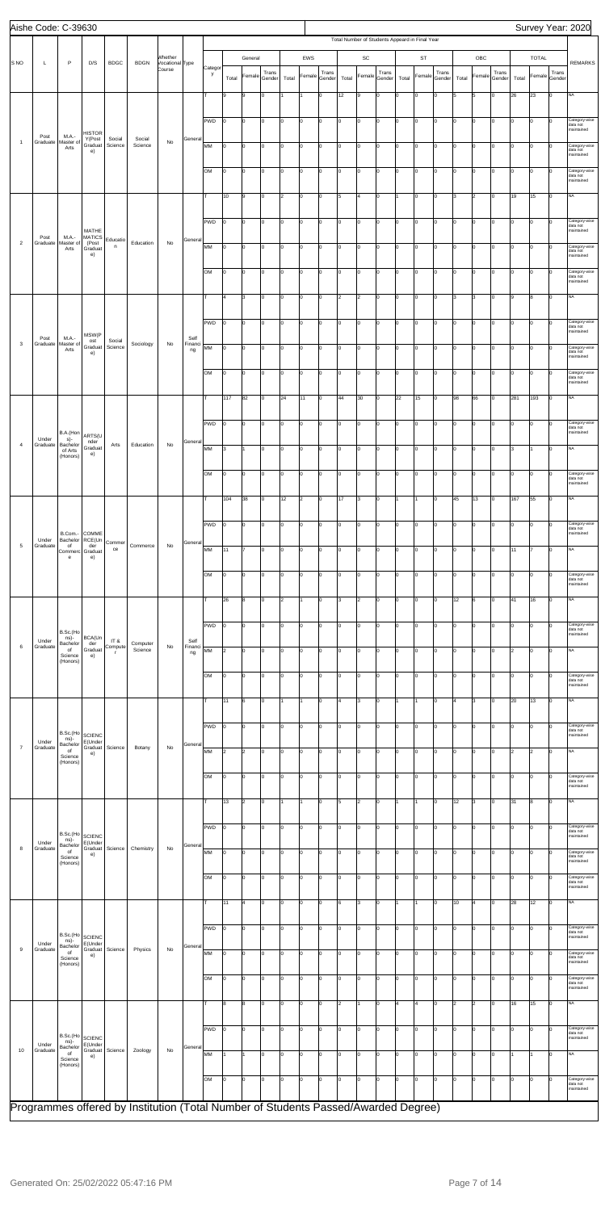|                 | Aishe Code: C-39630 |                              |                                     |                   |                                                                                    |                            |                       |              |       |                |                 |       |                |                 |                      |                      |                 |       |                                                |                 |       |                |                 |       |                |                 | Survey Year: 2020                       |
|-----------------|---------------------|------------------------------|-------------------------------------|-------------------|------------------------------------------------------------------------------------|----------------------------|-----------------------|--------------|-------|----------------|-----------------|-------|----------------|-----------------|----------------------|----------------------|-----------------|-------|------------------------------------------------|-----------------|-------|----------------|-----------------|-------|----------------|-----------------|-----------------------------------------|
|                 |                     |                              |                                     |                   |                                                                                    |                            |                       |              |       |                |                 |       |                |                 |                      |                      |                 |       | Total Number of Students Appeard in Final Year |                 |       |                |                 |       |                |                 |                                         |
| S <sub>NO</sub> | $\mathsf{L}$        | $\mathsf{P}$                 | D/S                                 | <b>BDGC</b>       | <b>BDGN</b>                                                                        | Whether<br>Vocational Type |                       |              |       | General        |                 |       | EWS            |                 |                      | SC                   |                 |       | ST                                             |                 |       | OBC            |                 |       | <b>TOTAL</b>   |                 | <b>REMARKS</b>                          |
|                 |                     |                              |                                     |                   |                                                                                    | Course                     |                       | Categor<br>y | Total | Female         | Trans<br>Gender | Total | Female         | Trans<br>Gender | Total                | Female               | Trans<br>Gender | Total | Female                                         | Trans<br>Gender | Total | Female         | Trans<br>Gender | Total | Female         | Trans<br>Gender |                                         |
|                 |                     |                              |                                     |                   |                                                                                    |                            |                       | lτ           | 9     | 9              | O               |       | 1              | 0               | 12                   | 9                    | 0               | Ιo    | $\overline{0}$                                 | I٥              | 5     | 5              | Iо              | 26    | 23             | lo.             | <b>NA</b>                               |
|                 |                     |                              |                                     |                   |                                                                                    |                            |                       |              |       |                |                 |       |                |                 |                      |                      |                 |       |                                                |                 |       |                |                 |       |                |                 |                                         |
|                 |                     |                              |                                     |                   |                                                                                    |                            |                       | PWD          | I٥    | O              | lo.             | Iо    | O              | Iо              | I٥                   | O                    | Iо              | lo.   | lo                                             | I٥              | Iо    | $\overline{0}$ | Iо              | I٥    | 0              | $\Omega$        | Category-wise<br>data not               |
|                 | Post                | M.A.-                        | HISTOR<br>Y(Post                    | Social            | Social                                                                             |                            | General               |              |       |                |                 |       |                |                 |                      |                      |                 |       |                                                |                 |       |                |                 |       |                |                 | maintained                              |
| $\mathbf{1}$    | Graduate            | Master of<br>Arts            | Graduat<br>e)                       | Science           | Science                                                                            | No                         |                       | MM           | I٥    | 0              | I٥              | I٥    | 0              | I٥              | lo                   | O                    | lо              | lо    | O                                              | I٥              | Iо    | O              | Iо              | I٥    | 0              | $\mathbf 0$     | Category-wise<br>data not               |
|                 |                     |                              |                                     |                   |                                                                                    |                            |                       |              |       |                |                 |       |                |                 |                      |                      |                 |       |                                                |                 |       |                |                 |       |                |                 | maintained                              |
|                 |                     |                              |                                     |                   |                                                                                    |                            |                       | <b>OM</b>    | I٥    | 0              | Iо              | Iо    | 0              | 0               | I٥                   | O                    | Iо              | Ιo    | lo                                             | I٥              | o     | $\overline{0}$ | Iо              | I٥    | 0              | Iо              | Category-wise<br>data not<br>maintained |
|                 |                     |                              |                                     |                   |                                                                                    |                            |                       |              |       |                |                 |       |                |                 |                      |                      |                 |       |                                                |                 |       |                |                 |       |                |                 |                                         |
|                 |                     |                              |                                     |                   |                                                                                    |                            |                       | Iт           | 10    | 9              | 0               | l2    | l0             | I٥              | 5                    | 4                    | Iо              | 1     | lo                                             | lo.             | 3     | $\overline{2}$ | Iо              | 19    | 15             | lo.             | NA                                      |
|                 |                     |                              |                                     |                   |                                                                                    |                            |                       | PWD          | I٥    | 0              | O               | I٥    | 0              | I٥              | Iо                   | O                    | lо              | lо    | O                                              | I٥              | l0    | $\overline{0}$ | Iо              | I٥    | 0              | 0               | Category-wise                           |
|                 | Post                | M.A.-                        | MATHE<br><b>MATICS</b>              |                   |                                                                                    |                            |                       |              |       |                |                 |       |                |                 |                      |                      |                 |       |                                                |                 |       |                |                 |       |                |                 | data not<br>maintained                  |
| $\overline{2}$  | Graduate            | Master of<br>Arts            | (Post<br>Graduat                    | Educatio<br>n     | Education                                                                          | No                         | General               | MM           | I٥    | 0              | Iо              | Iо    | O              | lo.             | lо                   | o                    | Iо              | Iо    | lo                                             | lо              | O     | $\mathbf 0$    | Iо              | I٥    | 0              | Iо              | Category-wise<br>data not               |
|                 |                     |                              | e)                                  |                   |                                                                                    |                            |                       |              |       |                |                 |       |                |                 |                      |                      |                 |       |                                                |                 |       |                |                 |       |                |                 | maintained                              |
|                 |                     |                              |                                     |                   |                                                                                    |                            |                       | <b>OM</b>    | lo.   | lo.            | 0               | Iо    | O              | I٥              | I٥                   | O                    | lо              | lo.   | lo                                             | lо              | Iо    | $\overline{0}$ | Iо              | I٥    | 0              | $\Omega$        | Category-wise<br>data not               |
|                 |                     |                              |                                     |                   |                                                                                    |                            |                       |              |       |                |                 |       |                |                 |                      |                      |                 |       |                                                |                 |       |                |                 |       |                |                 | maintained                              |
|                 |                     |                              |                                     |                   |                                                                                    |                            |                       | lΤ           | 4     | 3              | 0               | I٥    | 0              | I٥              | $\vert$ 2            | 2                    | Iо              | lо    | O                                              | I٥              | l3    | 3              | Iо              | 9     | 8              | I٥              | NA                                      |
|                 |                     |                              |                                     |                   |                                                                                    |                            |                       | PWD          | I٥    | 0              | Iо              | Iо    | O              | 0               | lо                   | o                    | Iо              | Iо    | lo                                             | lо              | o     | $\overline{0}$ | Iо              | I٥    | 0              | Iо              | Category-wise                           |
|                 |                     |                              | MSW(P                               |                   |                                                                                    |                            |                       |              |       |                |                 |       |                |                 |                      |                      |                 |       |                                                |                 |       |                |                 |       |                |                 | data not<br>maintained                  |
| $\mathsf 3$     | Post<br>Graduate    | M.A.-<br>Master of<br>Arts   | ost<br>Graduat                      | Social<br>Science | Sociology                                                                          | No                         | Self<br>Financi<br>ng | MM           | I٥    | l0             | lo.             | Iо    | l0             | I٥              | I٥                   | O                    | Iо              | Iо    | lo                                             | lo.             | Iо    | $\Omega$       | Iо              | lo.   | 0              | 0               | Category-wise                           |
|                 |                     |                              | e)                                  |                   |                                                                                    |                            |                       |              |       |                |                 |       |                |                 |                      |                      |                 |       |                                                |                 |       |                |                 |       |                |                 | data not<br>maintained                  |
|                 |                     |                              |                                     |                   |                                                                                    |                            |                       | <b>OM</b>    | I٥    | 0              | 0               | I٥    | 0              | I٥              | Iо                   | O                    | lо              | l٥    | lo                                             | Iо              | l0    | $\overline{0}$ | Iо              | I٥    | 0              | $\mathbf 0$     | Category-wise<br>data not               |
|                 |                     |                              |                                     |                   |                                                                                    |                            |                       |              |       |                |                 |       |                |                 |                      |                      |                 |       |                                                |                 |       |                |                 |       |                |                 | maintained                              |
|                 |                     |                              |                                     |                   |                                                                                    |                            |                       | Iт           | 117   | 82             | lo.             | 24    | 11             | lo.             | 44                   | 30                   | Iо              | 22    | 15                                             | lo.             | 98    | 66             | Iо              | 281   | 193            | Iо              | <b>NA</b>                               |
|                 |                     |                              |                                     |                   |                                                                                    |                            |                       |              |       |                |                 |       |                |                 |                      |                      |                 |       |                                                |                 |       |                |                 |       |                |                 |                                         |
|                 |                     | B.A.(Hon                     | ARTS(U                              |                   |                                                                                    |                            |                       | PWD          | lo.   | 0              | lo.             | Iо    | O              | Iо              | I٥                   | O                    | lо              | Iо    | lo                                             | lо              | Iо    | $\overline{0}$ | Iо              | I٥    | 0              | $\Omega$        | Category-wise<br>data not<br>maintained |
| $\overline{4}$  | Under<br>Graduate   | s)-<br>Bachelor              | nder<br>Graduat                     | Arts              | Education                                                                          | No                         | General               | MM           | 3     | 1              | Iо              | I٥    | 0              | I٥              | lo                   | O                    | Iо              | Iо    | O                                              | Iо              | Iо    | 0              | Iо              | 3     | 1              | I٥              | NA                                      |
|                 |                     | of Arts<br>(Honors)          | e)                                  |                   |                                                                                    |                            |                       |              |       |                |                 |       |                |                 |                      |                      |                 |       |                                                |                 |       |                |                 |       |                |                 |                                         |
|                 |                     |                              |                                     |                   |                                                                                    |                            |                       | ЮM           | 10    | 10             | IО              | 10    | 10             | 10              | 0                    | 0                    |                 |       |                                                |                 |       |                | 0               | 10    | IО             | 10              | ategory-wise<br>data not                |
|                 |                     |                              |                                     |                   |                                                                                    |                            |                       |              |       |                |                 |       |                |                 |                      |                      |                 |       |                                                |                 |       |                |                 |       |                |                 | maintained                              |
|                 |                     |                              |                                     |                   |                                                                                    |                            |                       | Iт           | 104   | 38             | lo.             | 12    | $\overline{2}$ | I٥              | 17                   | 3                    | Iо              | 1     | I1                                             | lo.             | 45    | 13             | Iо              | 167   | 55             | lo.             | NA                                      |
|                 |                     |                              |                                     |                   |                                                                                    |                            |                       |              |       |                |                 |       |                |                 |                      |                      |                 |       |                                                |                 |       |                |                 |       |                |                 |                                         |
|                 |                     | B.Com.-                      | COMME                               |                   |                                                                                    |                            |                       | PWD          | I٥    | 0              | 0               | I٥    | 0              | 0               | I٥                   | O                    | Iо              | l٥    | O                                              | $\mathbf 0$     | l0    | $\overline{0}$ | Iо              | I٥    | 0              | 0               | Category-wise<br>data not<br>maintained |
| 5               | Under<br>Graduate   | Bachelor<br>of               | RCE(Un<br>der                       | Commer<br>ce      | Commerce                                                                           | No                         | General               |              |       |                |                 |       |                |                 |                      |                      |                 |       |                                                |                 |       |                |                 |       | 7              |                 | <b>NA</b>                               |
|                 |                     | Commerc<br>e                 | Graduat<br>e)                       |                   |                                                                                    |                            |                       | MM           | 11    |                | lo.             | Iо    | O              | 0               | lо                   | o                    | 0               | lо    | lo                                             | I٥              | o     | 0              | Iо              | 11    |                | Iо              |                                         |
|                 |                     |                              |                                     |                   |                                                                                    |                            |                       | <b>OM</b>    | lo.   | O              | lo.             | Iо    | l0             | I٥              | I٥                   | O                    | Iо              | lo.   | lo                                             | I٥              | lo.   | $\overline{0}$ | Iо              | I٥    | 0              | $\Omega$        | Category-wise                           |
|                 |                     |                              |                                     |                   |                                                                                    |                            |                       |              |       |                |                 |       |                |                 |                      |                      |                 |       |                                                |                 |       |                |                 |       |                |                 | data not<br>maintained                  |
|                 |                     |                              |                                     |                   |                                                                                    |                            |                       | lτ           | 26    | 8              | lo.             | 2     | I1.            | I٥              | 3                    | $\vert$ <sub>2</sub> | Iо              | lо    | O                                              | Iо              | 12    | 6              | Iо              | 41    | 16             | Iо              | NA                                      |
|                 |                     |                              |                                     |                   |                                                                                    |                            |                       |              |       |                |                 |       |                |                 |                      |                      |                 |       |                                                |                 |       |                |                 |       |                |                 |                                         |
|                 |                     | B.Sc.(Ho                     |                                     |                   |                                                                                    |                            |                       | PWD          | I٥    | 0              | I٥              | Iо    | 0              | 0               | I٥                   | O                    | 0               | Iо    | lo                                             | Iо              | o     | $\overline{0}$ | Iо              | I٥    | 0              | Ιo              | Category-wise<br>data not<br>maintained |
| 6               | Under<br>Graduate   | ns)-<br>Bachelor             | BCA(Un<br>der                       | IT&<br>Compute    | Computer                                                                           | No                         | Self<br>Financi       |              |       |                |                 |       |                |                 |                      |                      |                 |       |                                                |                 |       |                |                 |       |                |                 |                                         |
|                 |                     | of<br>Science<br>(Honors)    | Graduat<br>e)                       | г                 | Science                                                                            |                            | ng                    | MM           | 2     | lo.            | 0               | I٥    | l0             | I٥              | I٥                   | O                    | Iо              | Iо    | lo                                             | lo.             | Iо    | $\overline{0}$ | Iо              | 2     | lo.            | $\Omega$        | NA                                      |
|                 |                     |                              |                                     |                   |                                                                                    |                            |                       | <b>OM</b>    | I٥    | 0              | 0               | I٥    | 0              | I٥              | I٥                   | O                    | lо              | lо    | O                                              | Iо              | l0    | $\overline{0}$ | Iо              | I٥    | 0              | 0               | Category-wise                           |
|                 |                     |                              |                                     |                   |                                                                                    |                            |                       |              |       |                |                 |       |                |                 |                      |                      |                 |       |                                                |                 |       |                |                 |       |                |                 | data not<br>maintained                  |
|                 |                     |                              |                                     |                   |                                                                                    |                            |                       | lт.          | 11    | 6              | lo.             | l1    | $\mathbf{1}$   | 0               | l4                   | 3                    | $\mathbf 0$     | 1     | l1                                             | I٥              | 4     | $\overline{3}$ | Iо              | 20    | 13             | lо              | <b>NA</b>                               |
|                 |                     |                              |                                     |                   |                                                                                    |                            |                       |              |       |                |                 |       |                |                 |                      |                      |                 |       |                                                |                 |       |                |                 |       |                |                 |                                         |
|                 |                     | B.Sc.(Ho                     |                                     |                   |                                                                                    |                            |                       | PWD          | lo.   | lo.            | lo.             | Iо    | l0             | I٥              | I٥                   | O                    | Iо              | Iо    | lo                                             | I٥              | Iо    | $\overline{0}$ | Iо              | I٥    | 0              | $\Omega$        | Category-wise<br>data not               |
|                 | Under               | ns)-<br>Bachelor             | <b>SCIENC</b><br>E(Under            |                   |                                                                                    |                            | General               |              |       |                |                 |       |                |                 |                      |                      |                 |       |                                                |                 |       |                |                 |       |                |                 | maintained                              |
| $\overline{7}$  | Graduate            | of<br>Science                | Graduat<br>e)                       | Science           | Botany                                                                             | No                         |                       | MM           | 2     | $\overline{2}$ | I٥              | I٥    | 0              | I٥              | lo                   | O                    | Iо              | lо    | O                                              | Iо              | o     | 0              | Iо              | 2     | $\overline{2}$ | $\mathbf 0$     | NA                                      |
|                 |                     | (Honors)                     |                                     |                   |                                                                                    |                            |                       |              |       |                |                 |       |                |                 |                      |                      |                 |       |                                                |                 |       |                |                 |       |                |                 |                                         |
|                 |                     |                              |                                     |                   |                                                                                    |                            |                       | <b>OM</b>    | l0    | 0              | Iо              | Iо    | 0              | 0               | lо                   | o                    | Iо              | Iо    | lo                                             | lо              | o     | $\overline{0}$ | Iо              | I٥    | 0              | Iо              | Category-wise<br>data not<br>maintained |
|                 |                     |                              |                                     |                   |                                                                                    |                            |                       | lτ           | 13    | $\overline{2}$ | 0               |       | $\mathbf{1}$   | I٥              | 5                    | 2                    | Iо              |       | 11                                             | lo.             | 12    | 3              | Iо              | 31    | 8              | $\Omega$        | NA                                      |
|                 |                     |                              |                                     |                   |                                                                                    |                            |                       |              |       |                |                 |       |                |                 |                      |                      |                 |       |                                                |                 |       |                |                 |       |                |                 |                                         |
|                 |                     | B.Sc.(Ho                     |                                     |                   |                                                                                    |                            |                       | PWD          | I٥    | 0              | O               | I٥    | 0              | 0               | I٥                   | O                    | Iо              | l٥    | O                                              | Iо              | l0    | $\overline{0}$ | Iо              | I٥    | l0             | $\mathbf 0$     | Category-wise<br>data not               |
| 8               | Under<br>Graduate   | ns)-<br>Bachelor             | <b>SCIENC</b><br>E(Under<br>Graduat | Science           | Chemistry                                                                          | No                         | General               |              |       |                |                 |       |                |                 |                      |                      |                 |       |                                                |                 |       |                |                 |       |                |                 | maintained                              |
|                 |                     | of<br>Science                | e)                                  |                   |                                                                                    |                            |                       | MM           | l0    | 0              | Iо              | Iо    | 0              | 0               | lо                   | o                    | 0               | I٥    | lo                                             | I٥              | o     | 0              | Iо              | I٥    | 0              | $\mathbf 0$     | Category-wise<br>data not<br>maintained |
|                 |                     | (Honors)                     |                                     |                   |                                                                                    |                            |                       |              |       |                |                 |       |                |                 |                      |                      |                 |       |                                                |                 |       |                |                 |       |                |                 |                                         |
|                 |                     |                              |                                     |                   |                                                                                    |                            |                       | <b>OM</b>    | lo.   | lo.            | lo.             | Iо    | O              | I٥              | I٥                   | O                    | lо              | lo.   | lo                                             | lо              | Iо    | $\overline{0}$ | Iо              | I٥    | 0              | 0               | Category-wise<br>data not<br>maintained |
|                 |                     |                              |                                     |                   |                                                                                    |                            |                       | Iт           | 11    | $\overline{4}$ | lo.             | I٥    | 0              | 0               | 6                    | $\vert$ 3            | Iо              |       | 11                                             | I٥              | 10    | $\overline{4}$ | Iо              | 28    | 12             | I٥              | NA                                      |
|                 |                     |                              |                                     |                   |                                                                                    |                            |                       |              |       |                |                 |       |                |                 |                      |                      |                 |       |                                                |                 |       |                |                 |       |                |                 |                                         |
|                 |                     |                              |                                     |                   |                                                                                    |                            |                       | PWD          | 10    | IО             | IО              | l0    | 10             | IО              | ١o                   | 0                    | IО              |       | 10                                             |                 | ١o    |                |                 |       |                |                 | ategory-wise<br>data not                |
|                 | Under               | B.Sc.(Ho<br>ns)-<br>Bachelor | <b>SCIENC</b><br>E(Under            |                   |                                                                                    |                            | General               |              |       |                |                 |       |                |                 |                      |                      |                 |       |                                                |                 |       |                |                 |       |                |                 | maintained                              |
| 9               | Graduate            | of<br>Science                | e)                                  | Graduat Science   | Physics                                                                            | No                         |                       | MM           | I٥    | lo.            | lo.             | Iо    | l0             | Iо              | I٥                   | o                    | Iо              | lo.   | lo                                             | lо              | Iо    | $\overline{0}$ | Iо              | lo.   | lo.            | 0               | Category-wise<br>data not               |
|                 |                     | (Honors)                     |                                     |                   |                                                                                    |                            |                       |              |       |                |                 |       |                |                 |                      |                      |                 |       |                                                |                 |       |                |                 |       |                |                 | maintained                              |
|                 |                     |                              |                                     |                   |                                                                                    |                            |                       | <b>OM</b>    | I٥    | $\Omega$       | 0               | I٥    | 0              | I٥              | I٥                   | o                    | lо              | Iо    | O                                              | $\mathbf 0$     | o     | $\overline{0}$ | Iо              | ١o    | $\Omega$       | 0               | Category-wise<br>data not<br>maintained |
|                 |                     |                              |                                     |                   |                                                                                    |                            |                       |              |       |                |                 |       |                |                 |                      |                      |                 |       |                                                |                 |       |                |                 |       |                |                 |                                         |
|                 |                     |                              |                                     |                   |                                                                                    |                            |                       | T            | 8     | 8              | I٥              | lо    | O              | lo.             | $\vert$ <sub>2</sub> | $\mathbf{1}$         | Iо              | l4    | 4                                              | lо              | 2     | $\overline{2}$ | Iо              | 16    | 15             | lо              | <b>NA</b>                               |
|                 |                     |                              |                                     |                   |                                                                                    |                            |                       | PWD          | lo.   | O              | I٥              | Iо    | O              | Iо              | I٥                   | O                    | lо              | lo.   | lo                                             | I٥              | Iо    | $\mathsf{O}$   | Iо              | I٥    | lо             | 0               | Category-wise                           |
|                 | Under               | B.Sc.(Ho<br>ns)-             | <b>SCIENC</b><br>E(Under            |                   |                                                                                    |                            |                       |              |       |                |                 |       |                |                 |                      |                      |                 |       |                                                |                 |       |                |                 |       |                |                 | data not<br>maintained                  |
| 10              | Graduate            | Bachelor<br>of<br>Science    | Graduat<br>e)                       | Science           | Zoology                                                                            | No                         | General               | MM           |       |                | lo.             | I٥    | O              | I٥              | lo                   | o                    | Iо              | Iо    | O                                              | I٥              | o     | $\overline{0}$ | Iо              |       | 1              | $\mathbf 0$     | NA                                      |
|                 |                     | (Honors)                     |                                     |                   |                                                                                    |                            |                       |              |       |                |                 |       |                |                 |                      |                      |                 |       |                                                |                 |       |                |                 |       |                |                 |                                         |
|                 |                     |                              |                                     |                   |                                                                                    |                            |                       | <b>OM</b>    | I٥    | 0              | Iо              | Iо    | O              | lo.             | lо                   | O                    | Iо              | Iо    | lo                                             | lo.             | o     | $\overline{0}$ | Iо              | I٥    | 0              | $\mathbf 0$     | Category-wise<br>data not<br>maintained |
|                 |                     |                              |                                     |                   |                                                                                    |                            |                       |              |       |                |                 |       |                |                 |                      |                      |                 |       |                                                |                 |       |                |                 |       |                |                 |                                         |
|                 |                     |                              |                                     |                   | Programmes offered by Institution (Total Number of Students Passed/Awarded Degree) |                            |                       |              |       |                |                 |       |                |                 |                      |                      |                 |       |                                                |                 |       |                |                 |       |                |                 |                                         |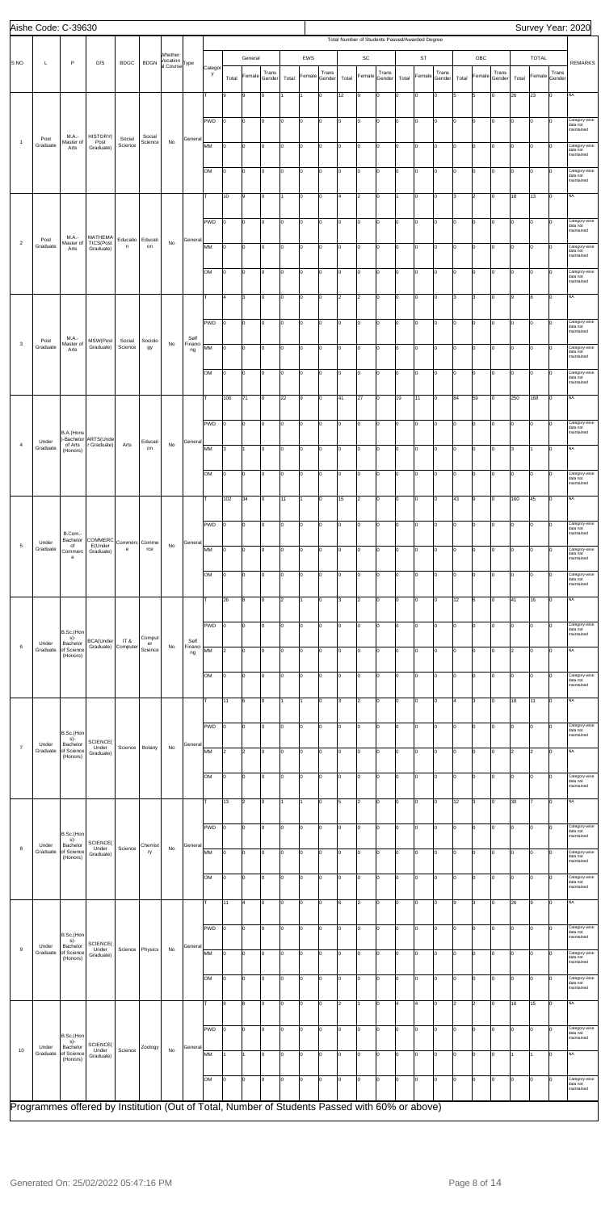|                 | Aishe Code: C-39630 |                                   |                                                                                               |                                                             |                         |                                       |                       |            |            |              |                 |       |              |                 |       |                      |                 |       |                                                |                 |       |                |                 |       |                      |                 | Survey Year: 2020                       |
|-----------------|---------------------|-----------------------------------|-----------------------------------------------------------------------------------------------|-------------------------------------------------------------|-------------------------|---------------------------------------|-----------------------|------------|------------|--------------|-----------------|-------|--------------|-----------------|-------|----------------------|-----------------|-------|------------------------------------------------|-----------------|-------|----------------|-----------------|-------|----------------------|-----------------|-----------------------------------------|
|                 |                     |                                   |                                                                                               |                                                             |                         |                                       |                       |            |            |              |                 |       |              |                 |       |                      |                 |       | Total Number of Students Passed/Awarded Degree |                 |       |                |                 |       |                      |                 |                                         |
| S <sub>NO</sub> | Г                   | P                                 | D/S                                                                                           | <b>BDGC</b>                                                 | <b>BDGN</b>             | Whether<br>Vocation<br>al Course Type |                       | Categor    |            | General      |                 |       | EWS          |                 |       | $\mathsf{SC}$        |                 |       | ST                                             |                 |       | OBC            |                 |       | TOTAL                |                 | <b>REMARKS</b>                          |
|                 |                     |                                   |                                                                                               |                                                             |                         |                                       |                       | y          | Total      | Female       | Trans<br>Gender | Total | Female       | Trans<br>Gender | Total | Female               | Trans<br>Gender | Total | Female                                         | Trans<br>Gender | Total | Female         | Trans<br>Gender | Total | Female               | Trans<br>Gender |                                         |
|                 |                     |                                   |                                                                                               |                                                             |                         |                                       |                       |            | 9          | 9            | Iо              |       |              | $\mathbf 0$     | 12    | l9                   | lo.             | I٥    | lo                                             | I٥              | l5    | 5              | Iо              | 26    | 23                   | Iо              | <b>NA</b>                               |
|                 |                     |                                   |                                                                                               |                                                             |                         |                                       |                       |            |            |              |                 |       |              |                 |       |                      |                 |       |                                                |                 |       |                |                 |       |                      |                 |                                         |
|                 |                     |                                   |                                                                                               |                                                             |                         |                                       |                       | PWD        | I٥         | $\Omega$     | Iо              | I٥    | 0            | I٥              | I٥    | O                    | I٥              | lо    | 0                                              | Iо              | I٥    | 0              | Iо              | Iо    | O                    | lо              | Category-wise<br>data not<br>maintained |
| $\overline{1}$  | Post<br>Graduate    | M.A.-<br>Master of<br>Arts        | HISTORY(<br>Post<br>Graduate)                                                                 | Social<br>Science                                           | Social<br>Science       | No                                    | General               | MM         | Iо         | 0            | Iо              | I٥    | $\mathsf{o}$ | Iо              | lo.   | o                    | I٥              | Iо    | O                                              | Iо              | I٥    | $\circ$        | lо              | Iо    | $\overline{0}$       | I٥              | Category-wise                           |
|                 |                     |                                   |                                                                                               |                                                             |                         |                                       |                       |            |            |              |                 |       |              |                 |       |                      |                 |       |                                                |                 |       |                |                 |       |                      |                 | data not<br>maintained                  |
|                 |                     |                                   |                                                                                               |                                                             |                         |                                       |                       | OM         | I٥         | 0            | Iо              | I٥    | $\mathsf{o}$ | lo.             | I٥    | o                    | Iо              | Iо    | O                                              | Iо              | I٥    | $\circ$        | Iо              | Iо    | lо                   | Iо              | Category-wise<br>data not               |
|                 |                     |                                   |                                                                                               |                                                             |                         |                                       |                       |            |            |              |                 |       |              |                 |       |                      |                 |       |                                                |                 |       |                |                 |       |                      |                 | maintained                              |
|                 |                     |                                   |                                                                                               |                                                             |                         |                                       |                       |            | 10         | 9            | I٥              |       | 0            | I٥              | 4     | 2                    | Iо              |       | 0                                              | Iо              | lз    | $\overline{2}$ | Iо              | 18    | 13                   | lо              | <b>NA</b>                               |
|                 |                     |                                   |                                                                                               |                                                             |                         |                                       |                       | PWD        | Iо         | 0            | Iо              | I٥    | $\mathsf{o}$ | lo.             | lо    | o                    | I٥              | I٥    | 0                                              | Iо              | I٥    | O              | Iо              | Iо    | 0                    | I٥              | Category-wise<br>data not               |
| $\overline{2}$  | Post                | M.A.-<br>Master of                | MATHEMA<br>TICS(Post                                                                          | Educatio                                                    | Educati                 | No                                    | General               |            |            |              |                 |       |              |                 |       |                      |                 |       |                                                |                 |       |                |                 |       |                      |                 | maintained                              |
|                 | Graduate            | Arts                              | Graduate)                                                                                     | $\mathsf n$                                                 | on                      |                                       |                       | MM         | Iо         | lo.          | Iо              | I٥    | $\mathbf 0$  | lo.             | I٥    | $\mathsf{O}$         | lo.             | I٥    | O                                              | Iо              | I٥    | $\overline{0}$ | Iо              | Iо    | lо                   | I٥              | Category-wise<br>data not<br>maintained |
|                 |                     |                                   |                                                                                               |                                                             |                         |                                       |                       | lом        | I٥         | 0            | I٥              | I٥    | 0            | I٥              | I٥    | 0                    | Iо              | lо    | 0                                              | Iо              | I٥    | $\overline{0}$ | Iо              | Iо    | O                    | $\Omega$        | Category-wise                           |
|                 |                     |                                   |                                                                                               |                                                             |                         |                                       |                       |            |            |              |                 |       |              |                 |       |                      |                 |       |                                                |                 |       |                |                 |       |                      |                 | data not<br>maintained                  |
|                 |                     |                                   |                                                                                               |                                                             |                         |                                       |                       | T          | 4          | 3            | Iо              | I٥    | $\mathsf{o}$ | I٥              | 2     | 2                    | I٥              | lo    | 0                                              | Iо              | lз    | 3              | Iо              | 9     | 8                    | lо              | <b>NA</b>                               |
|                 |                     |                                   |                                                                                               |                                                             |                         |                                       |                       | <b>PWD</b> | Iо         | 0            | Iо              | I٥    | $\mathsf{o}$ | 0               | lo.   | $\mathsf{O}$         | I٥              | Iо    | O                                              | Iо              | I٥    | $\circ$        | Iо              | Iо    | O                    | lо              | Category-wise                           |
|                 |                     | M.A.-                             |                                                                                               |                                                             |                         |                                       | Self                  |            |            |              |                 |       |              |                 |       |                      |                 |       |                                                |                 |       |                |                 |       |                      |                 | data not<br>maintained                  |
| $\mathbf{3}$    | Post<br>Graduate    | Master of<br>Arts                 | MSW(Post<br>Graduate)                                                                         | Social<br>Science                                           | Sociolo<br>gy           | $\mathsf{No}$                         | Financi<br>ng         | MМ         | Iо         | 0            | Iо              | I٥    | 0            | 0               | I٥    | 0                    | I٥              | lо    | 0                                              | Iо              | I٥    | 0              | Iо              | Iо    | O                    | $\Omega$        | Category-wise<br>data not               |
|                 |                     |                                   |                                                                                               |                                                             |                         |                                       |                       |            |            |              |                 |       |              |                 |       |                      |                 |       |                                                |                 |       |                |                 |       |                      |                 | maintained                              |
|                 |                     |                                   |                                                                                               |                                                             |                         |                                       |                       | <b>OM</b>  | I٥         | $\Omega$     | Iо              | I٥    | $\mathbf 0$  | 0               | lо    | o                    | I٥              | lo.   | O                                              | Iо              | I٥    | $\mathbf 0$    | Iо              | Iо    | O                    | Iо              | Category-wise<br>data not<br>maintained |
|                 |                     |                                   |                                                                                               |                                                             |                         |                                       |                       |            | 106        | 71           | Iо              | 22    | 9            | 0               | 41    | 27                   | lo.             | 19    | 11                                             | Iо              | 84    | 59             | Iо              | 250   | 168                  | lo              | <b>NA</b>                               |
|                 |                     |                                   |                                                                                               |                                                             |                         |                                       |                       |            |            |              |                 |       |              |                 |       |                      |                 |       |                                                |                 |       |                |                 |       |                      |                 |                                         |
|                 |                     | B.A.(Hons                         |                                                                                               |                                                             |                         |                                       |                       | PWD        | I٥         | 0            | Iо              | I٥    | $\mathsf{o}$ | I٥              | I٥    | O                    | Iо              | lо    | 0                                              | Iо              | I٥    | $\overline{0}$ | Iо              | Iо    | 0                    | lо              | Category-wise<br>data not<br>maintained |
| $\overline{4}$  | Under<br>Graduate   | )-Bachelor<br>of Arts<br>(Honors) | ARTS(Unde<br>r Graduate)                                                                      | Arts                                                        | Educati<br>on           | No                                    | General               | MM         | 3          | $\mathbf{1}$ | Iо              | I٥    | $\mathsf{o}$ | Iо              | Iо    | o                    | I٥              | Iо    | lо                                             | Iо              | I٥    | $\circ$        | lо              | lз    | 1                    | lо              | NA.                                     |
|                 |                     |                                   |                                                                                               |                                                             |                         |                                       |                       |            |            |              |                 |       |              |                 |       |                      |                 |       |                                                |                 |       |                |                 |       |                      |                 |                                         |
|                 |                     |                                   |                                                                                               |                                                             |                         |                                       |                       | OМ         | 10         | 10           | 10              |       |              |                 | 0     | 0                    |                 |       |                                                |                 |       |                |                 |       |                      | 10              | 2ategorv-wise<br>data not<br>maintained |
|                 |                     |                                   |                                                                                               |                                                             |                         |                                       |                       | т          | 102        | 34           | Iо              | 11    | $\mathbf{1}$ | 0               | 15    | 2                    | Iо              | lо    | 0                                              | Iо              | 43    | 9              | Iо              | 160   | 45                   | Iо              | <b>NA</b>                               |
|                 |                     |                                   |                                                                                               |                                                             |                         |                                       |                       |            |            |              |                 |       |              |                 |       |                      |                 |       |                                                |                 |       |                |                 |       |                      |                 |                                         |
|                 |                     | B.Com.-                           |                                                                                               |                                                             |                         |                                       |                       | PWD        | Iо         | 0            | Iо              | I٥    | 0            | 0               | I٥    | o                    | I٥              | Iо    | 0                                              | Iо              | I٥    | 0              | Iо              | Iо    | 0                    | I٥              | Category-wise<br>data not<br>maintained |
| $\sqrt{5}$      | Under<br>Graduate   | Bachelor<br>of<br>Commerc         | <b>COMMERC</b><br>E(Under<br>Graduate)                                                        | Commerc Comme<br>$\mathsf{e}% _{0}\left( \mathsf{e}\right)$ | rce                     | No                                    | General               | MM         | I٥         | 0            | Iо              | I٥    | $\mathbf 0$  | 0               | I٥    | $\mathsf 0$          | lo.             | I٥    | lo                                             | Iо              | I٥    | $\overline{0}$ | Iо              | I٥    | O                    | I٥              | Category-wise                           |
|                 |                     | e                                 |                                                                                               |                                                             |                         |                                       |                       |            |            |              |                 |       |              |                 |       |                      |                 |       |                                                |                 |       |                |                 |       |                      |                 | data not<br>maintained                  |
|                 |                     |                                   |                                                                                               |                                                             |                         |                                       |                       | OM         | I٥         | $\Omega$     | Iо              | I٥    | 0            | 0               | I٥    | O                    | I٥              | I٥    | 0                                              | Iо              | I٥    | 0              | Iо              | Iо    | 0                    | $\Omega$        | Category-wise<br>data not<br>maintained |
|                 |                     |                                   |                                                                                               |                                                             |                         |                                       |                       | lτ         | 26         | 8            | Iо              | 2     | $\mathbf{1}$ | lo.             | 3     | $\vert$ <sub>2</sub> | I٥              | I٥    | 0                                              | Iо              | 12    | 6              | 0               | 41    | 16                   | lо              | <b>NA</b>                               |
|                 |                     |                                   |                                                                                               |                                                             |                         |                                       |                       |            |            |              |                 |       |              |                 |       |                      |                 |       |                                                |                 |       |                |                 |       |                      |                 |                                         |
|                 |                     | B.Sc.(Hon                         |                                                                                               |                                                             |                         |                                       |                       | <b>PWD</b> | lo.        | 0            | Iо              | I٥    | $\mathsf{o}$ | 0               | I٥    | o                    | Iо              | I٥    | O                                              | Iо              | I٥    | $\overline{0}$ | Iо              | Iо    | O                    | Iо              | Category-wise<br>data not<br>maintained |
| $\,6$           | Under<br>Graduate   | s)-<br>Bachelor<br>of Science     | BCA(Under<br>Graduate) Computer                                                               | IT &                                                        | Comput<br>er<br>Science | No                                    | Self<br>Financi<br>ng | МM         | 2          | 0            | Iо              | I٥    | 0            | 0               | I٥    | 0                    | I٥              | I٥    | 0                                              | Iо              | I٥    | 0              | Iо              | 2     | 0                    | $\Omega$        | <b>NA</b>                               |
|                 |                     | (Honors)                          |                                                                                               |                                                             |                         |                                       |                       |            |            |              |                 |       |              |                 |       |                      |                 |       |                                                |                 |       |                |                 |       |                      |                 |                                         |
|                 |                     |                                   |                                                                                               |                                                             |                         |                                       |                       | <b>OM</b>  | I٥         | $\Omega$     | Iо              | I٥    | 0            | Iо              | I٥    | o                    | I٥              | Iо    | 0                                              | Iо              | I٥    | $\overline{0}$ | Iо              | Iо    | 0                    | I٥              | Category-wise<br>data not<br>maintained |
|                 |                     |                                   |                                                                                               |                                                             |                         |                                       |                       | T          | 11         | 6            | I٥              |       |              | 0               | lз    | $\overline{2}$       | lo.             | I٥    | lo                                             | Iо              | ١4    | 3              | Iо              | 18    | 11                   | lо              | NA                                      |
|                 |                     |                                   |                                                                                               |                                                             |                         |                                       |                       |            |            |              |                 |       |              |                 |       |                      |                 |       |                                                |                 |       |                |                 |       |                      |                 |                                         |
|                 |                     | B.Sc.(Hon                         |                                                                                               |                                                             |                         |                                       |                       | PWD        | lо         | $\Omega$     | Iо              | I٥    | 0            | I٥              | I٥    | 0                    | I٥              | lо    | 0                                              | Iо              | I٥    | $\overline{0}$ | Iо              | Iо    | 0                    | Iо              | Category-wise<br>data not               |
| $\overline{7}$  | Under<br>Graduate   | s)-<br>Bachelor<br>of Science     | SCIENCE(<br>Under                                                                             | Science   Botany                                            |                         | No                                    | General               |            |            |              |                 |       |              |                 |       |                      |                 |       |                                                |                 |       |                |                 |       |                      |                 | maintained<br><b>NA</b>                 |
|                 |                     | (Honors)                          | Graduate)                                                                                     |                                                             |                         |                                       |                       | MM         | 2          | 2            | Iо              | I٥    | $\mathsf{o}$ | I٥              | I٥    | o                    | I٥              | I٥    | 0                                              | Iо              | I٥    | $\circ$        | Iо              | l2    | $\vert$ <sub>2</sub> | Iо              |                                         |
|                 |                     |                                   |                                                                                               |                                                             |                         |                                       |                       | OM         | Iо         | 0            | Iо              | I٥    | $\mathsf{o}$ | 0               | lo.   | $\mathsf 0$          | I٥              | lo.   | O                                              | Iо              | I٥    | $\circ$        | Iо              | Iо    | O                    | Iо              | Category-wise<br>data not               |
|                 |                     |                                   |                                                                                               |                                                             |                         |                                       |                       |            |            |              |                 |       |              |                 |       |                      |                 |       |                                                |                 |       |                |                 |       |                      |                 | maintained                              |
|                 |                     |                                   |                                                                                               |                                                             |                         |                                       |                       |            | 13         | 2            | Iо              |       | 1            | 0               | 5     | 2                    | I٥              | I٥    | 0                                              | Iо              | 12    | 3              | Iо              | 30    | 17                   | Iо              | <b>NA</b>                               |
|                 |                     |                                   |                                                                                               |                                                             |                         |                                       |                       | PWD        | I٥         | $\Omega$     | Iо              | I٥    | $\mathsf{o}$ | 0               | lо    | o                    | I٥              | I٥    | lo                                             | Iо              | I٥    | $\mathbf 0$    | Iо              | Iо    | 0                    | I٥              | Category-wise<br>data not               |
| 8               | Under               | B.Sc.(Hon<br>s)-<br>Bachelor      | SCIENCE(<br>Under                                                                             | Science                                                     | Chemist                 | No                                    | General               |            |            |              |                 |       |              |                 |       |                      |                 |       |                                                |                 |       |                |                 |       |                      |                 | maintained                              |
|                 | Graduate            | of Science<br>(Honors)            | Graduate)                                                                                     |                                                             | ry                      |                                       |                       | MM         | I٥         | 0            | Iо              | I٥    | $\mathbf 0$  | 0               | I٥    | $\mathsf 0$          | lo.             | I٥    | lo                                             | Iо              | I٥    | $\overline{0}$ | Iо              | I٥    | O                    | I٥              | Category-wise<br>data not<br>maintained |
|                 |                     |                                   |                                                                                               |                                                             |                         |                                       |                       | OM         | I٥         | 0            | Iо              | I٥    | 0            | I٥              | I٥    | O                    | I٥              | lо    | 0                                              | Iо              | I٥    | $\overline{0}$ | Iо              | Iо    | 0                    | I٥              | Category-wise<br>data not               |
|                 |                     |                                   |                                                                                               |                                                             |                         |                                       |                       |            |            |              |                 |       |              |                 |       |                      |                 |       |                                                |                 |       |                |                 |       |                      |                 | maintained                              |
|                 |                     |                                   |                                                                                               |                                                             |                         |                                       |                       | lτ.        | 11         | 4            | Iо              | I٥    | $\mathsf{o}$ | lo.             | 6     | $\vert$ <sub>2</sub> | I٥              | Iо    | O                                              | Iо              | l9    | 3              | lо              | 26    | l9                   | lо              | NA.                                     |
|                 |                     |                                   |                                                                                               |                                                             |                         |                                       |                       | ∍wD        | 10         |              |                 |       |              |                 |       |                      |                 |       |                                                |                 |       |                |                 |       |                      |                 | ategory                                 |
|                 | Under               | B.Sc.(Hon<br>s)-<br>Bachelor      | SCIENCE(                                                                                      |                                                             |                         |                                       | General               |            |            |              |                 |       |              |                 |       |                      |                 |       |                                                |                 |       |                |                 |       |                      |                 | data not<br>maintained                  |
| 9               | Graduate            | of Science<br>(Honors)            | Under<br>Graduate)                                                                            | Science   Physics                                           |                         | No                                    |                       | MM         | lо         | $\Omega$     | Iо              | I٥    | 0            | I٥              | I٥    | O                    | I٥              | I٥    | 0                                              | Iо              | I٥    | $\overline{0}$ | Iо              | I٥    | 0                    |                 | Category-wise<br>data not<br>maintained |
|                 |                     |                                   |                                                                                               |                                                             |                         |                                       |                       | OM         | lо         | 0            | Iо              | lо    | $\mathsf{o}$ | lo.             | I٥    | o                    | I٥              | lo.   | O                                              | lо              | I٥    | $\overline{0}$ | Iо              | lo.   | 0                    |                 | Category-wise                           |
|                 |                     |                                   |                                                                                               |                                                             |                         |                                       |                       |            |            |              |                 |       |              |                 |       |                      |                 |       |                                                |                 |       |                |                 |       |                      |                 | data not<br>maintainec                  |
|                 |                     |                                   |                                                                                               |                                                             |                         |                                       |                       |            | 8          | 8            | Iо              | lо    | $\mathbf 0$  | 0               | 2     |                      | I٥              | 14    | $\overline{4}$                                 | Iо              | 2     | $\overline{a}$ | Iо              | 16    | 15                   | lо              | <b>NA</b>                               |
|                 |                     |                                   |                                                                                               |                                                             |                         |                                       |                       | PWD        | $\sqrt{2}$ | $\Omega$     | I٥              | lо    | $\mathsf{o}$ | I٥              | I٥    | o                    | I٥              | lo.   | 0                                              | Iо              | I٥    | $\overline{0}$ | Iо              | Iо    | O                    | $\Omega$        | Category-wise                           |
|                 | Under               | B.Sc.(Hon<br>s)-<br>Bachelor      | SCIENCE(                                                                                      |                                                             |                         |                                       |                       |            |            |              |                 |       |              |                 |       |                      |                 |       |                                                |                 |       |                |                 |       |                      |                 | data not<br>maintained                  |
| 10              | Graduate            | of Science<br>(Honors)            | Under<br>Graduate)                                                                            | Science                                                     | Zoology                 | No                                    | General               | MM         |            |              | lo.             | lо    | $\mathsf{o}$ | Iо              | Iо    | lo                   | Iо              | Iо    | O                                              | lо              | I٥    | $\mathsf{o}$   | Iо              |       |                      | I٥              | <b>NA</b>                               |
|                 |                     |                                   |                                                                                               |                                                             |                         |                                       |                       | <b>OM</b>  | lо         | 0            | Iо              | lо    | $\mathsf{o}$ | lo.             | lo.   | O                    | Iо              | Iо    | O                                              | I٥              | I٥    | $\mathsf{o}$   | Iо              | Iо    | Iо                   | $\Omega$        | Category-wise                           |
|                 |                     |                                   |                                                                                               |                                                             |                         |                                       |                       |            |            |              |                 |       |              |                 |       |                      |                 |       |                                                |                 |       |                |                 |       |                      |                 | data not<br>maintained                  |
|                 |                     |                                   | Programmes offered by Institution (Out of Total, Number of Students Passed with 60% or above) |                                                             |                         |                                       |                       |            |            |              |                 |       |              |                 |       |                      |                 |       |                                                |                 |       |                |                 |       |                      |                 |                                         |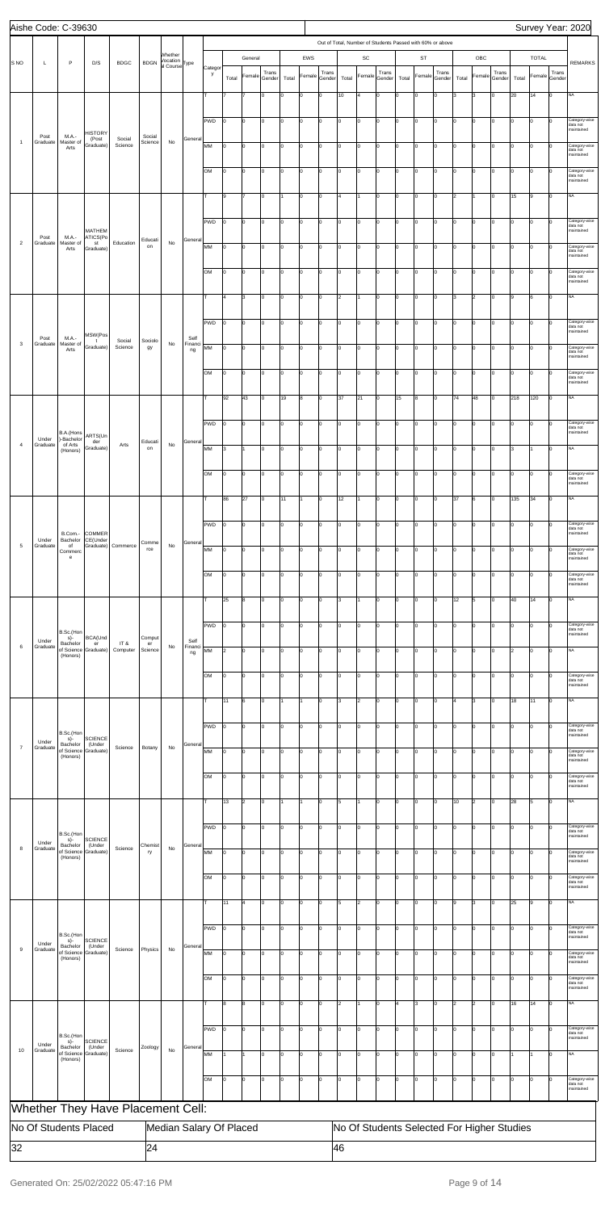|                | Aishe Code: C-39630   |                                           |                                       |                                   |                   |                                                  |                 |              |                |                |                 |       |              |                 |           |                      |                 |                                                           |             |                 |       |                |                                            |       |                |                | Survey Year: 2020                       |
|----------------|-----------------------|-------------------------------------------|---------------------------------------|-----------------------------------|-------------------|--------------------------------------------------|-----------------|--------------|----------------|----------------|-----------------|-------|--------------|-----------------|-----------|----------------------|-----------------|-----------------------------------------------------------|-------------|-----------------|-------|----------------|--------------------------------------------|-------|----------------|----------------|-----------------------------------------|
|                |                       |                                           |                                       |                                   |                   |                                                  |                 |              |                |                |                 |       |              |                 |           |                      |                 | Out of Total, Number of Students Passed with 60% or above |             |                 |       |                |                                            |       |                |                |                                         |
| <b>SNO</b>     | L                     | P                                         | D/S                                   | <b>BDGC</b>                       | <b>BDGN</b>       | Whether<br>Vocation<br>al Course <sup>Type</sup> |                 |              |                | General        |                 |       | EWS          |                 |           | $\mathsf{SC}$        |                 |                                                           | <b>ST</b>   |                 |       | OBC            |                                            |       | <b>TOTAL</b>   |                | <b>REMARKS</b>                          |
|                |                       |                                           |                                       |                                   |                   |                                                  |                 | Categor<br>y | Total          | Female         | Trans<br>Gender | Total | Female       | Trans<br>Gender | Total     | Female               | Trans<br>Gender | Total                                                     | Female      | Trans<br>Gender | Total | Female         | Trans<br>Gender                            | Total | Female Gender  | Trans          |                                         |
|                |                       |                                           |                                       |                                   |                   |                                                  |                 | lт           |                |                | lo.             | lо    | O            | $\mathbf 0$     | 10        | l4                   | 0               | lo.                                                       | $\mathbf 0$ | Iо              | lз    | 3              | $\mathbf 0$                                | 20    | 14             | lо             | <b>NA</b>                               |
|                |                       |                                           |                                       |                                   |                   |                                                  |                 |              |                |                |                 |       |              |                 |           |                      |                 |                                                           |             |                 |       |                |                                            |       |                |                |                                         |
|                |                       |                                           | <b>HISTORY</b>                        |                                   |                   |                                                  |                 | PWD          | I٥             | lo             | Iо              | Iо    | O            | 0               | I٥        | O                    | Iо              | Iо                                                        | lo          | Iо              | lo.   | $\mathsf 0$    | $\mathbf 0$                                | Iо    | 0              | Iо             | Category-wise<br>data not<br>maintained |
| $\overline{1}$ | Post<br>Graduate      | M.A.-<br>Master of<br>Arts                | (Post<br>Graduate)                    | Social<br>Science                 | Social<br>Science | No                                               | General         | MM           | O              | l0             | lo.             | lо    | O            | $\mathbf 0$     | I٥        | $\overline{0}$       | Iо              | Iо                                                        | lo          | Iо              | Iо    | $\overline{0}$ | lо                                         | Iо    | $\overline{0}$ | <sup>0</sup>   | Category-wise<br>data not               |
|                |                       |                                           |                                       |                                   |                   |                                                  |                 | <b>OM</b>    | I٥             | lo.            | lo.             | Iо    | O            | Iо              | I٥        | lo                   | Iо              | lo.                                                       | lo          | lо              | Iо    | O              | lо                                         | Iо    | $\overline{0}$ | lо             | maintained<br>Category-wise             |
|                |                       |                                           |                                       |                                   |                   |                                                  |                 |              |                |                |                 |       |              |                 |           |                      |                 |                                                           |             |                 |       |                |                                            |       |                |                | data not<br>maintained                  |
|                |                       |                                           |                                       |                                   |                   |                                                  |                 | т            | 9              |                | Iо              |       | 0            | 0               | 4         |                      | Iо              | Iо                                                        | lo          | Iо              | 2     | 1              | $\mathbf 0$                                | 15    | 9              | Iо             | <b>NA</b>                               |
|                |                       |                                           |                                       |                                   |                   |                                                  |                 | PWD          | I٥             | lo             | lo.             | lо    | O            | 0               | I٥        | lo                   | Iо              | Iо                                                        | lo          | Iо              | l0    | O              | Iо                                         | Iо    | $\overline{0}$ | I٥             | Category-wise                           |
|                | Post                  | M.A.-                                     | <b>MATHEM</b><br>ATICS(Po             |                                   | Educati           |                                                  | General         |              |                |                |                 |       |              |                 |           |                      |                 |                                                           |             |                 |       |                |                                            |       |                |                | data not<br>maintained                  |
| $\overline{2}$ | Graduate              | Master of<br>Arts                         | st<br>Graduate)                       | Education                         | on                | No                                               |                 | MM           | Iо             | lo             | lo.             | Iо    | O            | Iо              | I٥        | lo                   | lo.             | lo.                                                       | Iо          | Iо              | Iо    | O              | lо                                         | lo.   | $\overline{0}$ | lо             | Category-wise<br>data not<br>maintained |
|                |                       |                                           |                                       |                                   |                   |                                                  |                 | lом          | I٥             | lо             | Iо              | lо    | O            | 0               | I٥        | O                    | Iо              | Iо                                                        | lo          | Iо              | lo.   | $\mathbf 0$    | 0                                          | Iо    | $\circ$        | Iо             | Category-wise<br>data not               |
|                |                       |                                           |                                       |                                   |                   |                                                  |                 |              |                |                |                 |       |              |                 |           |                      |                 |                                                           |             |                 |       |                |                                            |       |                |                | maintained                              |
|                |                       |                                           |                                       |                                   |                   |                                                  |                 | т            | 4              | 3              | Iо              | 0     | O            | 0               | 2         |                      | Iо              | Iо                                                        | lo          | Iо              | 3     | $\overline{2}$ | Iо                                         | 19    | 6              | Iо             | <b>NA</b>                               |
|                |                       |                                           |                                       |                                   |                   |                                                  |                 | PWD          | Iо             | lo.            | lo.             | Iо    | O            | lo.             | $\vert$ 0 | lo                   | Iо              | lo.                                                       | Iо          | Iо              | Iо    | lo.            | Iо                                         | Iо    | l0             | Iо             | Category-wise<br>data not               |
| 3              | Post<br>Graduate      | M.A.-<br>Master of                        | MSW(Pos<br>$\mathbf{t}$<br>Graduate)  | Social<br>Science                 | Sociolo<br>gy     | No                                               | Self<br>Financi | MM           | I٥             | l0             | Iо              | lо    | 0            | 0               | I٥        | O                    | Iо              | Iо                                                        | O           | Iо              | l0    | $\mathsf 0$    | $\mathbf 0$                                | Iо    | $\overline{0}$ | Iо             | naintained<br>Category-wise             |
|                |                       | Arts                                      |                                       |                                   |                   |                                                  | ng              |              |                |                |                 |       |              |                 |           |                      |                 |                                                           |             |                 |       |                |                                            |       |                |                | data not<br>maintained                  |
|                |                       |                                           |                                       |                                   |                   |                                                  |                 | OM           | O              | 0              | lo.             | lо    | 0            | $\mathbf 0$     | I٥        | lo                   | Iо              | Iо                                                        | l0          | Iо              | Iо    | $\mathbf 0$    | $\mathbf 0$                                | Iо    | $\overline{0}$ | $\Omega$       | Category-wise<br>data not<br>maintained |
|                |                       |                                           |                                       |                                   |                   |                                                  |                 | Iт           | 92             | 43             | lo.             | 19    | 8            | $\mathbf 0$     | 37        | 21                   | lo.             | 15                                                        | 8           | lо              | 74    | 48             | lо                                         | 218   | 120            | $ 0\rangle$    | <b>NA</b>                               |
|                |                       |                                           |                                       |                                   |                   |                                                  |                 |              |                |                |                 |       |              |                 |           |                      |                 |                                                           |             |                 |       |                |                                            |       |                |                |                                         |
|                |                       | B.A.(Hons                                 | ARTS(Un                               |                                   |                   |                                                  |                 | PWD          | I٥             | lо             | Iо              | Iо    | O            | $\mathbf 0$     | lo.       | lo                   | Iо              | Iо                                                        | lo          | lо              | lo.   | $\mathbf 0$    | $\mathbf 0$                                | Iо    | $\overline{0}$ | Iо             | Category-wise<br>data not<br>maintained |
| $\overline{4}$ | Under<br>Graduate     | )-Bachelor<br>of Arts<br>(Honors)         | der<br>Graduate)                      | Arts                              | Educati<br>on     | No                                               | General         | MM           | 3              |                | Iо              | Iо    | O            | Iо              | lo.       | $\overline{0}$       | Iо              | Iо                                                        | lо          | Iо              | Iо    | O              | lо                                         | 3     |                | Iо             | <b>NA</b>                               |
|                |                       |                                           |                                       |                                   |                   |                                                  |                 |              |                |                |                 |       |              |                 |           |                      |                 |                                                           |             |                 |       |                |                                            |       |                |                |                                         |
|                |                       |                                           |                                       |                                   |                   |                                                  |                 | OМ           | Iθ             |                |                 |       |              |                 |           |                      |                 |                                                           |             |                 |       |                |                                            |       |                |                | ategory-wise,<br>data not<br>maintained |
|                |                       |                                           |                                       |                                   |                   |                                                  |                 | lτ           | 86             | 27             | Iо              | 11    | $\mathbf{1}$ | 0               | 12        |                      | Iо              | Iо                                                        | 0           | lо              | 37    | 6              | 0                                          | 135   | 34             | Iо             | <b>NA</b>                               |
|                |                       |                                           |                                       |                                   |                   |                                                  |                 | PWD          | 10             | 0              | lo.             | lо    | 0            | 0               | I٥        | lo                   | Iо              | lo.                                                       | 0           | Iо              | Iо    | 0              | $\mathbf 0$                                | Iо    | 0              | n              | Category-wise                           |
|                | Under                 | Bachelor                                  | B.Com.- COMMER<br>CE(Under            |                                   | Comme             |                                                  | General         |              |                |                |                 |       |              |                 |           |                      |                 |                                                           |             |                 |       |                |                                            |       |                |                | data not<br>maintained                  |
| $\sqrt{5}$     | Graduate              | of<br>Commerc<br>e                        | Graduate)                             | Commerce                          | rce               | No                                               |                 | MM           | I٥             | lo.            | lo.             | Ιo    | O            | O               | I٥        | lo                   | lo.             | lo.                                                       | l0          | lо              | Iо    | O              | $\Omega$                                   | Iо    | $\overline{0}$ | Iо             | Category-wise<br>data not<br>maintained |
|                |                       |                                           |                                       |                                   |                   |                                                  |                 | lом          | I٥             | 0              | Iо              | lо    | O            | 0               | I٥        | O                    | 0               | 10                                                        | O           | lо              | l0    | $\mathsf 0$    | 0                                          | Iо    | $\overline{0}$ | $\overline{0}$ | Category-wise                           |
|                |                       |                                           |                                       |                                   |                   |                                                  |                 |              |                |                |                 |       |              |                 |           |                      |                 |                                                           |             |                 |       |                |                                            |       |                |                | data not<br>maintained                  |
|                |                       |                                           |                                       |                                   |                   |                                                  |                 | Iт           | 25             | 8              | lo.             | lо    | 0            | 0               | 3         |                      | Iо              | Iо                                                        | Iо          | Iо              | 12    | 5              | lо                                         | 40    | 14             | I٥             | <b>NA</b>                               |
|                |                       |                                           |                                       |                                   |                   |                                                  |                 | PWD          | I٥             | lo.            | lo.             | Iо    | O            | lo.             | I٥        | lo                   | lo.             | lo.                                                       | Iо          | lо              | lo.   | O              | Iо                                         | Iо    | $\overline{0}$ | lo.            | Category-wise<br>data not               |
| $\,6\,$        | Under<br>Graduate     | B.Sc.(Hon<br>$s$ )-<br>Bachelor           | BCA(Und<br>er<br>of Science Graduate) | IT &                              | Comput<br>er      | No                                               | Self<br>Financi |              |                |                |                 |       |              |                 |           |                      |                 |                                                           |             |                 |       |                |                                            |       |                |                | naintained                              |
|                |                       | (Honors)                                  |                                       | Computer                          | Science           |                                                  | ng              | MM           | 2              | l0             | Iо              | lо    | 0            | 0               | I٥        | O                    | Iо              | Iо                                                        | lo          | Iо              | Iо    | $\mathsf 0$    | $\mathbf 0$                                | 2     | $\overline{0}$ | Iо             | <b>NA</b>                               |
|                |                       |                                           |                                       |                                   |                   |                                                  |                 | OM           | O              | 0              | lo.             | lо    | 0            | 0               | I٥        | $\overline{0}$       | Iо              | Iо                                                        | lо          | Iо              | Iо    | O              | Iо                                         | Iо    | $\overline{0}$ | $\Omega$       | Category-wise<br>data not<br>maintained |
|                |                       |                                           |                                       |                                   |                   |                                                  |                 | Iт           | 11             | l6             | lo.             | l1    | 1            | O               | 3         | $\vert$ <sub>2</sub> | lo.             | lo.                                                       | Iо          | Iо              | l4    | 3              | Iо                                         | 18    | 11             | lo             | <b>NA</b>                               |
|                |                       |                                           |                                       |                                   |                   |                                                  |                 |              |                |                |                 |       |              |                 |           |                      |                 |                                                           |             |                 |       |                |                                            |       |                |                |                                         |
|                |                       | B.Sc.(Hon                                 | <b>SCIENCE</b>                        |                                   |                   |                                                  |                 | PWD          | I٥             | 0              | Iо              | lо    | O            | 0               | I٥        | O                    | Iо              | Iо                                                        | O           | Iо              | lo.   | $\mathsf 0$    | $\mathbf 0$                                | Iо    | $\overline{0}$ | Iо             | Category-wise<br>data not<br>maintained |
| $\overline{7}$ | Under<br>Graduate     | s)-<br>Bachelor<br>of Science<br>(Honors) | (Under<br>Graduate)                   | Science                           | Botany            | No                                               | General         | MM           | O              | 0              | lo.             | lо    | 0            | 0               | I٥        | $\overline{0}$       | Iо              | Iо                                                        | O           | Iо              | Iо    | 0              | 0                                          | Iо    | $\overline{0}$ | n              | Category-wise<br>data not               |
|                |                       |                                           |                                       |                                   |                   |                                                  |                 |              |                |                |                 |       |              |                 |           |                      |                 |                                                           |             |                 |       |                |                                            |       |                |                | maintained                              |
|                |                       |                                           |                                       |                                   |                   |                                                  |                 | lом          | I٥             | lo.            | lo.             | Iо    | O            | lo.             | I٥        | lo                   | Iо              | lo.                                                       | Iо          | lо              | Iо    | lo.            | lо                                         | Iо    | $\overline{0}$ | Iо             | Category-wise<br>data not<br>maintained |
|                |                       |                                           |                                       |                                   |                   |                                                  |                 | т            | 13             | 2              | Iо              | 11    | 1            | 0               | 5         |                      | Iо              | 10                                                        | O           | Iо              | 10    | $\overline{2}$ | 0                                          | 28    | 5              | Iо             | <b>NA</b>                               |
|                |                       |                                           |                                       |                                   |                   |                                                  |                 | PWD          | 10             | 0              | lo.             | lо    | 0            | 0               | I٥        | $\overline{0}$       | Iо              | Iо                                                        | O           | Iо              | Iо    | 0              | $\mathbf 0$                                | Iо    | $\overline{0}$ | $\Omega$       | Category-wise                           |
|                | Under                 | B.Sc.(Hon<br>$s$ )-<br>Bachelor           | <b>SCIENCE</b><br>(Under              |                                   | Chemist           |                                                  | General         |              |                |                |                 |       |              |                 |           |                      |                 |                                                           |             |                 |       |                |                                            |       |                |                | data not<br>maintained                  |
| 8              | Graduate              | of Science<br>(Honors)                    | Graduate)                             | Science                           | ry                | No                                               |                 | MM           | I٥             | lo.            | lo.             | Ιo    | O            | O               | I٥        | lo                   | lo.             | lo.                                                       | lo          | Iо              | Iо    | O              | O                                          | lo.   | $\overline{0}$ | Iо             | Category-wise<br>data not<br>maintained |
|                |                       |                                           |                                       |                                   |                   |                                                  |                 | lом          | I٥             | 0              | Iо              | lо    | O            | 0               | I٥        | O                    | Iо              | Iо                                                        | O           | lо              | l0    | $\mathsf 0$    | 0                                          | Iо    | $\overline{0}$ | O              | Category-wise                           |
|                |                       |                                           |                                       |                                   |                   |                                                  |                 |              |                |                |                 |       |              |                 |           |                      |                 |                                                           |             |                 |       |                |                                            |       |                |                | data not<br>maintained                  |
|                |                       |                                           |                                       |                                   |                   |                                                  |                 | Iт           | 11             | $\overline{a}$ | lo.             | lо    | O            | $\mathbf 0$     | 5         | $\vert$ <sub>2</sub> | Iо              | Iо                                                        | Iо          | Iо              | l9    | 3              | lо                                         | 25    | 9              | lo.            | <b>NA</b>                               |
|                |                       | B.Sc.(Hon                                 |                                       |                                   |                   |                                                  |                 | PWD          |                |                |                 |       |              |                 |           |                      |                 |                                                           |             |                 |       |                |                                            |       |                |                | ategory<br>data not                     |
| $\mathsf g$    | Under<br>Graduate     | s)-<br>Bachelor                           | <b>SCIENCE</b><br>(Under              | Science                           | Physics           | No                                               | General         |              |                |                |                 |       |              |                 |           |                      |                 |                                                           |             |                 |       |                |                                            |       |                |                | maintained                              |
|                |                       | of Science<br>(Honors)                    | Graduate)                             |                                   |                   |                                                  |                 | MM           | Iо             | lo             | Iо              | lо    | O            | 0               | lo.       | 0                    | $\mathbf 0$     | Iо                                                        | O           | lо              | lo.   | $\mathbf 0$    | 0                                          | Iо    | $\overline{0}$ |                | Category-wise<br>data not<br>maintained |
|                |                       |                                           |                                       |                                   |                   |                                                  |                 | OM           | o              | lo             | Iо              | lо    | O            | $\mathbf 0$     | I٥        | $\overline{0}$       | 0               | lo.                                                       | $\mathbf 0$ | Iо              | lo.   | $\mathbf 0$    | $\mathbf 0$                                | Iо    | $\overline{0}$ |                | Category-wise<br>data not<br>maintained |
|                |                       |                                           |                                       |                                   |                   |                                                  |                 | т            | 8              | 8              | Iо              | Iо    | O            | $\mathbf 0$     | 2         |                      | Iо              | l4                                                        | 3           | lо              | 2     | $\overline{2}$ | lо                                         | 16    | 14             | Iо             | <b>NA</b>                               |
|                |                       |                                           |                                       |                                   |                   |                                                  |                 |              |                |                |                 |       |              |                 |           |                      |                 |                                                           |             |                 |       |                |                                            |       |                |                |                                         |
|                |                       | B.Sc.(Hon<br>s)-                          | <b>SCIENCE</b>                        |                                   |                   |                                                  |                 | PWD          | $\overline{0}$ | lo             | lо              | lо    | $\circ$      | 0               | lo.       | lo                   | Iо              | I٥                                                        | lo          | lо              | I٥    | $\mathbf 0$    | $\mathbf 0$                                | lо    | $\overline{0}$ | Iо             | Category-wise<br>data not<br>maintained |
| 10             | Under<br>Graduate     | Bachelor<br>of Science<br>(Honors)        | (Under<br>Graduate)                   | Science                           | Zoology           | No                                               | General         | MM           |                |                | Iо              | lо    | O            | $\mathbf 0$     | lo.       | $\overline{0}$       | Iо              | lo.                                                       | lо          | lо              | lo.   | O              | lо                                         |       |                |                | NA                                      |
|                |                       |                                           |                                       |                                   |                   |                                                  |                 |              |                |                |                 |       |              |                 |           |                      |                 |                                                           |             |                 |       |                |                                            |       |                |                |                                         |
|                |                       |                                           |                                       |                                   |                   |                                                  |                 | OM           | lo.            | lo.            | Iо              | Iо    | O            | O               | lo.       | lo                   | Iо              | lo.                                                       | lо          | lо              | Iо    | lo.            | lо                                         | Iо    | lo.            | Iо             | Category-wise<br>data not<br>naintained |
|                |                       |                                           |                                       | Whether They Have Placement Cell: |                   |                                                  |                 |              |                |                |                 |       |              |                 |           |                      |                 |                                                           |             |                 |       |                |                                            |       |                |                |                                         |
|                | No Of Students Placed |                                           |                                       |                                   |                   | Median Salary Of Placed                          |                 |              |                |                |                 |       |              |                 |           |                      |                 |                                                           |             |                 |       |                | No Of Students Selected For Higher Studies |       |                |                |                                         |
| 32             |                       |                                           |                                       |                                   | 24                |                                                  |                 |              |                |                |                 |       |              |                 | 46        |                      |                 |                                                           |             |                 |       |                |                                            |       |                |                |                                         |
|                |                       |                                           |                                       |                                   |                   |                                                  |                 |              |                |                |                 |       |              |                 |           |                      |                 |                                                           |             |                 |       |                |                                            |       |                |                |                                         |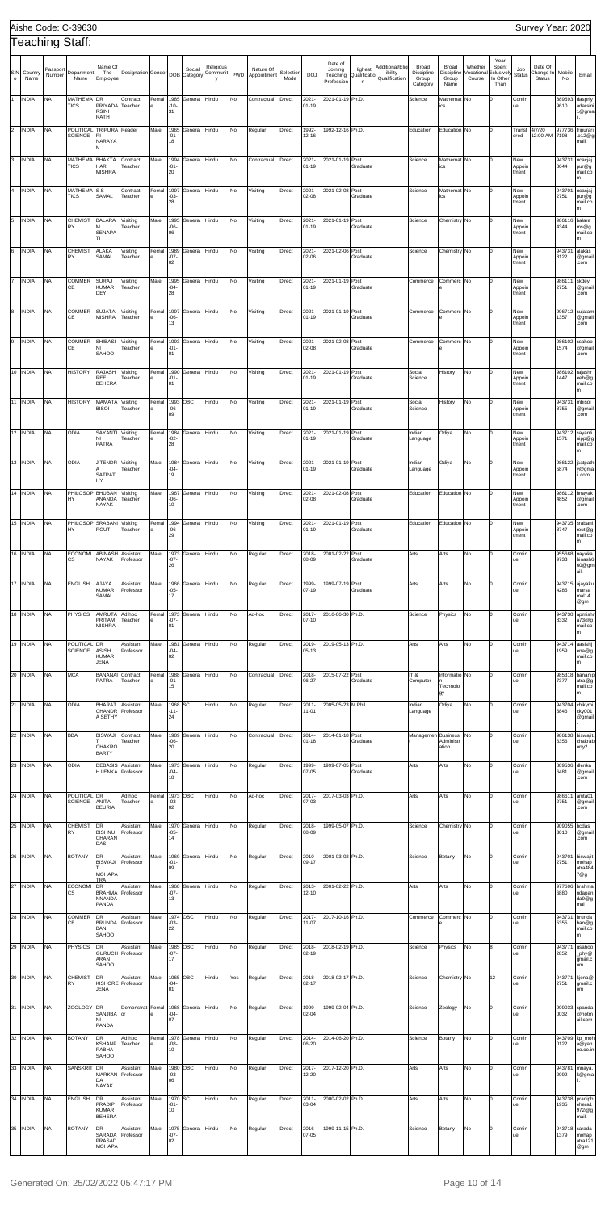|                |                      |                        | Aishe Code: C-39630                       |                                                        |                                  |               |                            |                          |                            |          |                          |                   |                            |                                              |                              |                                             |                                                 |                                      |                                 |                                                 |                               | Survey Year: 2020              |                          |                                             |
|----------------|----------------------|------------------------|-------------------------------------------|--------------------------------------------------------|----------------------------------|---------------|----------------------------|--------------------------|----------------------------|----------|--------------------------|-------------------|----------------------------|----------------------------------------------|------------------------------|---------------------------------------------|-------------------------------------------------|--------------------------------------|---------------------------------|-------------------------------------------------|-------------------------------|--------------------------------|--------------------------|---------------------------------------------|
|                |                      |                        | <b>Teaching Staff:</b>                    |                                                        |                                  |               |                            |                          |                            |          |                          |                   |                            |                                              |                              |                                             |                                                 |                                      |                                 |                                                 |                               |                                |                          |                                             |
| S.N<br>$\circ$ | Country<br>Name      | Passport<br>Number     | Department<br>Name                        | Name Of<br>The<br>Employee                             | Designation Gender               |               |                            | Social<br>DOB Category   | Religious<br>Communit<br>y | PWD      | Nature Of<br>Appointment | Selection<br>Mode | <b>DOJ</b>                 | Date of<br>Joining<br>Teaching<br>Profession | Highest<br>Qualificatio<br>n | Additional/Elig<br>ibility<br>Qualification | <b>Broad</b><br>Discipline<br>Group<br>Category | Broad<br>Discipline<br>Group<br>Name | Whether<br>/ocational<br>Course | Year<br>Spent<br>Eclusively<br>In Other<br>Than | Job<br>Status                 | Date Of<br>Change In<br>Status | Mobile<br>No             | Email                                       |
| 1              | <b>INDIA</b>         | <b>NA</b>              | MATHEMA DR<br><b>TICS</b>                 | PRIYADA<br><b>RSINI</b>                                | Contract<br>Teacher              | Femal         | $-10-$<br>31               | 1985 General             | Hindu                      | No       | Contractual              | Direct            | 2021-<br>$01 - 19$         | 2021-01-19 Ph.D.                             |                              |                                             | Science                                         | Mathemat No<br><b>CS</b>             |                                 |                                                 | Contin<br>ue                  |                                | 889593<br>9610           | daspriy<br>adarsini<br>1@gma                |
| $\overline{2}$ | <b>INDIA</b>         | <b>NA</b>              | POLITICAL TRIPURA<br><b>SCIENCE</b>       | RATH<br>R1<br>NARAYA                                   | Reader                           | Male          | 1965<br>$-01-$<br>18       | General                  | Hindu                      | No       | Regular                  | Direct            | 1992-<br>12-16             | 1992-12-16 Ph.D.                             |                              |                                             | Education                                       | Education No                         |                                 |                                                 | Transf<br>ered                | 4/7/20<br>12:00 AM             | 977736<br>7198           | tripurari<br>.012@g<br>mail.                |
| 3              | <b>INDIA</b>         | <b>NA</b>              | MATHEMA BHAKTA<br><b>TICS</b>             | HARI<br><b>MISHRA</b>                                  | Contract<br>Teacher              | Male          | 1994<br>$-01 -$<br>20      | General                  | Hindu                      | No       | Contractual              | Direct            | 2021-<br>$01 - 19$         | 2021-01-19 Post                              | Graduate                     |                                             | Science                                         | Mathemat No<br>cs                    |                                 |                                                 | New<br>Appoir<br>tment        |                                | 943731<br>8644           | ncacjaj<br>pur@g<br>mail.co<br>m            |
| $\overline{4}$ | <b>INDIA</b>         | <b>NA</b>              | MATHEMA <sub>SS</sub><br><b>TICS</b>      | SAMAL                                                  | Contract<br>Teacher              | Femal         | 1997<br>$-03-$<br>28       | General                  | Hindu                      | No       | Visiting                 | Direct            | 2021<br>02-08              | 2021-02-08                                   | Post<br>Graduate             |                                             | Science                                         | Mathemat No<br>ics                   |                                 |                                                 | New<br>Appoir<br>tment        |                                | 943701<br>2751           | ncacjaj<br>pur@g<br>mail.co<br>m            |
| 5              | <b>INDIA</b>         | <b>NA</b>              | <b>CHEMIST</b><br>RY                      | <b>BALARA</b><br>м<br><b>SENAPA</b><br>TI.             | Visiting<br>Teacher              | Male          | 1995<br>$-06 -$<br>06      | General                  | Hindu                      | No       | Visiting                 | Direct            | 2021-<br>$01 - 19$         | 2021-01-19 Post                              | Graduate                     |                                             | Science                                         | Chemistry No                         |                                 |                                                 | New<br>Appoir<br>tment        |                                | 986116<br>4344           | balara<br>ms@g<br>mail.co<br>m              |
| 6              | <b>INDIA</b>         | <b>NA</b>              | <b>CHEMIST</b><br>RY                      | <b>ALAKA</b><br>SAMAL                                  | Visiting<br>Teacher              | Femal         | 1989<br>$-07-$<br>02       | General                  | Hindu                      | No       | Visiting                 | Direct            | 2021-<br>02-06             | 2021-02-06                                   | Post<br>Graduate             |                                             | Science                                         | Chemistry No                         |                                 |                                                 | New<br>Appoir<br>tment        |                                | 943731<br>8122           | alakas<br>@gmail<br>.com                    |
| 17             | <b>INDIA</b>         | <b>NA</b>              | COMMER<br>СE                              | <b>SURAJ</b><br><b>KUMAR</b><br>DEY                    | Visiting<br>Teacher              | Male          | 1995<br>$-04-$<br>28       | General                  | Hindu                      | No       | Visiting                 | Direct            | 2021-<br>$01 - 19$         | 2021-01-19 Post                              | Graduate                     |                                             | Commerce                                        | Commerc No                           |                                 |                                                 | New<br>Appoir<br>tment        |                                | 986111 skdey<br>2751     | @gmail<br>.com                              |
| 8              | <b>INDIA</b>         | <b>NA</b>              | <b>COMMER</b><br>CE                       | <b>SUJATA</b><br><b>MISHRA</b>                         | Visiting<br>Teacher              | Femal         | 1997<br>$-06-$<br>13       | General                  | Hindu                      | No       | Visiting                 | Direct            | 2021-<br>$01 - 19$         | 2021-01-19 Post                              | Graduate                     |                                             | Commerce                                        | Commerc No                           |                                 |                                                 | New<br>Appoir<br>tment        |                                | 1357                     | 996712 sujatam<br>@gmail<br>.com            |
| 9              | <b>INDIA</b>         | <b>NA</b>              | COMMER<br>СE                              | <b>SHIBASI</b><br>NI<br>SAHOO                          | Visiting<br>Teacher              | Femal         | 1993<br>$-01-$<br>01       | General                  | Hindu                      | No       | Visiting                 | Direct            | 2021-<br>02-08             | 2021-02-08 Post                              | Graduate                     |                                             | Commerce                                        | Commerc No                           |                                 |                                                 | New<br>Appoir<br>tment        |                                | 986102<br>1574           | ssahoo<br>@gmail<br>.com                    |
|                | 10 INDIA             | <b>NA</b>              | <b>HISTORY</b>                            | RAJASH<br>REE<br><b>BEHERA</b>                         | Visiting<br>Teacher              | Femal         | 1990<br>$-01-$<br>01       | General                  | Hindu                      | No       | Visiting                 | Direct            | 2021<br>$01 - 19$          | 2021-01-19 Post                              | Graduate                     |                                             | Social<br>Science                               | History                              | No                              |                                                 | New<br>Appoir<br>tment        |                                | 1447                     | 986102 rajashr<br>eeb@g<br>mail.co<br>m     |
|                | 11 INDIA             | <b>NA</b>              | <b>HISTORY</b>                            | MAMATA<br><b>BISOI</b>                                 | Visiting<br>Teacher              | Femal<br>e    | $-06-$<br>09               | 1993 OBC                 | Hindu                      | No       | Visiting                 | Direct            | 2021-<br>$01 - 19$         | 2021-01-19 Post                              | Graduate                     |                                             | Social<br>Science                               | History                              | No                              |                                                 | New<br>Appoir<br>tment        |                                | 943731<br>8755           | mbisoi<br>@gmail<br>.com                    |
|                | $12$ INDIA           | <b>NA</b>              | ODIA                                      | SAYANTI<br>NI<br>PATRA                                 | Visiting<br>Teacher              | Femal         | 1984<br>$-02-$<br>28       | General                  | Hindu                      | No       | Visiting                 | Direct            | 2021-<br>$01 - 19$         | 2021-01-19 Post                              | Graduate                     |                                             | Indian<br>Language                              | Odiya                                | No                              |                                                 | New<br>Appoir<br>tment        |                                | 1571                     | 943712 sayanti<br>nipp@g<br>mail.co<br>m    |
|                | 13 INDIA             | <b>NA</b>              | <b>ODIA</b>                               | <b>JITENDR</b><br>SATPAT<br>HY                         | Visiting<br>Teacher              | Male          | -04-<br>19                 | 1984 General             | Hindu                      | No       | Visiting                 | Direct            | 2021-<br>01-19             | 2021-01-19 Post                              | Graduate                     |                                             | Indian<br>Language                              | Odiya                                | No                              |                                                 | New<br>Appoir<br>tment        |                                | 5874                     | 986122 jsatpath<br>y@gma<br>il.com          |
|                | 14 INDIA<br>15 INDIA | <b>NA</b><br><b>NA</b> | PHILOSOP BHUBAN<br>HY<br>PHILOSOP SRABANI | ANANDA<br>NAYAK                                        | Visiting<br>Teacher<br>Visiting  | Male<br>Femal | 1967<br>-06-<br>10<br>1994 | General<br>General       | Hindu<br>Hindu             | No<br>No | Visiting<br>Visiting     | Direct<br>Direct  | 2021-<br>02-08<br>$2021 -$ | 2021-02-08 Post<br>2021-01-19 Post           | Graduate                     |                                             | Education<br>Education                          | Education No<br>Education No         |                                 |                                                 | New<br>Appoir<br>tment<br>New |                                | 4852<br>943735           | 986112 bnayak<br>@gmail<br>.com<br>srabani  |
|                |                      |                        | HY                                        | <b>ROUT</b>                                            | Teacher                          |               | -06-<br>29                 |                          |                            |          |                          |                   | $01 - 19$                  |                                              | Graduate                     |                                             |                                                 |                                      |                                 |                                                 | Appoir<br>tment               |                                | 8747                     | rout@g<br>mail.co<br>m                      |
|                | 16 INDIA             | <b>NA</b>              | <b>ECONOMI</b><br>CS                      | <b>ABINASH</b><br>NAYAK                                | Assistant<br>Professor           | Male          | 1973<br>$-07-$<br>26       | General                  | Hindu                      | No       | Regular                  | Direct            | 2018-<br>08-09             | 2001-02-22                                   | Post<br>Graduate             |                                             | Arts                                            | Arts                                 | No                              |                                                 | Contin<br>ue                  |                                | 955668<br>9733           | nayaka<br>binash6<br>60@gm<br>ail.          |
|                | 17 INDIA<br>18 INDIA | <b>NA</b><br><b>NA</b> | <b>ENGLISH</b><br><b>PHYSICS</b>          | AJAYA<br>KUMAR<br>SAMAL<br>AMRUTA                      | Assistant<br>Professor<br>Ad hoc | Male<br>Femal | 1966<br>-05-<br>17<br>1973 | General<br>General       | Hindu<br>Hindu             | No<br>No | Regular<br>Ad-hoc        | Direct<br>Direct  | 1999-<br>07-19<br>2017-    | 1999-07-19 Post<br>2016-06-30 Ph.D.          | Graduate                     |                                             | Arts<br>Science                                 | Arts<br>Physics                      | No<br>No                        |                                                 | Contin<br>ue<br>Contin        |                                | 943715<br>4285<br>943730 | ajayaku<br>marsa<br>mal14<br>@gm<br>apmishr |
|                | 19 INDIA             | <b>NA</b>              | POLITICAL DR                              | PRITAM<br><b>MISHRA</b>                                | Teacher<br>Assistant             | le<br>Male    | -07-<br>01<br>1981         | General                  | Hindu                      | No       | Regular                  | Direct            | 07-10<br>2019-             | 2019-05-13 Ph.D.                             |                              |                                             | Arts                                            | Arts                                 | No                              |                                                 | ue<br>Contin                  |                                | 8332<br>943714           | a73@g<br>mail.co<br>m<br>aasishj            |
|                | 20 INDIA             | <b>NA</b>              | <b>SCIENCE</b><br><b>MCA</b>              | <b>ASISH</b><br><b>KUMAR</b><br>JENA<br><b>BANANAI</b> | Professor<br>Contract            | Femal         | -04-<br>02<br>1988         | General                  | Hindu                      | No       | Contractual              | Direct            | 05-13<br>2018-             | 2015-07-22 Post                              |                              |                                             | IT&                                             | Informatio No                        |                                 |                                                 | ue<br>Contin                  |                                | 1959<br>985318           | ena@g<br>mail.co<br>m<br>bananip            |
|                | 21 INDIA             | <b>NA</b>              | <b>ODIA</b>                               | PATRA<br><b>BHARAT</b>                                 | Teacher<br>Assistant             | e<br>Male     | -01-<br>15<br>1968 SC      |                          | Hindu                      | No       | Regular                  | Direct            | 06-27<br>2011-             | 2005-05-23 M.Phil                            | Graduate                     |                                             | Computer<br>Indian                              | Technolo<br>gy<br>Odiya              | No                              |                                                 | ue<br>Contin                  |                                | 7377<br>943704           | atra@g<br>mail.co<br>m<br>chikymi           |
|                | 22 INDIA             | <b>NA</b>              | <b>BBA</b>                                | CHANDR<br>A SETHY<br><b>BISWAJI</b>                    | Professor<br>Contract            | Male          | $-11-$<br>24               | 1989 General             | Hindu                      | No       | Contractual              | Direct            | 11-01<br>2014-             | 2014-01-18 Post                              |                              |                                             | Language<br>Managemen                           | <b>Business</b>                      | No                              |                                                 | ue<br>Contin                  |                                | 5846                     | cky001<br>@gmail<br>986138 biswajit         |
|                | 23 INDIA             | <b>NA</b>              | <b>ODIA</b>                               | CHAKRO<br><b>BARTY</b><br><b>DEBASIS</b>               | Teacher<br>Assistant             | Male          | -06-<br>20<br>1973         | General                  | Hindu                      | No       | Regular                  | Direct            | $01 - 18$<br>1999-         | 1999-07-05 Post                              | Graduate                     |                                             | Arts                                            | Administr<br>ation<br>Arts           | No                              |                                                 | ue<br>Contin                  |                                | 6356<br>889536           | chakrab<br>orty2<br>dlenka                  |
|                | 24 INDIA             | <b>NA</b>              | POLITICAL DR                              | <b>H LENKA</b>                                         | Professor<br>Ad hoc              | Femal         | -04-<br>18                 | 1973 OBC                 | Hindu                      | No       | Ad-hoc                   | Direct            | 07-05<br>2017-             | 2017-03-03 Ph.D.                             | Graduate                     |                                             | Arts                                            | Arts                                 | No                              |                                                 | ue<br>Contin                  |                                | 6481<br>986611           | @gmail<br>.com<br>anita01                   |
|                | 25 INDIA             | <b>NA</b>              | <b>SCIENCE</b><br><b>CHEMIST</b>          | ANITA<br><b>BEURIA</b><br>DR                           | Teacher<br>Assistant             | Male          | -03-<br>02<br>1970         | General                  | Hindu                      | No       | Regular                  | Direct            | 07-03<br>2018-             | 1999-05-07 Ph.D.                             |                              |                                             | Science                                         | Chemistry No                         |                                 |                                                 | ue<br>Contin                  |                                | 2751<br>909055           | @gmail<br>.com<br>bcdas                     |
|                | 26 INDIA             | <b>NA</b>              | <b>RY</b><br><b>BOTANY</b>                | <b>BISHNU</b><br>CHARAN<br>DAS<br>DR                   | Professor<br>Assistant           | Male          | -05-<br>14<br>1969         | General                  | Hindu                      | No       | Regular                  | Direct            | 08-09<br>2010-             | 2001-03-02 Ph.D.                             |                              |                                             | Science                                         | Botany                               | No                              |                                                 | ue<br>Contin                  |                                | 3010<br>943701           | @gmail<br>.com<br>biswajit                  |
|                | 27 INDIA             | <b>NA</b>              | <b>ECONOMI</b>                            | <b>BISWAJI</b><br><b>MOHAPA</b><br><b>TRA</b><br>DR    | Professor<br>Assistant           | Male          | $-01 -$<br>09<br>1968      | General                  | Hindu                      | No       | Regular                  | Direct            | 09-17<br>2013-             | 2001-02-22 Ph.D.                             |                              |                                             | Arts                                            | Arts                                 | No                              |                                                 | ue<br>Contin                  |                                | 2751<br>977606           | mohap<br>atra484<br>7@g<br>brahma           |
|                | 28 INDIA             | <b>NA</b>              | CS<br>COMMER                              | <b>BRAHMA</b><br><b>NNANDA</b><br>PANDA<br>DR          | Professor<br>Assistant           | Male          | -07-<br>13                 | 1974 OBC                 | Hindu                      | No       | Regular                  | Direct            | 12-10<br>2017-             | 2017-10-16 Ph.D.                             |                              |                                             | Commerce                                        | Commerc No                           |                                 |                                                 | ue<br>Contin                  |                                | 6880                     | ndapan<br>da9@g<br>mai<br>943731 brunda     |
|                | 29 INDIA             | <b>NA</b>              | CE<br><b>PHYSICS</b>                      | <b>BAN</b><br>SAHOO<br>DR                              | BRUNDA Professor<br>Assistant    | Male          | -03-<br>22                 | 1985 OBC                 | Hindu                      | No       | Regular                  | Direct            | 11-07<br>2018-             | 2018-02-19 Ph.D.                             |                              |                                             | Science                                         | Physics                              | No                              | l8                                              | ue<br>Contin                  |                                | 5355                     | ban@g<br>mail.co<br>m<br>943771 gsahoo      |
|                | 30 INDIA             | <b>NA</b>              | <b>CHEMIST</b>                            | <b>GURUCH</b><br>ARAN<br>SAHOO<br>DR                   | Professor<br>Assistant           | Male          | $-07-$<br>17               | 1965 OBC                 | Hindu                      | Yes      | Regular                  | Direct            | 02-19<br>2018-             | 2018-02-17 Ph.D.                             |                              |                                             | Science                                         | Chemistry No                         |                                 | 12                                              | ue<br>Contin                  |                                | 2852                     | _phy@<br>gmail.c<br>om<br>943771 kjena@     |
|                | 31 INDIA             | <b>NA</b>              | <b>RY</b><br>ZOOLOGY DR                   | <b>JENA</b>                                            | KISHORE Professor<br>Demonstrat  |               | $-04-$<br>01               | Femal 1968 General Hindu |                            | No       | Regular                  | Direct            | 02-17<br>1999-             | 1999-02-04 Ph.D.                             |                              |                                             | Science                                         | Zoology                              | No                              |                                                 | ue<br>Contin                  |                                | 2751                     | gmail.c<br>om<br>909033 spanda              |
|                | 32 INDIA             | <b>NA</b>              | <b>BOTANY</b>                             | SANJIBA or<br>NI<br>PANDA<br>DR                        | Ad hoc                           | Femal         | $-04-$<br>07               | 1978 General             | Hindu                      | No       | Regular                  | Direct            | 02-04<br>2014-             | 2014-06-20 Ph.D.                             |                              |                                             | Science                                         | Botany                               | No                              |                                                 | ue<br>Contin                  |                                | 0032                     | @hotm<br>ail.com<br>943709 kp_moh           |
|                | 33 INDIA             | <b>NA</b>              | SANSKRIT DR                               | <b>KSHANP</b><br>RABHA<br>SAHOO                        | Teacher<br>Assistant             | e<br>Male     | $-08-$<br>10               | 1980 OBC                 | Hindu                      | No       | Regular                  | Direct            | 06-20<br>2017-             | 2017-12-20 Ph.D.                             |                              |                                             | Arts                                            | Arts                                 | No                              |                                                 | ue<br>Contin                  |                                | 0122                     | a@yah<br>oo.co.in<br>943781 mnaya.          |
|                | 34 INDIA             | <b>NA</b>              | <b>ENGLISH</b>                            | MARKAN<br>DA<br>NAYAK<br>DR                            | Professor<br>Assistant           | Male          | $-03-$<br>06<br>1970 SC    |                          | Hindu                      | No       | Regular                  | Direct            | 12-20<br>2011-             | 2000-02-02 Ph.D.                             |                              |                                             | Arts                                            | Arts                                 | No                              |                                                 | ue<br>Contin                  |                                | 2092                     | k@gma<br>943738 pradipb                     |
|                | 35 INDIA             | <b>NA</b>              | <b>BOTANY</b>                             | PRADIP<br><b>KUMAR</b><br><b>BEHERA</b><br>DR          | Professor<br>Assistant           | Male          | $-01 -$<br>10              | 1975 General             | Hindu                      | No       | Regular                  | Direct            | 03-04<br>2016-             | 1999-11-15 Ph.D.                             |                              |                                             | Science                                         | Botany                               | No                              |                                                 | ue<br>Contin                  |                                | 1935                     | ehera1<br>972@g<br>mail.<br>943718 sarada   |
|                |                      |                        |                                           | SARADA<br>PRASAD<br><b>MOHAPA</b>                      | Professor                        |               | $-07-$<br>02               |                          |                            |          |                          |                   | 07-05                      |                                              |                              |                                             |                                                 |                                      |                                 |                                                 | ue                            |                                | 1379                     | mohap<br>atra121<br>@gm                     |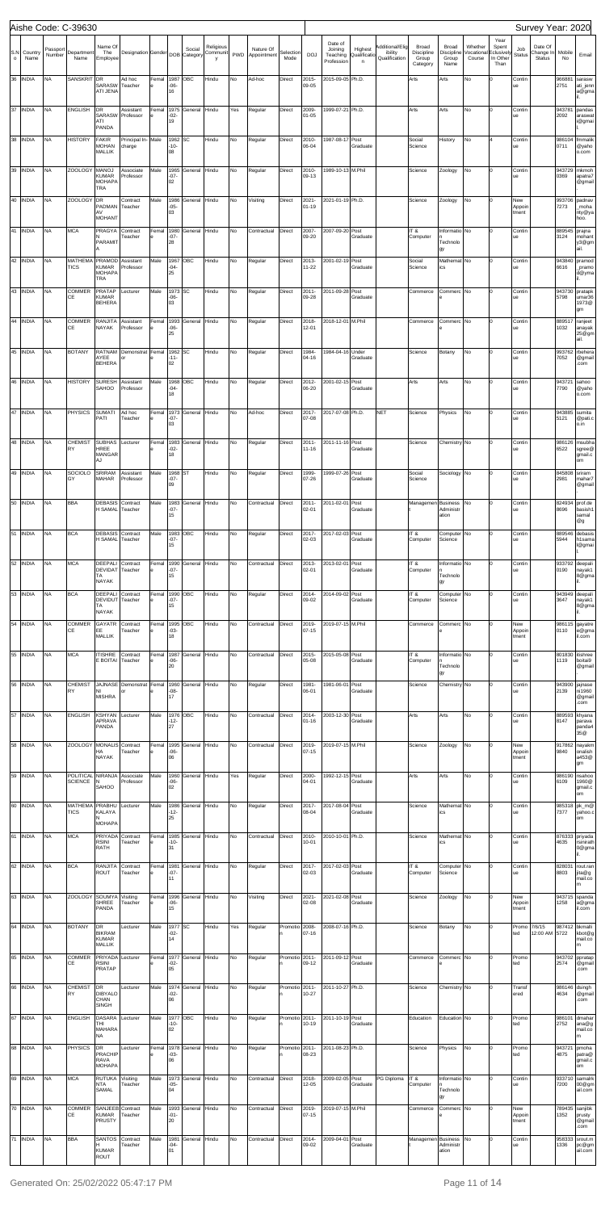|         |                  |                    | Aishe Code: C-39630                 |                                                                    |                                                    |       |                          |              |                       |            |                                             |                |                |                                |                         |                            |                           |                                   |                       |                             |                        | Survey Year: 2020             |                        |                                          |
|---------|------------------|--------------------|-------------------------------------|--------------------------------------------------------------------|----------------------------------------------------|-------|--------------------------|--------------|-----------------------|------------|---------------------------------------------|----------------|----------------|--------------------------------|-------------------------|----------------------------|---------------------------|-----------------------------------|-----------------------|-----------------------------|------------------------|-------------------------------|------------------------|------------------------------------------|
|         | S.N Country      | Passport<br>Number | Department                          | Name Of<br>The                                                     | Designation Gender DOB Category                    |       |                          | Social       | Religious<br>Communit | PWD        | Nature Of<br>Appointment                    | Selection      | <b>DOJ</b>     | Date of<br>Joining<br>Teaching | Highest<br>Qualificatio | Additional/Elig<br>ibility | Broad<br>Discipline       | Broad<br>Discipline               | Whether<br>/ocational | Year<br>Spent<br>Eclusively | Job<br><b>Status</b>   | Date Of<br>Change In          | Mobile                 | Email                                    |
| $\circ$ | Name<br>36 INDIA | NΑ                 | Name<br>SANSKRIT DR                 | Employee<br>SARASW<br>ATI JENA                                     | Ad hoc<br>Teacher                                  | Femal | 1987 OBC<br>$-06-$<br>16 |              | y<br>Hindu            | No         | Ad-hoc                                      | Mode<br>Direct | 2015-<br>09-05 | Profession<br>2015-09-05 Ph.D. | $\mathsf{n}$            | Qualification              | Group<br>Category<br>Arts | Group<br>Name<br>Arts             | Course<br>No          | In Other<br>Than            | Contir<br>ue           | <b>Status</b>                 | No<br>966881<br>2751   | sarasw<br>ati_jenn<br>a@gma              |
|         | 37 INDIA         | <b>NA</b>          | <b>ENGLISH</b>                      | DR                                                                 | Assistant                                          | Femal | 1975                     | General      | Hindu                 | Yes        | Regular                                     | Direct         | 2009-          | 1999-07-21 Ph.D.               |                         |                            | Arts                      | Arts                              | No                    | l٥                          | Contir                 |                               | 943781                 | pandas                                   |
|         |                  |                    |                                     | <b>SARASW</b><br>ATI<br>PANDA                                      | Professor                                          |       | $-02-$<br>19             |              |                       |            |                                             |                | 01-05          |                                |                         |                            |                           |                                   |                       |                             | ue                     |                               | 2092                   | araswat<br>i@gmai                        |
|         | 38 INDIA         | <b>NA</b>          | <b>HISTORY</b>                      | <b>FAKIR</b><br><b>MOHAN</b><br><b>MALLIK</b>                      | Principal In-Male<br>charge                        |       | 1962 SC<br>$-10-$<br>08  |              | Hindu                 | No         | Regular                                     | Direct         | 2010-<br>06-04 | 1987-08-17 Post                | Graduate                |                            | Social<br>Science         | History                           | No                    |                             | Contir<br>ue           |                               | 986104<br>0711         | fmmalik<br>@yaho<br>o.com                |
|         | 39 INDIA         | <b>NA</b>          | <b>ZOOLOGY</b>                      | <b>MANOJ</b><br><b>KUMAR</b><br><b>MOHAPA</b><br><b>TRA</b>        | Associate<br>Professor                             | Male  | 1965<br>$-07-$<br>02     | General      | Hindu                 | No         | Regular                                     | Direct         | 2010-<br>09-13 | 1989-10-13 M.Phil              |                         |                            | Science                   | Zoology                           | No                    | lo                          | Contir<br>ue           |                               | 943729<br>0369         | mkmoh<br>apatra7<br>@gmail               |
|         | 40 INDIA         | <b>NA</b>          | <b>ZOOLOGY</b>                      | DR<br>PADMAN<br>AV                                                 | Contract<br>Teacher                                | Male  | 1986<br>$-05-$<br>03     | General      | Hindu                 | No         | Visiting                                    | Direct         | 2021-<br>01-19 | 2021-01-19 Ph.D.               |                         |                            | Science                   | Zoology                           | No                    |                             | New<br>Appoir<br>tment |                               | 993706<br>7273         | padnav<br>_moha<br>nty@ya                |
|         | 41 INDIA         | <b>NA</b>          | <b>MCA</b>                          | <b>MOHANT</b><br>PRAGYA                                            | Contract<br>Teacher                                | Femal | 1980<br>$-07-$           | General      | Hindu                 | No         | Contractual                                 | Direct         | 2007-<br>09-20 | 2007-09-20 Post                | Graduate                |                            | IT&<br>Computer           | Informatio No                     |                       |                             | Contir<br>ue           |                               | 889545<br>3124         | hoo.<br>prajna<br>mohant                 |
|         | 42 INDIA         | <b>NA</b>          | <b>MATHEMA</b>                      | PARAMIT<br>PRAMOD                                                  | Assistant                                          | Male  | 28                       | 1967 OBC     | Hindu                 | No         | Regular                                     | Direct         | 2013-          | 2001-02-19 Post                |                         |                            | Social                    | Technolo<br>gy<br>Mathemat No     |                       |                             | Contir                 |                               | 943840                 | y3@gm<br>ail.<br>pramod                  |
|         | 43 INDIA         | <b>NA</b>          | <b>TICS</b><br><b>COMMER</b>        | <b>KUMAR</b><br><b>MOHAPA</b><br><b>TRA</b><br><b>PRATAP</b>       | Professor<br>Lecturer                              | Male  | $-04-$<br>25<br>1973 SC  |              | Hindu                 | No         | Regular                                     | Direct         | 11-22<br>2011- | 2011-09-28 Post                | Graduate                |                            | Science<br>Commerce       | ics<br>Commerc No                 |                       |                             | ue<br>Contir           |                               | 6616<br>943730         | _pramo<br>d@yma<br>pratapk               |
|         |                  |                    | СE                                  | <b>KUMAR</b><br><b>BEHERA</b>                                      |                                                    |       | $-06-$<br>03             |              |                       |            |                                             |                | 09-28          |                                | Graduate                |                            |                           |                                   |                       |                             | ue                     |                               | 5798                   | umar36<br>1973@<br>gm                    |
|         | 44 INDIA         | <b>NA</b>          | <b>COMMER</b><br>СE                 | <b>RANJITA</b><br>NAYAK                                            | Assistant<br>Professor                             | Femal | $-06-$<br>25             | 1993 General | Hindu                 | No         | Regular                                     | Direct         | 2018-<br>12-01 | 2018-12-01 M.Phil              |                         |                            | Commerce                  | Commerc No                        |                       |                             | Contir<br>ue           |                               | 889517<br>1032         | ranjeet<br>anayak<br>25@gm<br>ail.       |
|         | 45 INDIA         | <b>NA</b>          | <b>BOTANY</b>                       | AYEE<br><b>BEHERA</b>                                              | RATNAM Demonstrat<br>or                            | Femal | 1962 SC<br>-11-<br>02    |              | Hindu                 | No         | Regular                                     | Direct         | 1984-<br>04-16 | 1984-04-16 Under               | Graduate                |                            | Science                   | Botany                            | No                    | lo                          | Contir<br>ue           |                               | 993762<br>7052         | rbehera<br>@gmail<br>.com                |
|         | 46 INDIA         | <b>NA</b>          | <b>HISTORY</b>                      | <b>SURESH</b><br>SAHOO                                             | Assistant<br>Professor                             | Male  | $-04-$<br>18             | 1968 OBC     | Hindu                 | No         | Regular                                     | Direct         | 2012-<br>06-20 | 2001-02-15 Post                | Graduate                |                            | Arts                      | Arts                              | No                    |                             | Contir<br>ue           |                               | 943721<br>7790         | sahoo<br>@yaho<br>o.com                  |
|         | 47 INDIA         | <b>NA</b>          | <b>PHYSICS</b>                      | <b>SUMATI</b><br>PATI                                              | Ad hoc<br>Teacher                                  | Femal | $-07-$<br>03             | 1973 General | Hindu                 | No         | Ad-hoc                                      | Direct         | 2017-<br>07-08 | 2017-07-08 Ph.D.               |                         | <b>NET</b>                 | Science                   | Physics                           | No                    | lo                          | Contir<br>ue           |                               | 943885<br>5121         | sumita<br>@pati.c<br>o.in                |
|         | 48 INDIA         | <b>NA</b>          | <b>CHEMIST</b><br>RY                | <b>SUBHAS</b><br>HREE<br><b>MANGAR</b>                             | Lecturer                                           | Femal | $-02-$<br>18             | 1983 General | Hindu                 | No         | Regular                                     | Direct         | 2011-<br>11-16 | 2011-11-16 Post                | Graduate                |                            | Science                   | Chemistry No                      |                       |                             | Contir<br>ue           |                               | 986126<br>6522         | msubha<br>sgree@<br>gmail.c              |
|         | 49 INDIA NA      |                    | GY                                  | AJ<br>MAHAR                                                        | SOCIOLO SRIRAM Assistant Male 1968 ST<br>Professor |       | $-07-$<br>09             |              | Hindu                 | <b>INO</b> | Regular                                     | Direct         | 07-26          | 1999- 1999-07-26 Post          | Graduate                |                            | Social<br>Science         | Sociology No                      |                       | Iо                          | Contin<br>ue           |                               | 845808 sriram<br>2981  | om<br>mahar7<br>@gmail                   |
|         | 50 INDIA         | <b>NA</b>          | <b>BBA</b>                          | <b>DEBASIS</b><br>H SAMAL Teacher                                  | Contract                                           | Male  | 1983<br>$-07-$           | General      | Hindu                 | No         | Contractual                                 | Direct         | 2011-<br>02-01 | 2011-02-01 Post                | Graduate                |                            | Managemen                 | <b>Business</b><br>Administr      | No                    |                             | Contir<br>ue           |                               | 824934<br>8696         | prof.de<br>basish1                       |
|         | 51 INDIA         | <b>NA</b>          | <b>BCA</b>                          | <b>DEBASIS</b>                                                     | Contract                                           | Male  | 15                       | 1983 OBC     | Hindu                 | No         | Regular                                     | Direct         | 2017-          | 2017-02-03 Post                |                         |                            | IT&                       | ation<br>Computer <sup>No</sup>   |                       |                             | Contir                 |                               | 889546                 | samal<br>@g<br>debasis                   |
|         |                  |                    |                                     | H SAMAL Teacher                                                    |                                                    |       | $-07-$<br>15             |              |                       |            |                                             |                | 02-03          |                                | Graduate                |                            | Computer                  | Science                           |                       |                             | ue                     |                               | 5944                   | h1sama<br>l@gmai                         |
|         | 52 INDIA         | <b>NA</b>          | <b>MCA</b>                          | DEEPALI<br>DEVIDAT Teacher<br>TA<br><b>NAYAK</b>                   | Contract                                           | Femal | 1990<br>$-07-$<br>15     | General      | Hindu                 | No         | Contractual                                 | Direct         | 2013-<br>02-01 | 2013-02-01 Post                | Graduate                |                            | IT&<br>Computer           | Informatio No<br>Technolo<br>gу   |                       |                             | Contir<br>ue           |                               | 933792<br>0190         | deepali<br>nayak1<br>8@gma               |
|         | 53 INDIA         | <b>NA</b>          | <b>BCA</b>                          | <b>DEEPALI</b><br>DEVIDUT Teacher<br>TA<br><b>NAYAK</b>            | Contract                                           | Femal | 1990 OBC<br>$-07-$<br>15 |              | Hindu                 | No         | Regular                                     | Direct         | 2014-<br>09-02 | 2014-09-02 Post                | Graduate                |                            | IT&<br>Computer           | Computer <sup>No</sup><br>Science |                       |                             | Contir<br>ue           |                               | 943949<br>3647         | deepali<br>nayak1<br>8@gma               |
|         | 54 INDIA         | <b>NA</b>          | COMMER<br>СE                        | <b>GAYATR</b><br>EE<br><b>MALLIK</b>                               | Contract<br>Teacher                                | Femal | $-03-$<br>18             | 1995 OBC     | Hindu                 | No         | Contractual                                 | Direct         | 2019-<br>07-15 | 2019-07-15 M.Phil              |                         |                            | Commerce                  | Commerc No                        |                       |                             | New<br>Appoin<br>tment |                               | 986115<br>0110         | gayatre<br>e@gma<br>il.com               |
|         | 55 INDIA         | <b>NA</b>          | <b>MCA</b>                          | <b>ITISHRE</b><br><b>E BOITAI</b>                                  | Contract<br>Teacher                                | Femal | 1987<br>$-06-$<br>20     | General      | Hindu                 | No         | Contractual                                 | Direct         | 2015-<br>05-08 | 2015-05-08 Post                | Graduate                |                            | IT&<br>Computer           | Informatio No<br>Technolo<br>gу   |                       |                             | Contir<br>ue           |                               | 801830<br>1119         | itishree<br>boitai9<br>@gmail            |
|         | 56 INDIA         | <b>NA</b>          | <b>CHEMIST</b><br>RY                | NI<br><b>MISHRA</b>                                                | JAJNASE Demonstrat<br>or                           | Femal | $-08-$<br>17             | 1960 General | Hindu                 | No         | Regular                                     | Direct         | 1981-<br>06-01 | 1981-06-01 Post                | Graduate                |                            | Science                   | Chemistry No                      |                       |                             | Contir<br>ue           |                               | 943900<br>2139         | jajnase<br>ni1960<br>@gmail<br>.com      |
|         | 57 INDIA         | <b>NA</b>          | <b>ENGLISH</b>                      | <b>KSHYAN</b><br>APRAVA<br>PANDA                                   | Lecturer                                           | Male  | -12-<br>27               | 1976 OBC     | Hindu                 | No         | Contractual                                 | Direct         | 2014-<br>01-16 | 2003-12-30 Post                | Graduate                |                            | Arts                      | Arts                              | No                    |                             | Contir<br>ue           |                               | 889593<br>8147         | khyana<br>parava<br>panda4<br>35@        |
|         | 58 INDIA         | <b>NA</b>          | <b>ZOOLOGY</b>                      | MONALIS Contract<br>HA<br><b>NAYAK</b>                             | Teacher                                            | Femal | 1995<br>$-06-$<br>06     | General      | Hindu                 | No         | Contractual                                 | Direct         | 2019-<br>07-15 | 2019-07-15 M.Phil              |                         |                            | Science                   | Zoology                           | No                    |                             | New<br>Appoin<br>tment |                               | 917862<br>9840         | nayakm<br>onalish<br>a453@<br>gm         |
|         | 59 INDIA         | <b>NA</b>          | POLITICAL NIRANJA<br><b>SCIENCE</b> | N<br><b>SAHOO</b>                                                  | Associate<br>Professor                             | Male  | $-06-$<br>02             | 1960 General | Hindu                 | Yes        | Regular                                     | Direct         | 2000-<br>04-01 | 1992-12-15 Post                | Graduate                |                            | Arts                      | Arts                              | No                    |                             | Contir<br>ue           |                               | 986190<br>6109         | nsahoo<br>1960@<br>gmail.c<br>om         |
|         | 60 INDIA         | <b>NA</b>          | MATHEMA<br><b>TICS</b>              | PRABHU<br>KALAYA                                                   | Lecturer                                           | Male  | 1986<br>-12-<br>25       | General      | Hindu                 | No         | Regular                                     | Direct         | 2017-<br>08-04 | 2017-08-04 Post                | Graduate                |                            | Science                   | Mathemat No<br>ics                |                       |                             | Contir<br>ue           |                               | 985318<br>7377         | pk m@<br>yahoo.c<br>om                   |
|         | 61 INDIA         | <b>NA</b>          | <b>MCA</b>                          | <b>MOHAPA</b><br>PRIYADA<br><b>RSINI</b><br>RATH                   | Contract<br>Teacher                                | Femal | -10-<br>31               | 1985 General | Hindu                 | No         | Contractual                                 | Direct         | 2010-<br>10-01 | 2010-10-01 Ph.D.               |                         |                            | Science                   | Mathemat No<br>ics                |                       |                             | Contir<br>ue           |                               | 876333<br>4635         | priyada<br>rsinirath<br>0@gma            |
|         | 62 INDIA         | <b>NA</b>          | <b>BCA</b>                          | RANJITA<br><b>ROUT</b>                                             | Contract<br>Teacher                                | Femal | 1981<br>$-07-$           | General      | Hindu                 | No         | Regular                                     | Direct         | 2017-<br>02-03 | 2017-02-03 Post                | Graduate                |                            | IT&<br>Computer           | Computer <sup>No</sup><br>Science |                       |                             | Contir<br>ue           |                               | 828031<br>8803         | rout.ran<br>jita@g                       |
|         | 63 INDIA         | <b>NA</b>          | <b>ZOOLOGY</b>                      | SOUMYA                                                             | Visiting                                           | Femal | 11                       | 1996 General | Hindu                 | No         | Visiting                                    | Direct         | 2021-          | 2021-02-08 Post                |                         |                            | Science                   | Zoology                           | No                    |                             | New                    |                               | 943715                 | mail.co<br>m<br>spanda                   |
|         |                  |                    |                                     | <b>SHREE</b><br>PANDA                                              | Teacher                                            |       | $-06-$<br>15             |              |                       |            |                                             |                | 02-08          |                                | Graduate                |                            |                           |                                   |                       |                             | Appoin<br>tment        |                               | 1258                   | a@gma<br>il.com                          |
|         | 64 INDIA NA      |                    |                                     | <b>BIKRAM</b><br><b>KUMAR</b><br><b>MALLIK</b>                     | BOTANY DR Lecturer Male 1977 SC                    |       | $-02-$<br>14             |              | Hindu                 |            | Yes Regular Promotio 2008- 2008-07-16 Ph.D. | In.            | 07-16          |                                |                         |                            | Science                   | Botany No                         |                       | $\overline{0}$              | ted                    | Promo 7/6/15<br>12:00 AM 5722 |                        | 987412 bkmalli<br>kbot@g<br>mail.co<br>m |
|         | 65 INDIA         | <b>NA</b>          | COMMER<br>CE                        | PRIYADA<br><b>RSINI</b><br><b>PRATAP</b>                           | Lecturer                                           | Femal | 1977<br>$-02-$<br>05     | General      | Hindu                 | No         | Regular                                     | Promotio 2011- | 09-12          | 2011-09-12 Post                | Graduate                |                            | Commerce                  | Commerc No                        |                       | l0.                         | Promo<br>ted           |                               | 943702<br>2574         | ppratap<br>@gmail<br>.com                |
|         | 66 INDIA         | <b>NA</b>          | <b>CHEMIST</b><br>RY                | DR<br><b>DIBYALO</b><br>CHAN                                       | Lecturer                                           | Male  | $-02-$<br>06             | 1974 General | Hindu                 | No         | Regular                                     | Promotio 2011- | 10-27          | 2011-10-27 Ph.D.               |                         |                            | Science                   | Chemistry No                      |                       | Iо                          | Transt<br>ered         |                               | 986146 dsingh<br>4634  | @gmail<br>.com                           |
|         | 67 INDIA         | <b>NA</b>          | <b>ENGLISH</b>                      | <b>SINGH</b><br><b>DASARA</b><br>THI<br><b>MAHARA</b><br><b>NA</b> | Lecturer                                           | Male  | -10-<br>02               | 1977 OBC     | Hindu                 | No         | Regular                                     | Promotio 2011- | 10-19          | 2011-10-19 Post                | Graduate                |                            | Education                 | Education No                      |                       | l0.                         | Promo<br>ted           |                               | 986101<br>2752         | dmahar<br>ana@g<br>mail.co<br>m          |
|         | 68 INDIA         | <b>NA</b>          | <b>PHYSICS</b>                      | DR<br>PRACHIP<br>RAVA<br><b>MOHAPA</b>                             | Lecturer                                           | Femal | $-03-$<br>06             | 1978 General | Hindu                 | No         | Regular                                     | Promotio 2011- | 08-23          | 2011-08-23 Ph.D.               |                         |                            | Science                   | Physics                           | No                    | Iо                          | Promo<br>ted           |                               | 943721<br>4875         | pmoha<br>patra@<br>gmail.c<br>om         |
|         | 69 INDIA         | <b>NA</b>          | <b>MCA</b>                          | <b>RUTUKA</b><br><b>NTA</b><br>SAMAL                               | Visiting<br>Teacher                                | Male  | $-05-$<br>04             | 1973 General | Hindu                 | No         | Contractual                                 | Direct         | 2018-<br>12-05 | 2009-02-05 Post                | Graduate                | PG Diploma                 | IT &<br>Computer          | Informatio No<br>Technolo         |                       | l0.                         | Contir<br>ue           |                               | 933710<br>7200         | samalrk<br>00@gm<br>ail.com              |
|         | 70 INDIA         | <b>NA</b>          | COMMER<br>CE                        | SANJEEB Contract<br><b>KUMAR</b>                                   | Teacher                                            | Male  | $-01-$                   | 1993 General | Hindu                 | No         | Contractual                                 | Direct         | 2019-<br>07-15 | 2019-07-15 M.Phil              |                         |                            | Commerce                  | gу<br>Commerc No                  |                       | I٥                          | New<br>Appoir          |                               | 789435 sanjibk<br>1352 | prusty                                   |
|         | 71 INDIA         | <b>NA</b>          | <b>BBA</b>                          | <b>PRUSTY</b><br><b>SANTOS</b>                                     | Contract                                           | Male  | 20<br>1981               | General      | Hindu                 | No         | Contractual                                 | Direct         | 2014-          | 2009-04-01 Post                |                         |                            | Managemen Business No     |                                   |                       | l٥                          | tment<br>Contir        |                               | 958333                 | @gmail<br>.com<br>srout.m                |
|         |                  |                    |                                     | <b>KUMAR</b><br>ROUT                                               | Teacher                                            |       | $-04-$<br>01             |              |                       |            |                                             |                | 09-02          |                                | Graduate                |                            |                           | Administr<br>ation                |                       |                             | ue                     |                               | 1336                   | pc@gm<br>ail.com                         |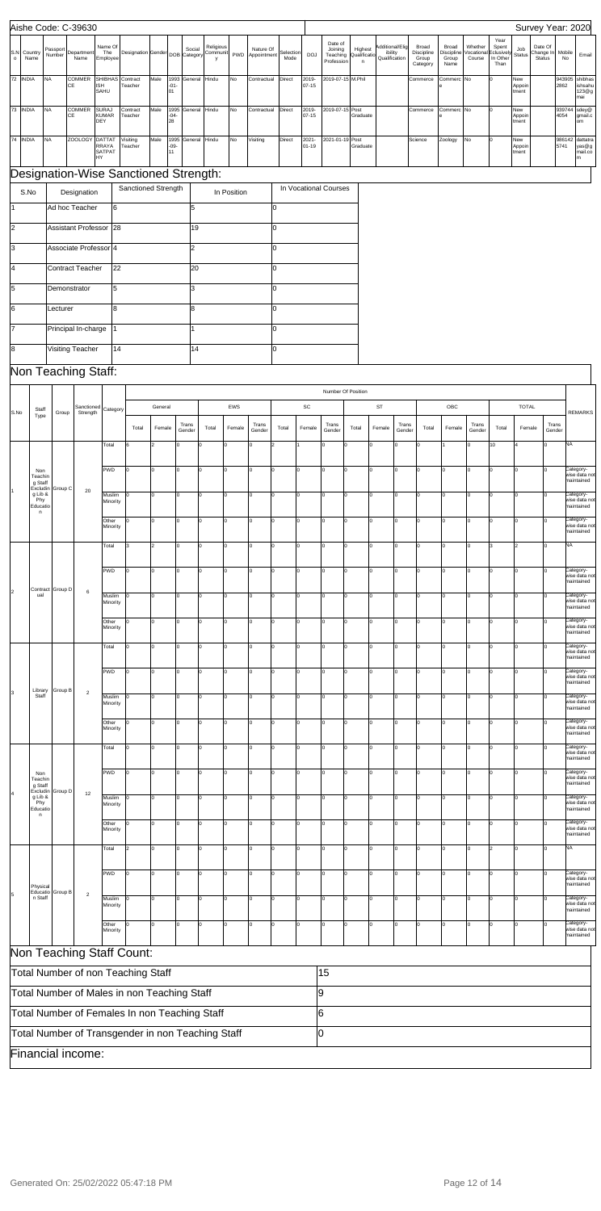|                     |                                                                                     |                    | Aishe Code: C-39630        |                                     |                                                                                              |                      |                      |                 |                           |             |                          |                   |                    |                                              |       |                             |                                             |                                          |                                      |                                |                                                        |                        | Survey Year: 2020                     |                |                                          |
|---------------------|-------------------------------------------------------------------------------------|--------------------|----------------------------|-------------------------------------|----------------------------------------------------------------------------------------------|----------------------|----------------------|-----------------|---------------------------|-------------|--------------------------|-------------------|--------------------|----------------------------------------------|-------|-----------------------------|---------------------------------------------|------------------------------------------|--------------------------------------|--------------------------------|--------------------------------------------------------|------------------------|---------------------------------------|----------------|------------------------------------------|
| S.N<br>$\mathsf{o}$ | Country<br>Name                                                                     | Passport<br>Number | Department<br>Name         | Name Of<br>The<br>Employee          | Designation Gender DOB Category                                                              |                      |                      | Social          | Religious<br>Communi<br>v | PWD         | Nature Of<br>Appointment | Selection<br>Mode | <b>DOJ</b>         | Date of<br>Joining<br>Teaching<br>Profession |       | Highest<br>Qualificati<br>n | Additional/Elig<br>ibility<br>Qualification | Broad<br>Discipline<br>Group<br>Category | Broad<br>Discipline<br>Group<br>Name | Whether<br>/ocationa<br>Course | Year<br>Spent<br><b>Eclusively</b><br>In Other<br>Than | Job<br><b>Status</b>   | Date Of<br>Change In<br><b>Status</b> | Mobile<br>No   | Email                                    |
| 72 INDIA            | <b>NA</b>                                                                           |                    | COMMER<br>СE               | <b>SHIBHAS</b><br>ISH<br>SAHU       | Contract<br>Teacher                                                                          | Male                 | 1993<br>$-01-$<br>01 | General         | Hindu                     | No          | Contractual              | Direct            | 2019-<br>07-15     | 2019-07-15 M.Phil                            |       |                             |                                             | Commerce                                 | Commerc No                           |                                |                                                        | New<br>Appoin<br>tment |                                       | 943905<br>2862 | shibhas<br>ishsahu<br>123@g<br>mai       |
| 73                  | <b>INDIA</b><br><b>NA</b>                                                           |                    | COMMER<br>СE               | <b>SURAJ</b><br><b>KUMAR</b><br>DEY | Contract<br>Teacher                                                                          | Male                 | 995<br>$-04-$<br>28  | General         | Hindu                     | <b>No</b>   | Contractual              | Direct            | 2019-<br>07-15     | 2019-07-15 Post                              |       | Graduate                    |                                             | Commerce                                 | Commerc No                           |                                |                                                        | New<br>Appoin<br>tment |                                       | 939744<br>4054 | sdey@<br>gmail.c<br>om                   |
| 74 INDIA            | <b>NA</b>                                                                           |                    | <b>ZOOLOGY</b>             | <b>DATTAT</b><br>RRAYA              | Visiting<br>Teacher                                                                          | Male                 | 1995<br>$-09-$       | General Hindu   |                           | No          | Visiting                 | Direct            | 2021-<br>$01 - 19$ | 2021-01-19 Post                              |       | Graduate                    |                                             | Science                                  | Zoology                              | No                             |                                                        | New<br>Appoin          |                                       | 986142<br>5741 | dattatra<br>yas@g                        |
|                     |                                                                                     |                    |                            | SATPAT<br>HY                        | Designation-Wise Sanctioned Strength:                                                        |                      | 11                   |                 |                           |             |                          |                   |                    |                                              |       |                             |                                             |                                          |                                      |                                |                                                        | tment                  |                                       |                | mail.co                                  |
|                     | S.No                                                                                |                    | Designation                |                                     | Sanctioned Strength                                                                          |                      |                      |                 |                           | In Position |                          |                   |                    | In Vocational Courses                        |       |                             |                                             |                                          |                                      |                                |                                                        |                        |                                       |                |                                          |
| 1                   |                                                                                     |                    | Ad hoc Teacher             | 6                                   |                                                                                              |                      |                      | l5              |                           |             |                          | l0                |                    |                                              |       |                             |                                             |                                          |                                      |                                |                                                        |                        |                                       |                |                                          |
| I <sub>2</sub>      |                                                                                     |                    | <b>Assistant Professor</b> | 28                                  |                                                                                              |                      |                      | 19              |                           |             |                          | l0                |                    |                                              |       |                             |                                             |                                          |                                      |                                |                                                        |                        |                                       |                |                                          |
| Iз<br>l4            |                                                                                     |                    | Associate Professor 4      |                                     |                                                                                              |                      |                      | 2               |                           |             |                          | l0                |                    |                                              |       |                             |                                             |                                          |                                      |                                |                                                        |                        |                                       |                |                                          |
| 5                   |                                                                                     | Demonstrator       | <b>Contract Teacher</b>    | 22<br>5                             |                                                                                              |                      |                      | 20<br>3         |                           |             |                          | l0<br>l0          |                    |                                              |       |                             |                                             |                                          |                                      |                                |                                                        |                        |                                       |                |                                          |
| 16                  |                                                                                     | Lecturer           |                            | 8                                   |                                                                                              |                      |                      | 18              |                           |             |                          | l0                |                    |                                              |       |                             |                                             |                                          |                                      |                                |                                                        |                        |                                       |                |                                          |
| l7                  |                                                                                     |                    | Principal In-charge        | 11                                  |                                                                                              |                      |                      |                 |                           |             |                          | l0                |                    |                                              |       |                             |                                             |                                          |                                      |                                |                                                        |                        |                                       |                |                                          |
| 8                   |                                                                                     |                    | Visiting Teacher           | 14                                  |                                                                                              |                      |                      | 14              |                           |             |                          | l0                |                    |                                              |       |                             |                                             |                                          |                                      |                                |                                                        |                        |                                       |                |                                          |
|                     |                                                                                     |                    | Non Teaching Staff:        |                                     |                                                                                              |                      |                      |                 |                           |             |                          |                   |                    |                                              |       |                             |                                             |                                          |                                      |                                |                                                        |                        |                                       |                |                                          |
|                     |                                                                                     |                    | Sanctioned                 |                                     |                                                                                              | General              |                      |                 |                           | EWS         |                          |                   | SC                 | Number Of Position                           |       | <b>ST</b>                   |                                             |                                          | OBC                                  |                                |                                                        | <b>TOTAL</b>           |                                       |                |                                          |
| S.No                | Staff<br>Type                                                                       | Group              | Strength                   | Category                            | Total                                                                                        | Female               |                      | Trans<br>Gender | Total                     | Female      | Trans<br>Gender          | Total             | Female             | Trans<br>Gender                              | Total | Female                      | Trans<br>Gender                             | Total                                    | Female                               | Trans<br>Gender                | Total                                                  | Female                 | Trans<br>Gender                       |                | <b>REMARKS</b>                           |
|                     |                                                                                     |                    |                            | Total                               | 6                                                                                            | $\overline{2}$       |                      | l٥              |                           |             | O                        | 12                |                    | I٥                                           | l٥    | 0                           | l <sub>0</sub>                              | l٥                                       |                                      | $\Omega$                       | 10                                                     |                        |                                       | NA             |                                          |
|                     | Non<br>Teachin<br>g Staff<br>Excludin<br>g Lib &<br>Phy<br>Educatio<br>$\mathsf{n}$ |                    |                            | PWD                                 | I٥                                                                                           | O                    | $\vert$ 0            | I٥              | lo                        |             | Iо                       | $\mathbf 0$<br>Iо |                    | Iо                                           | lо    | O                           | 0                                           | lо                                       | O                                    | lо                             | lо                                                     | 0                      | I٥                                    |                | Category-<br>wise data not               |
|                     |                                                                                     | Group C            | 20                         | Muslim<br>Minority                  | l0                                                                                           | $\mathbf 0$          | lo                   | lо              | $\mathbf 0$               |             | 0                        | $\mathbf 0$<br>lo |                    | Iо                                           | lо    | O                           | 0                                           | I٥                                       | $\Omega$                             | $\Omega$                       | lо                                                     | $\Omega$               | lo.                                   |                | maintained<br>Category-<br>wise data not |
|                     |                                                                                     |                    |                            | Other                               | ln.                                                                                          | $\mathbf 0$          | lo                   | l٥              | $\Omega$                  |             | l0                       | l٥<br>$\Omega$    |                    | Iо                                           | l٥    | O                           | l <sub>0</sub>                              | I٥                                       | $\Omega$                             | $\Omega$                       | I٥                                                     |                        |                                       |                | maintained<br>Category-<br>wise data not |
|                     |                                                                                     |                    |                            | Minority<br>Total                   | 3                                                                                            | $\vert$ <sub>2</sub> | $\Omega$             | l٥              | 0                         |             | O                        | lo<br>0           |                    | l0                                           | l٥    | 0                           | $\Omega$                                    | l٥                                       |                                      | $\Omega$                       |                                                        | $\overline{2}$         | lo                                    | NA             | maintained                               |
|                     |                                                                                     |                    | $\,6\,$                    | PWD                                 | O                                                                                            | 0                    | lo                   | lo              | 0                         |             | 0                        | lo<br>0           |                    | l0                                           | lo    | 0                           | 0                                           | I٥                                       | $\Omega$                             | $\mathbf 0$                    | Ιo                                                     | $\Omega$               | l0.                                   |                | Category-                                |
| 2                   | Contract                                                                            | Group D            |                            |                                     |                                                                                              |                      |                      |                 |                           |             |                          |                   |                    |                                              |       |                             |                                             |                                          |                                      |                                |                                                        |                        |                                       |                | wise data not<br>maintained              |
|                     | ual                                                                                 |                    |                            | Muslim<br>Minority                  |                                                                                              | 0                    | lo                   | l٥              | $\Omega$                  |             | O                        | l٥<br>$\Omega$    |                    | lo                                           | l٥    | O                           | l <sub>0</sub>                              | l٥                                       | $\Omega$                             | $\Omega$                       | l٥                                                     |                        |                                       |                | Category-<br>wise data not<br>maintained |
|                     |                                                                                     |                    |                            | Other<br>Minority                   | l0                                                                                           | 0                    | $\Omega$             |                 | 0                         |             | $\Omega$                 | $\Omega$<br>l٥    |                    | $\Omega$                                     | l٥    | 0                           | $\Omega$                                    | l٥                                       | $\Omega$                             | $\Omega$                       |                                                        |                        |                                       |                | Category-<br>wise data not<br>maintained |
|                     |                                                                                     |                    |                            | Total                               | O                                                                                            | $\mathbf 0$          | $\Omega$             | lo              | 0                         |             | 0                        | I٥<br>$\Omega$    |                    | l0                                           | lo    | O                           | 0                                           | I٥                                       | $\Omega$                             | $\Omega$                       | lо                                                     | $\Omega$               | lo                                    |                | Category-<br>wise data not<br>maintained |
|                     |                                                                                     |                    |                            | PWD                                 | l0                                                                                           | $\mathbf 0$          | lo                   | l٥              | $\Omega$                  |             | l0                       | $\mathbf 0$<br>l٥ |                    | Iо                                           | Iо    | O                           | l <sub>0</sub>                              | I٥                                       | $\Omega$                             | Iо                             | l٥                                                     | n                      | ln.                                   |                | Category-<br>wise data not<br>maintained |
| <sub>3</sub>        | Library<br>Staff                                                                    | Group B            | $\mathbf 2$                | Muslim<br>Minority                  |                                                                                              | $\mathbf 0$          | $\Omega$             | l٥              | 0                         |             | l0                       | lo<br>0           |                    | l0                                           | l٥    | 0                           | $\Omega$                                    | l٥                                       |                                      | $\Omega$                       |                                                        |                        | l٥                                    |                | Category-<br>wise data not<br>maintained |
|                     |                                                                                     |                    |                            | Other<br>Minority                   | 0                                                                                            | $\mathbf 0$          | l0                   | lo              | 0                         |             | 0                        | $\mathbf 0$<br>I٥ |                    | l0                                           | lo    | 0                           | 0                                           | I٥                                       | $\Omega$                             | $\mathbf 0$                    | lо                                                     | $\Omega$               | lo.                                   |                | Category-<br>wise data not<br>maintained |
|                     |                                                                                     |                    |                            | Total                               | l0                                                                                           | $\mathbf 0$          | lo                   | l٥              | 0                         |             | O                        | l٥<br>$\Omega$    |                    | Iо                                           | l٥    | O                           | l <sub>0</sub>                              | I٥                                       | $\Omega$                             | $\Omega$                       | l٥                                                     | n                      |                                       |                | Category-<br>wise data not<br>maintained |
|                     | Non<br>Teachin                                                                      |                    |                            | PWD                                 | l0                                                                                           | 0                    | $\Omega$             | l٥              | 0                         |             | l0                       | $\Omega$<br>l٥    |                    | I٥                                           | l٥    | 0                           | $\Omega$                                    | lо                                       |                                      | $\Omega$                       |                                                        |                        |                                       |                | Category-<br>wise data not               |
|                     | g Staff<br>Excludin<br>g Lib &<br>Phy                                               | Group D            | 12                         | Muslim<br>Minority                  |                                                                                              | $\mathbf 0$          | lo                   | lо              | 0                         |             | 0                        | $\Omega$<br>I٥    |                    | l0                                           | lo    | $\mathbf 0$                 | 0                                           | I٥                                       | $\Omega$                             | $\Omega$                       | lo                                                     | $\Omega$               |                                       |                | maintained<br>Category-<br>wise data not |
|                     | Educatio<br>$\mathsf n$                                                             |                    |                            | Other<br>Minority                   | ln.                                                                                          | $\mathbf 0$          | lo                   | l٥              | $\Omega$                  |             | O                        | l٥<br>$\Omega$    |                    | Iо                                           | l٥    | O                           | l <sub>0</sub>                              | I٥                                       | $\Omega$                             | $\Omega$                       | l٥                                                     |                        |                                       |                | maintained<br>Category-<br>wise data not |
|                     |                                                                                     |                    |                            | Total                               | $\overline{2}$                                                                               | lо                   | lo                   | l٥              | 0                         |             | O                        | lo<br>$\Omega$    |                    | I٥                                           | lo    | 0                           | $\Omega$                                    | lо                                       |                                      | $\Omega$                       | l2                                                     | $\Omega$               | lo.                                   | NA             | maintained                               |
|                     |                                                                                     |                    |                            | PWD                                 | O                                                                                            | $\mathbf 0$          | lo                   | lo              | 0                         |             | 0                        | lo<br>$\Omega$    |                    | l0                                           | lo    | 0                           | 0                                           | I٥                                       | $\Omega$                             | $\mathbf 0$                    | Iо                                                     | $\Omega$               | lo.                                   |                | Category-                                |
| 5                   | Physical<br>Educatio<br>n Staff                                                     | Group B            | $\overline{2}$             | Muslim                              |                                                                                              | 0                    | lo                   | Iо              | 0                         |             | O                        | lo<br>0           |                    | Iо                                           | Iо    | O                           | 0                                           | l٥                                       | $\Omega$                             | Iо                             | l٥                                                     | $\Omega$               |                                       |                | wise data not<br>maintained<br>Category- |
|                     |                                                                                     |                    |                            | Minority                            |                                                                                              |                      |                      |                 |                           |             |                          |                   |                    |                                              |       |                             |                                             |                                          |                                      |                                |                                                        |                        |                                       |                | wise data not<br>maintained              |
|                     |                                                                                     |                    |                            | Other<br>Minority                   | I٥                                                                                           | $\mathbf 0$          | Iо                   | lо              | lo                        |             | Iо                       | $\mathbf 0$<br>lо |                    | Iо                                           | lо    | O                           | $\mathbf 0$                                 | Iо                                       | O                                    | lо                             | Iо                                                     | I٥                     | I٥                                    |                | Category-<br>wise data not<br>maintained |
|                     |                                                                                     |                    |                            |                                     | Non Teaching Staff Count:                                                                    |                      |                      |                 |                           |             |                          |                   |                    |                                              |       |                             |                                             |                                          |                                      |                                |                                                        |                        |                                       |                |                                          |
|                     |                                                                                     |                    |                            |                                     | Total Number of non Teaching Staff                                                           |                      |                      |                 |                           |             |                          |                   |                    | 15<br>9                                      |       |                             |                                             |                                          |                                      |                                |                                                        |                        |                                       |                |                                          |
|                     |                                                                                     |                    |                            |                                     | Total Number of Males in non Teaching Staff<br>Total Number of Females In non Teaching Staff |                      |                      |                 |                           |             |                          |                   |                    | 6                                            |       |                             |                                             |                                          |                                      |                                |                                                        |                        |                                       |                |                                          |
|                     |                                                                                     |                    |                            |                                     | Total Number of Transgender in non Teaching Staff                                            |                      |                      |                 |                           |             |                          |                   |                    | 10                                           |       |                             |                                             |                                          |                                      |                                |                                                        |                        |                                       |                |                                          |
|                     |                                                                                     |                    | Financial income:          |                                     |                                                                                              |                      |                      |                 |                           |             |                          |                   |                    |                                              |       |                             |                                             |                                          |                                      |                                |                                                        |                        |                                       |                |                                          |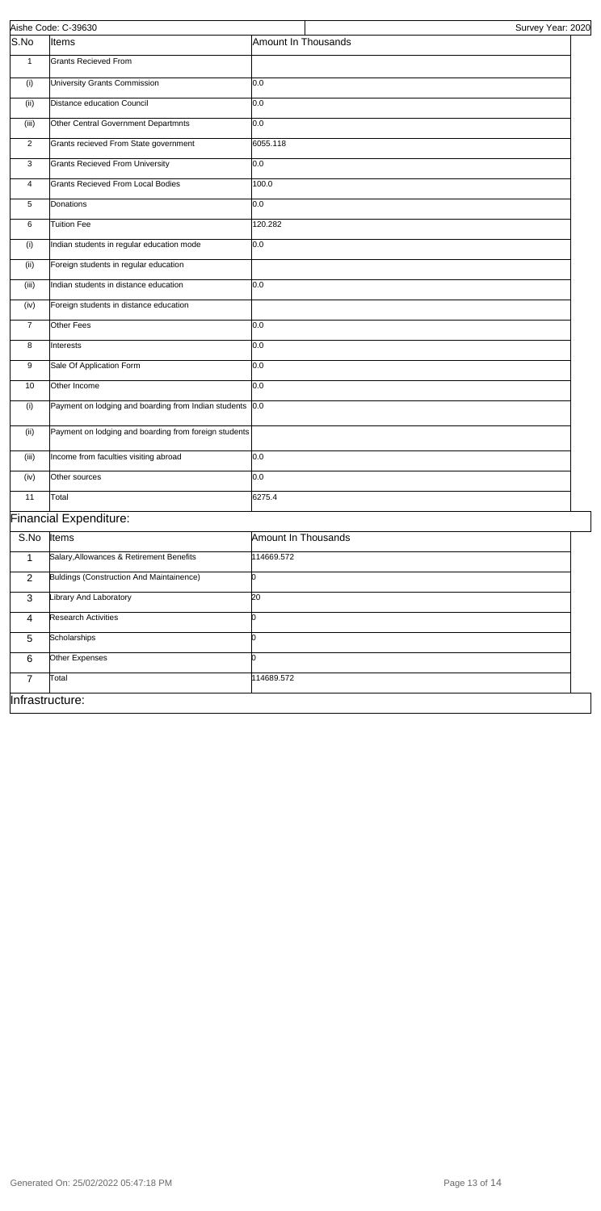|                 | Aishe Code: C-39630                                   | Survey Year: 2020   |
|-----------------|-------------------------------------------------------|---------------------|
| S.No            | Items                                                 | Amount In Thousands |
| $\mathbf{1}$    | <b>Grants Recieved From</b>                           |                     |
| (i)             | University Grants Commission                          | 0.0                 |
| (ii)            | Distance education Council                            | 0.0                 |
| (iii)           | Other Central Government Departmnts                   | 0.0                 |
| 2               | Grants recieved From State government                 | 6055.118            |
| 3               | <b>Grants Recieved From University</b>                | 0.0                 |
| 4               | <b>Grants Recieved From Local Bodies</b>              | 100.0               |
| 5               | Donations                                             | 0.0                 |
| 6               | <b>Tuition Fee</b>                                    | 120.282             |
| (i)             | Indian students in regular education mode             | 0.0                 |
| (ii)            | Foreign students in regular education                 |                     |
| (iii)           | Indian students in distance education                 | 0.0                 |
| (iv)            | Foreign students in distance education                |                     |
| $\overline{7}$  | Other Fees                                            | 0.0                 |
| 8               | Interests                                             | 0.0                 |
| 9               | Sale Of Application Form                              | 0.0                 |
| 10              | Other Income                                          | 0.0                 |
| (i)             | Payment on lodging and boarding from Indian students  | 0.0                 |
| (ii)            | Payment on lodging and boarding from foreign students |                     |
| (iii)           | Income from faculties visiting abroad                 | 0.0                 |
| (iv)            | Other sources                                         | 0.0                 |
| 11              | Total                                                 | 6275.4              |
|                 | <b>Financial Expenditure:</b>                         |                     |
| S.No            | Items                                                 | Amount In Thousands |
| $\overline{1}$  | Salary, Allowances & Retirement Benefits              | 114669.572          |
| 2               | <b>Buldings (Construction And Maintainence)</b>       | b                   |
| 3               | Library And Laboratory                                | $\overline{20}$     |
| $\overline{4}$  | <b>Research Activities</b>                            | 0                   |
| $\overline{5}$  | Scholarships                                          | h                   |
| 6               | Other Expenses                                        |                     |
| $\overline{7}$  | Total                                                 | 114689.572          |
| Infrastructure: |                                                       |                     |

Generated On: 25/02/2022 05:47:18 PM Page 13 of 14